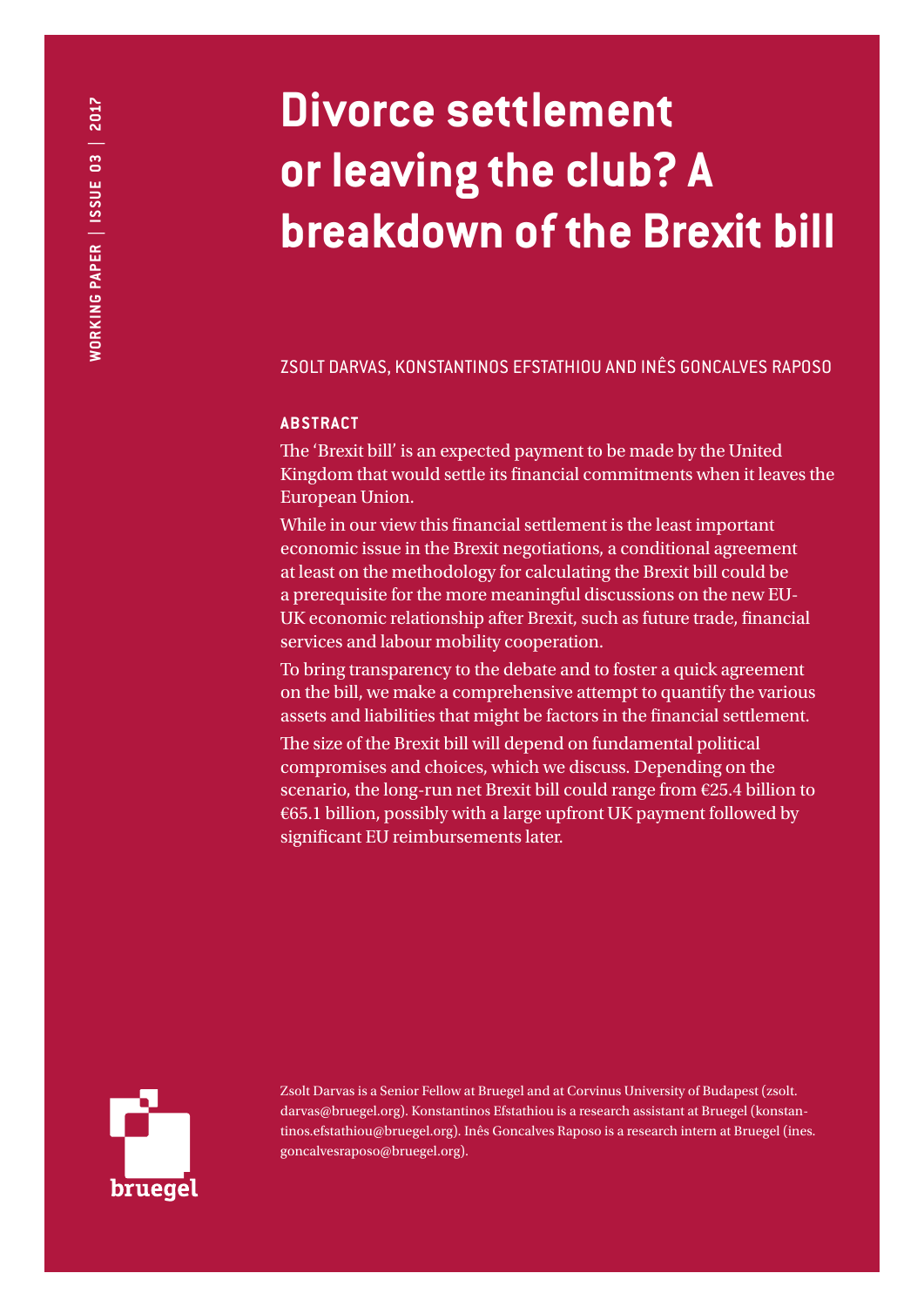# **Divorce settlement or leaving the club? A breakdown of the Brexit bill**

ZSOLT DARVAS, KONSTANTINOS EFSTATHIOU AND INÊS GONCALVES RAPOSO

## **ABSTRACT**

The 'Brexit bill' is an expected payment to be made by the United Kingdom that would settle its financial commitments when it leaves the European Union.

While in our view this financial settlement is the least important economic issue in the Brexit negotiations, a conditional agreement at least on the methodology for calculating the Brexit bill could be a prerequisite for the more meaningful discussions on the new EU-UK economic relationship after Brexit, such as future trade, financial services and labour mobility cooperation.

To bring transparency to the debate and to foster a quick agreement on the bill, we make a comprehensive attempt to quantify the various assets and liabilities that might be factors in the financial settlement.

The size of the Brexit bill will depend on fundamental political compromises and choices, which we discuss. Depending on the scenario, the long-run net Brexit bill could range from €25.4 billion to  $€65.1$  billion, possibly with a large upfront UK payment followed by significant EU reimbursements later.



Zsolt Darvas is a Senior Fellow at Bruegel and at Corvinus University of Budapest (zsolt. darvas@bruegel.org). Konstantinos Efstathiou is a research assistant at Bruegel (konstantinos.efstathiou@bruegel.org). Inês Goncalves Raposo is a research intern at Bruegel (ines. goncalvesraposo@bruegel.org).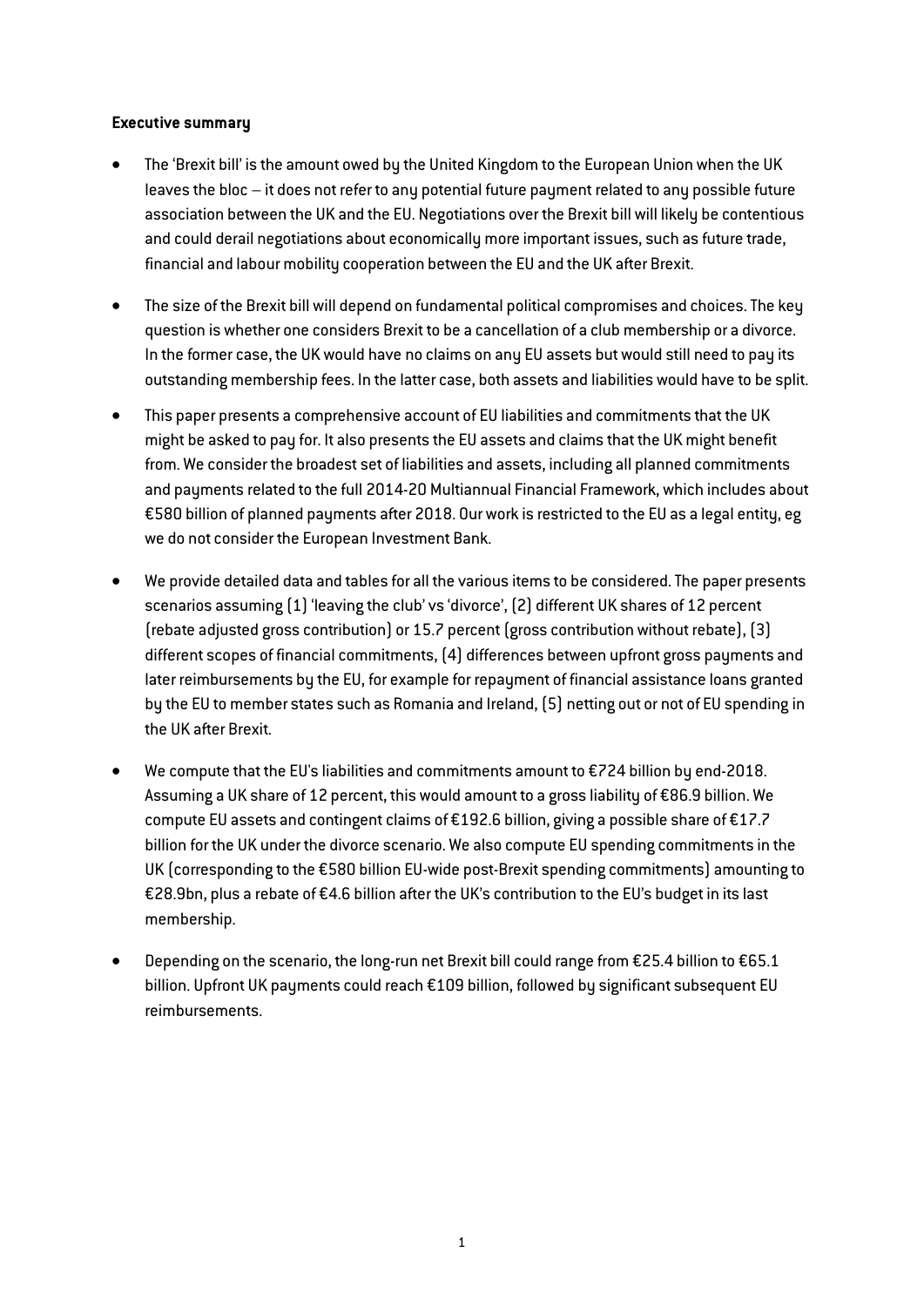## Executive summary

- The 'Brexit bill' is the amount owed by the United Kingdom to the European Union when the UK leaves the bloc – it does not refer to any potential future payment related to any possible future association between the UK and the EU. Negotiations over the Brexit bill will likely be contentious and could derail negotiations about economically more important issues, such as future trade, financial and labour mobility cooperation between the EU and the UK after Brexit.
- The size of the Brexit bill will depend on fundamental political compromises and choices. The key question is whether one considers Brexit to be a cancellation of a club membership or a divorce. In the former case, the UK would have no claims on any EU assets but would still need to pay its outstanding membership fees. In the latter case, both assets and liabilities would have to be split.
- This paper presents a comprehensive account of EU liabilities and commitments that the UK might be asked to pay for. It also presents the EU assets and claims that the UK might benefit from. We consider the broadest set of liabilities and assets, including all planned commitments and payments related to the full 2014-20 Multiannual Financial Framework, which includes about €580 billion of planned payments after 2018. Our work is restricted to the EU as a legal entity, eg we do not consider the European Investment Bank.
- We provide detailed data and tables for all the various items to be considered. The paper presents scenarios assuming (1) 'leaving the club' vs 'divorce', (2) different UK shares of 12 percent (rebate adjusted gross contribution) or 15.7 percent (gross contribution without rebate), (3) different scopes of financial commitments, (4) differences between upfront gross payments and later reimbursements by the EU, for example for repayment of financial assistance loans granted by the EU to member states such as Romania and Ireland, (5) netting out or not of EU spending in the UK after Brexit.
- We compute that the EU's liabilities and commitments amount to €724 billion by end-2018. Assuming a UK share of 12 percent, this would amount to a gross liability of €86.9 billion. We compute EU assets and contingent claims of €192.6 billion, giving a possible share of €17.7 billion for the UK under the divorce scenario. We also compute EU spending commitments in the UK (corresponding to the €580 billion EU-wide post-Brexit spending commitments) amounting to €28.9bn, plus a rebate of €4.6 billion after the UK's contribution to the EU's budget in its last membership.
- Depending on the scenario, the long-run net Brexit bill could range from €25.4 billion to €65.1 billion. Upfront UK payments could reach €109 billion, followed by significant subsequent EU reimbursements.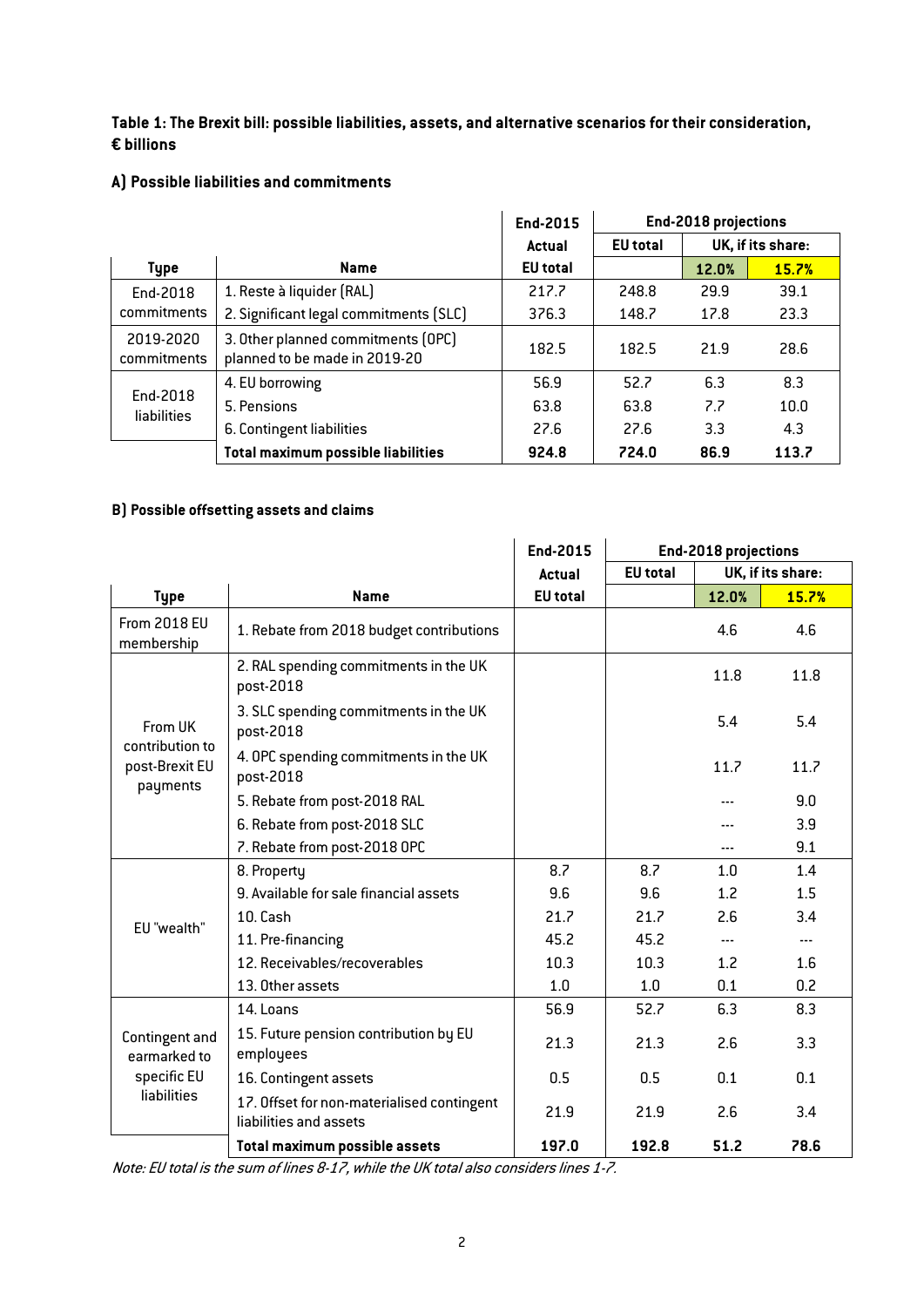## <span id="page-2-0"></span>Table 1: The Brexit bill: possible liabilities, assets, and alternative scenarios for their consideration, € billions

# A) Possible liabilities and commitments

|                                |                                                                     | End-2015        | End-2018 projections |       |                   |  |
|--------------------------------|---------------------------------------------------------------------|-----------------|----------------------|-------|-------------------|--|
|                                |                                                                     | Actual          | <b>EU</b> total      |       | UK, if its share: |  |
| <b>Type</b>                    | <b>Name</b>                                                         | <b>EU</b> total |                      | 12.0% | 15.7%             |  |
| End-2018                       | 1. Reste à liquider (RAL)                                           | 217.7           | 248.8                | 29.9  | 39.1              |  |
| commitments                    | 2. Significant legal commitments (SLC)                              |                 | 148.7                | 17.8  | 23.3              |  |
| 2019-2020<br>commitments       | 3. Other planned commitments (OPC)<br>planned to be made in 2019-20 | 182.5           | 182.5                | 21.9  | 28.6              |  |
|                                | 4. EU borrowing                                                     | 56.9            | 52.7                 | 6.3   | 8.3               |  |
| End-2018<br><b>liabilities</b> | 5. Pensions                                                         | 63.8            | 63.8                 | 7.7   | 10.0              |  |
|                                | 6. Contingent liabilities                                           | 27.6            | 27.6                 | 3.3   | 4.3               |  |
|                                | Total maximum possible liabilities                                  | 924.8           | 724.0                | 86.9  | 113.7             |  |

# B) Possible offsetting assets and claims

|                                               |                                                                      | End-2015        |                 | End-2018 projections |                   |
|-----------------------------------------------|----------------------------------------------------------------------|-----------------|-----------------|----------------------|-------------------|
|                                               |                                                                      | <b>Actual</b>   | <b>EU</b> total |                      | UK, if its share: |
| <b>Type</b>                                   | <b>Name</b>                                                          | <b>EU</b> total |                 | 12.0%                | 15.7%             |
| <b>From 2018 EU</b><br>membership             | 1. Rebate from 2018 budget contributions                             |                 |                 | 4.6                  | 4.6               |
|                                               | 2. RAL spending commitments in the UK<br>post-2018                   |                 |                 | 11.8                 | 11.8              |
| From UK                                       | 3. SLC spending commitments in the UK<br>post-2018                   |                 |                 | 5.4                  | 5.4               |
| contribution to<br>post-Brexit EU             | 4. OPC spending commitments in the UK<br>post-2018                   |                 |                 | 11.7                 | 11.7              |
| payments                                      | 5. Rebate from post-2018 RAL                                         |                 |                 |                      | 9.0               |
|                                               | 6. Rebate from post-2018 SLC                                         |                 |                 |                      | 3.9               |
|                                               | 7. Rebate from post-2018 OPC                                         |                 |                 |                      | 9.1               |
|                                               | 8. Property                                                          | 8.7             | 8.7             | 1.0                  | 1.4               |
|                                               | 9. Available for sale financial assets                               | 9.6             | 9.6             | 1.2                  | 1.5               |
| EU "wealth"                                   | 10. Cash                                                             | 21.7            | 21.7            | 2.6                  | 3.4               |
|                                               | 11. Pre-financing                                                    | 45.2            | 45.2            |                      | ---               |
|                                               | 12. Receivables/recoverables                                         | 10.3            | 10.3            | 1.2                  | 1.6               |
|                                               | 13. Other assets                                                     | 1.0             | 1.0             | 0.1                  | 0.2               |
|                                               | 14. Loans                                                            | 56.9            | 52.7            | 6.3                  | 8.3               |
| Contingent and<br>earmarked to<br>specific EU | 15. Future pension contribution by EU<br>employees                   | 21.3            | 21.3            | 2.6                  | 3.3               |
|                                               | 16. Contingent assets                                                | 0.5             | 0.5             | 0.1                  | 0.1               |
| liabilities                                   | 17. Offset for non-materialised contingent<br>liabilities and assets | 21.9            | 21.9            | 2.6                  | 3.4               |
|                                               | <b>Total maximum possible assets</b>                                 | 197.0           | 192.8           | 51.2                 | 78.6              |

Note: EU total is the sum of lines 8-17, while the UK total also considers lines 1-7.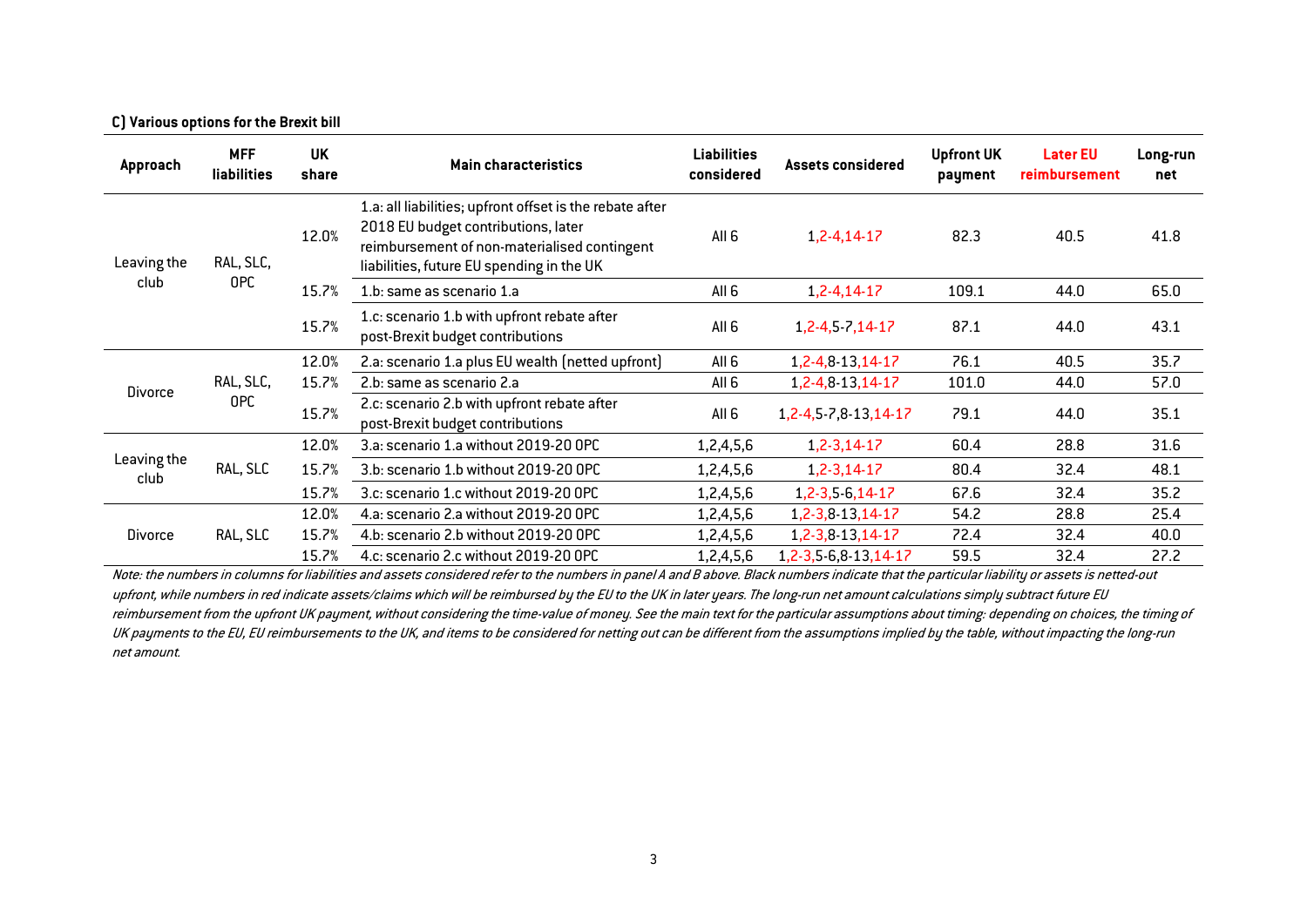#### C) Various options for the Brexit bill

| Approach            | <b>MFF</b><br>liabilities | <b>UK</b><br>share | <b>Main characteristics</b>                                                                                                                                                                  | <b>Liabilities</b><br>considered | <b>Assets considered</b>                                                        | <b>Upfront UK</b><br>payment | <b>Later EU</b><br>reimbursement | Long-run<br>net |      |      |  |  |       |                                       |           |                          |      |      |      |
|---------------------|---------------------------|--------------------|----------------------------------------------------------------------------------------------------------------------------------------------------------------------------------------------|----------------------------------|---------------------------------------------------------------------------------|------------------------------|----------------------------------|-----------------|------|------|--|--|-------|---------------------------------------|-----------|--------------------------|------|------|------|
| Leaving the         | RAL, SLC,                 | 12.0%              | 1.a: all liabilities; upfront offset is the rebate after<br>2018 EU budget contributions, later<br>reimbursement of non-materialised contingent<br>liabilities, future EU spending in the UK | All 6                            | $1, 2 - 4, 14 - 17$                                                             | 82.3                         | 40.5                             | 41.8            |      |      |  |  |       |                                       |           |                          |      |      |      |
| club                | OPC                       | 15.7%              | 1.b: same as scenario 1.a                                                                                                                                                                    | All 6                            | 1,2-4,14-17                                                                     | 109.1                        | 44.0                             | 65.0            |      |      |  |  |       |                                       |           |                          |      |      |      |
|                     |                           | 15.7%              | 1.c: scenario 1.b with upfront rebate after<br>post-Brexit budget contributions                                                                                                              | All <sub>6</sub>                 | 1,2-4,5 7,14-17                                                                 | 87.1                         | 44.0                             | 43.1            |      |      |  |  |       |                                       |           |                          |      |      |      |
|                     |                           | 12.0%              | 2.a: scenario 1.a plus EU wealth (netted upfront)                                                                                                                                            | All 6                            | 1,2-4,8-13,14-17                                                                | 76.1                         | 40.5                             | 35.7            |      |      |  |  |       |                                       |           |                          |      |      |      |
| <b>Divorce</b>      | RAL, SLC,                 | 15.7%              | 2.b: same as scenario 2.a                                                                                                                                                                    | All 6                            | 1,2-4,8-13,14-17                                                                | 101.0                        | 44.0                             | 57.0            |      |      |  |  |       |                                       |           |                          |      |      |      |
|                     | <b>OPC</b>                |                    |                                                                                                                                                                                              | 15.7%                            | 2.c: scenario 2.b with upfront rebate after<br>post-Brexit budget contributions | All 6                        | 1, 2-4, 5-7, 8-13, 14-17         | 79.1            | 44.0 | 35.1 |  |  |       |                                       |           |                          |      |      |      |
|                     |                           | 12.0%              | 3.a: scenario 1.a without 2019-20 OPC                                                                                                                                                        | 1,2,4,5,6                        | $1, 2 - 3, 14 - 17$                                                             | 60.4                         | 28.8                             | 31.6            |      |      |  |  |       |                                       |           |                          |      |      |      |
| Leaving the<br>club | RAL, SLC                  | 15.7%              | 3.b: scenario 1.b without 2019-20 OPC                                                                                                                                                        | 1,2,4,5,6                        | $1, 2 - 3, 14 - 17$                                                             | 80.4                         | 32.4                             | 48.1            |      |      |  |  |       |                                       |           |                          |      |      |      |
|                     |                           | 15.7%              | 3.c: scenario 1.c without 2019-20 OPC                                                                                                                                                        | 1,2,4,5,6                        | 1,2-3,5-6,14-17                                                                 | 67.6                         | 32.4                             | 35.2            |      |      |  |  |       |                                       |           |                          |      |      |      |
|                     |                           | 12.0%              | 4.a: scenario 2.a without 2019-20 OPC                                                                                                                                                        | 1,2,4,5,6                        | 1,2-3,8-13,14-17                                                                | 54.2                         | 28.8                             | 25.4            |      |      |  |  |       |                                       |           |                          |      |      |      |
| <b>Divorce</b>      | RAL, SLC                  | 15.7%              | 4.b: scenario 2.b without 2019-20 OPC                                                                                                                                                        | 1,2,4,5,6                        | 1,2-3,8-13,14-17                                                                | 72.4                         | 32.4                             | 40.0            |      |      |  |  |       |                                       |           |                          |      |      |      |
|                     |                           |                    |                                                                                                                                                                                              |                                  |                                                                                 |                              |                                  |                 |      |      |  |  | 15.7% | 4.c: scenario 2.c without 2019-20 OPC | 1,2,4,5,6 | 1, 2-3, 5-6, 8-13, 14-17 | 59.5 | 32.4 | 27.2 |

Note: the numbers in columns for liabilities and assets considered refer to the numbers in panel A and B above. Black numbers indicate that the particular liability or assets is netted-out upfront, while numbers in red indicate assets/claims which will be reimbursed by the EU to the UK in later years. The long-run net amount calculations simply subtract future EU reimbursement from the upfront UK payment, without considering the time-value of money. See the main text for the particular assumptions about timing: depending on choices, the timing of UK payments to the EU, EU reimbursements to the UK, and items to be considered for netting out can be different from the assumptions implied by the table, without impacting the long-run net amount.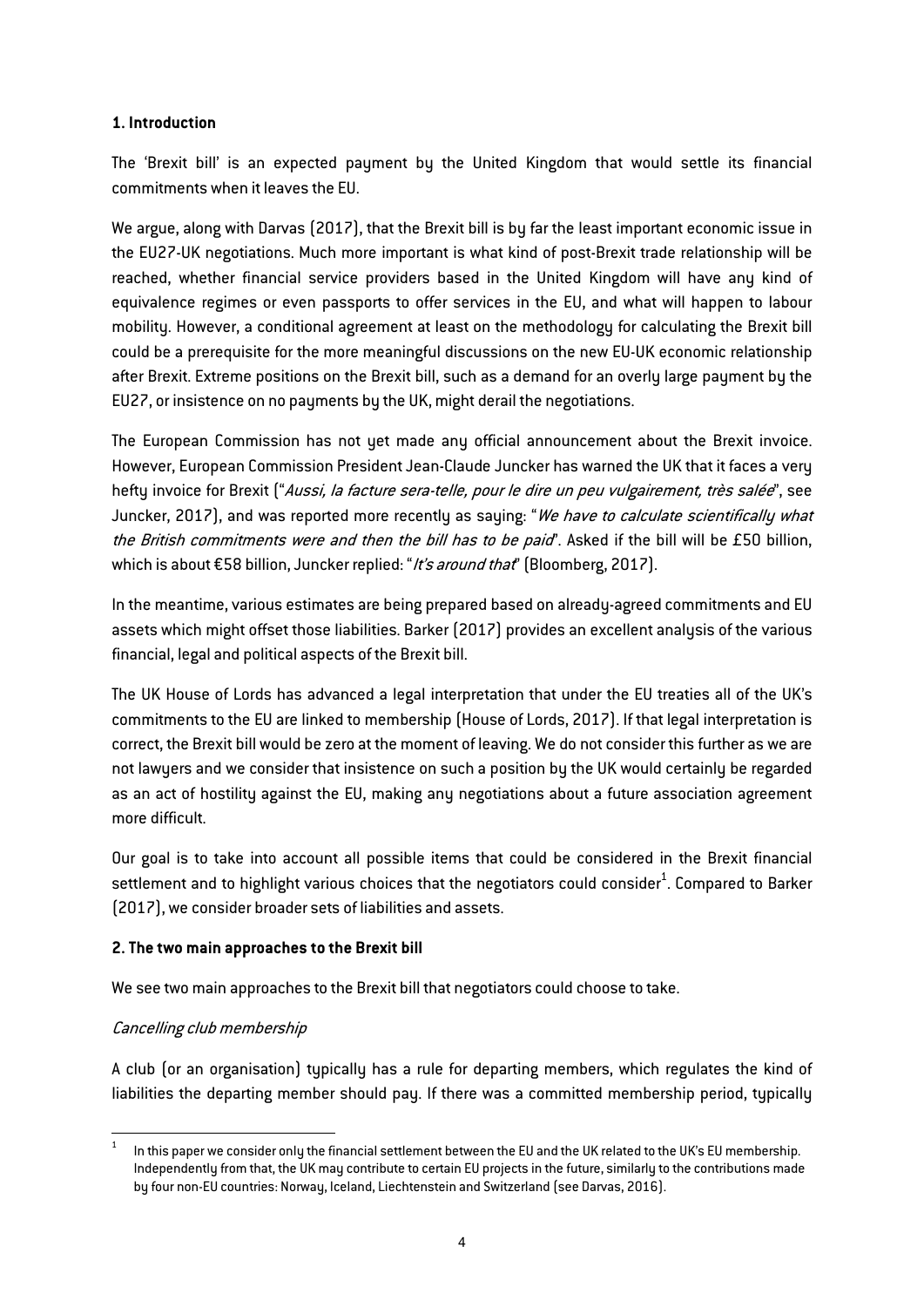## 1. Introduction

The 'Brexit bill' is an expected payment by the United Kingdom that would settle its financial commitments when it leaves the EU.

We argue, along with Darvas (2017), that the Brexit bill is by far the least important economic issue in the EU27-UK negotiations. Much more important is what kind of post-Brexit trade relationship will be reached, whether financial service providers based in the United Kingdom will have any kind of equivalence regimes or even passports to offer services in the EU, and what will happen to labour mobility. However, a conditional agreement at least on the methodology for calculating the Brexit bill could be a prerequisite for the more meaningful discussions on the new EU-UK economic relationship after Brexit. Extreme positions on the Brexit bill, such as a demand for an overly large payment by the EU27, or insistence on no payments by the UK, might derail the negotiations.

The European Commission has not yet made any official announcement about the Brexit invoice. However, European Commission President Jean-Claude Juncker has warned the UK that it faces a very hefty invoice for Brexit ("Aussi, la facture sera-telle, pour le dire un peu vulgairement, très salée", see Juncker, 2017), and was reported more recently as saying: "We have to calculate scientifically what the British commitments were and then the bill has to be paid". Asked if the bill will be £50 billion, which is about €58 billion, Juncker replied: "It's around that" (Bloomberg, 2017).

In the meantime, various estimates are being prepared based on already-agreed commitments and EU assets which might offset those liabilities. Barker (2017) provides an excellent analysis of the various financial, legal and political aspects of the Brexit bill.

The UK House of Lords has advanced a legal interpretation that under the EU treaties all of the UK's commitments to the EU are linked to membership (House of Lords, 2017). If that legal interpretation is correct, the Brexit bill would be zero at the moment of leaving. We do not consider this further as we are not lawyers and we consider that insistence on such a position by the UK would certainly be regarded as an act of hostility against the EU, making any negotiations about a future association agreement more difficult.

Our goal is to take into account all possible items that could be considered in the Brexit financial settlement and to highlight various choices that the negotiators could consider $^{\rm 1}$ . Compared to Barker (2017), we consider broader sets of liabilities and assets.

## 2. The two main approaches to the Brexit bill

We see two main approaches to the Brexit bill that negotiators could choose to take.

## Cancelling club membership

A club (or an organisation) typically has a rule for departing members, which regulates the kind of liabilities the departing member should pay. If there was a committed membership period, typically

In this paper we consider only the financial settlement between the EU and the UK related to the UK's EU membership. Independently from that, the UK may contribute to certain EU projects in the future, similarly to the contributions made by four non-EU countries: Norway, Iceland, Liechtenstein and Switzerland (see Darvas, 2016).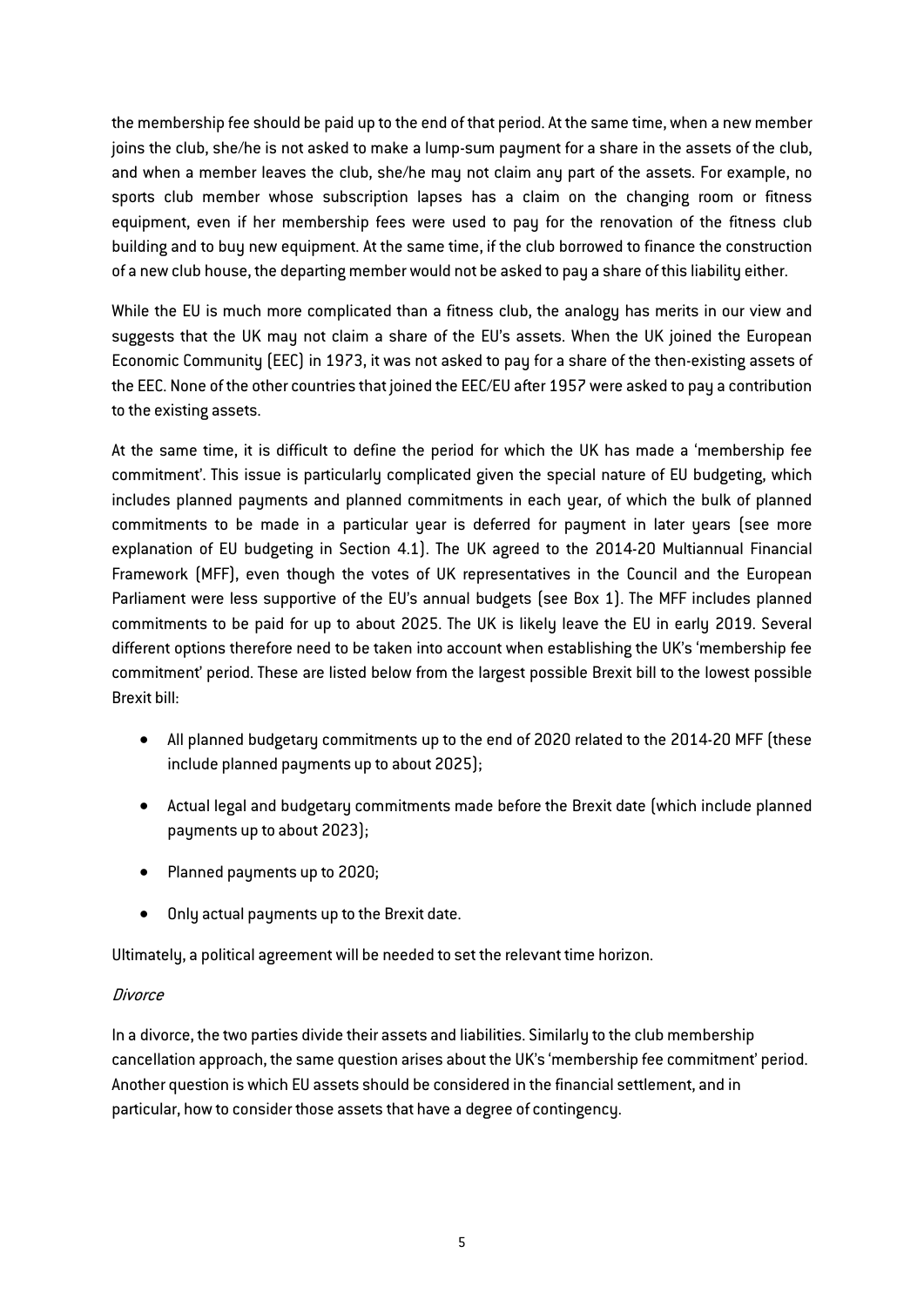the membership fee should be paid up to the end of that period. At the same time, when a new member joins the club, she/he is not asked to make a lump-sum payment for a share in the assets of the club, and when a member leaves the club, she/he may not claim any part of the assets. For example, no sports club member whose subscription lapses has a claim on the changing room or fitness equipment, even if her membership fees were used to pay for the renovation of the fitness club building and to buy new equipment. At the same time, if the club borrowed to finance the construction of a new club house, the departing member would not be asked to pay a share of this liability either.

While the EU is much more complicated than a fitness club, the analogy has merits in our view and suggests that the UK may not claim a share of the EU's assets. When the UK joined the European Economic Community (EEC) in 1973, it was not asked to pay for a share of the then-existing assets of the EEC. None of the other countries that joined the EEC/EU after 1957 were asked to pay a contribution to the existing assets.

At the same time, it is difficult to define the period for which the UK has made a 'membership fee commitment'. This issue is particularly complicated given the special nature of EU budgeting, which includes planned payments and planned commitments in each year, of which the bulk of planned commitments to be made in a particular year is deferred for payment in later years (see more explanation of EU budgeting in Section 4.1). The UK agreed to the 2014-20 Multiannual Financial Framework (MFF), even though the votes of UK representatives in the Council and the European Parliament were less supportive of the EU's annual budgets (see Box 1). The MFF includes planned commitments to be paid for up to about 2025. The UK is likely leave the EU in early 2019. Several different options therefore need to be taken into account when establishing the UK's 'membership fee commitment' period. These are listed below from the largest possible Brexit bill to the lowest possible Brexit bill:

- All planned budgetary commitments up to the end of 2020 related to the 2014-20 MFF (these include planned payments up to about 2025);
- Actual legal and budgetary commitments made before the Brexit date (which include planned payments up to about 2023);
- Planned payments up to 2020;
- Only actual payments up to the Brexit date.

Ultimately, a political agreement will be needed to set the relevant time horizon.

## **Divorce**

In a divorce, the two parties divide their assets and liabilities. Similarly to the club membership cancellation approach, the same question arises about the UK's 'membership fee commitment' period. Another question is which EU assets should be considered in the financial settlement, and in particular, how to consider those assets that have a degree of contingency.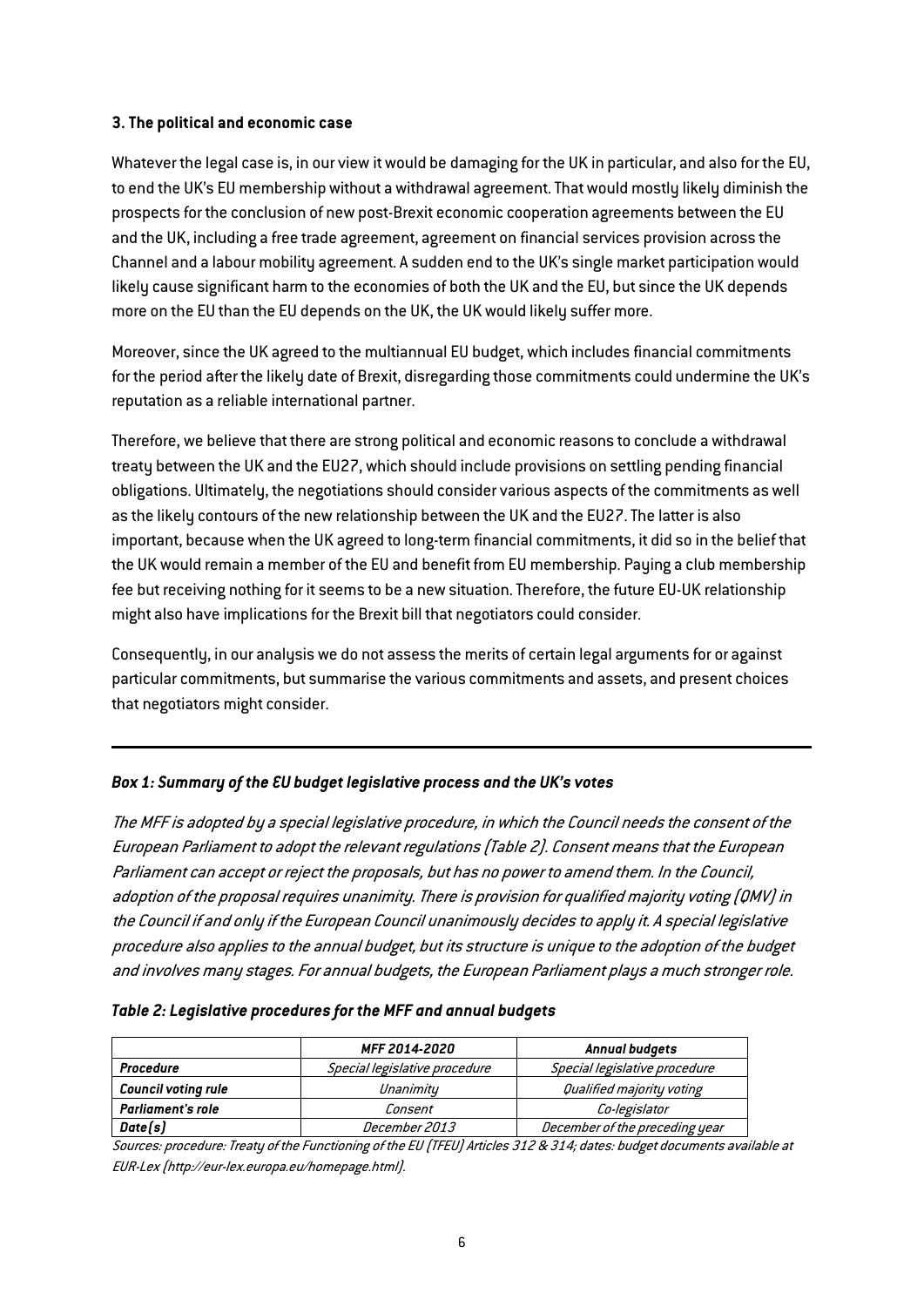## 3. The political and economic case

Whatever the legal case is, in our view it would be damaging for the UK in particular, and also for the EU, to end the UK's EU membership without a withdrawal agreement. That would mostly likely diminish the prospects for the conclusion of new post-Brexit economic cooperation agreements between the EU and the UK, including a free trade agreement, agreement on financial services provision across the Channel and a labour mobility agreement. A sudden end to the UK's single market participation would likely cause significant harm to the economies of both the UK and the EU, but since the UK depends more on the EU than the EU depends on the UK, the UK would likely suffer more.

Moreover, since the UK agreed to the multiannual EU budget, which includes financial commitments for the period after the likely date of Brexit, disregarding those commitments could undermine the UK's reputation as a reliable international partner.

Therefore, we believe that there are strong political and economic reasons to conclude a withdrawal treaty between the UK and the EU27, which should include provisions on settling pending financial obligations. Ultimately, the negotiations should consider various aspects of the commitments as well as the likely contours of the new relationship between the UK and the EU27. The latter is also important, because when the UK agreed to long-term financial commitments, it did so in the belief that the UK would remain a member of the EU and benefit from EU membership. Paying a club membership fee but receiving nothing for it seems to be a new situation. Therefore, the future EU-UK relationship might also have implications for the Brexit bill that negotiators could consider.

Consequently, in our analysis we do not assess the merits of certain legal arguments for or against particular commitments, but summarise the various commitments and assets, and present choices that negotiators might consider.

## *Box 1: Summary of the EU budget legislative process and the UK's votes*

The MFF is adopted by a special legislative procedure, in which the Council needs the consent of the European Parliament to adopt the relevant regulations [\(Table 2\).](#page-6-0) Consent means that the European Parliament can accept or reject the proposals, but has no power to amend them. In the Council, adoption of the proposal requires unanimity. There is provision for qualified majority voting (QMV) in the Council if and only if the European Council unanimously decides to apply it. A special legislative procedure also applies to the annual budget, but its structure is unique to the adoption of the budget and involves many stages. For annual budgets, the European Parliament plays a much stronger role.

<span id="page-6-0"></span>

| Table 2: Legislative procedures for the MFF and annual budgets |  |  |  |
|----------------------------------------------------------------|--|--|--|
|----------------------------------------------------------------|--|--|--|

|                            | <b>MFF 2014-2020</b>          | Annual budgets                 |
|----------------------------|-------------------------------|--------------------------------|
| Procedure                  | Special legislative procedure | Special legislative procedure  |
| <b>Council voting rule</b> | Unanimity                     | Qualified majority voting      |
| <b>Parliament's role</b>   | Consent                       | Co-legislator                  |
| Date(s)                    | December 2013                 | December of the preceding year |

Sources: procedure: Treaty of the Functioning of the EU (TFEU) Articles 312 & 314; dates: budget documents available at EUR-Lex (http://eur-lex.europa.eu/homepage.html).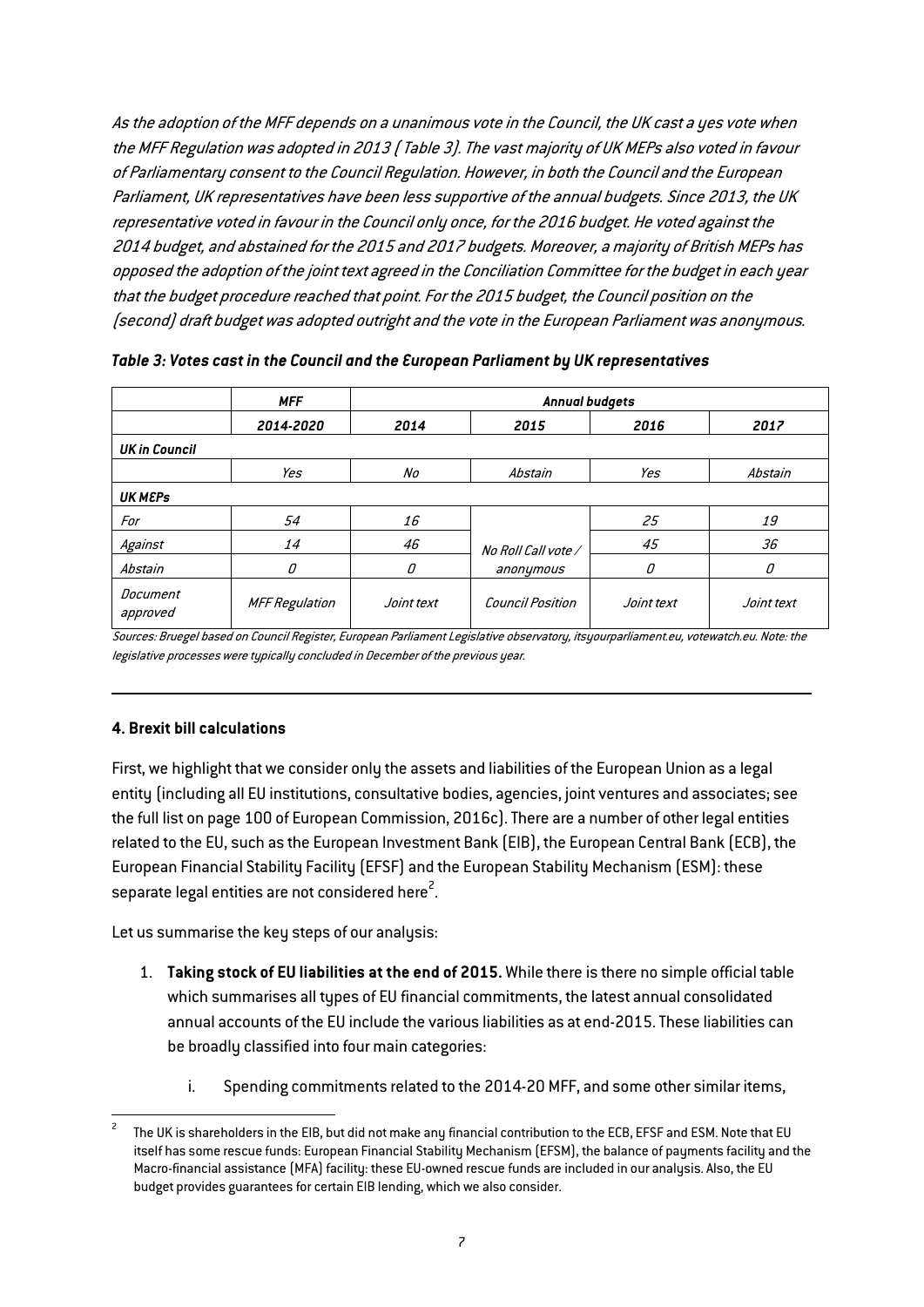As the adoption of the MFF depends on a unanimous vote in the Council, the UK cast a yes vote when the MFF Regulation was adopted in 2013 [\(Table 3\).](#page-7-0) The vast majority of UK MEPs also voted in favour of Parliamentary consent to the Council Regulation. However, in both the Council and the European Parliament, UK representatives have been less supportive of the annual budgets. Since 2013, the UK representative voted in favour in the Council only once, for the 2016 budget. He voted against the 2014 budget, and abstained for the 2015 and 2017 budgets. Moreover, a majority of British MEPs has opposed the adoption of the joint text agreed in the Conciliation Committee for the budget in each year that the budget procedure reached that point. For the 2015 budget, the Council position on the (second) draft budget was adopted outright and the vote in the European Parliament was anonymous.

|                      | <b>MFF</b>            |            | <b>Annual budgets</b>   |            |            |  |  |  |  |
|----------------------|-----------------------|------------|-------------------------|------------|------------|--|--|--|--|
|                      | 2014-2020             | 2014       | 2015                    | 2016       | 2017       |  |  |  |  |
| <b>UK in Council</b> |                       |            |                         |            |            |  |  |  |  |
|                      | Yes                   | No         | Abstain                 | Yes        | Abstain    |  |  |  |  |
| <b>UK MEPS</b>       |                       |            |                         |            |            |  |  |  |  |
| For                  | 54                    | 16         |                         | 25         | 19         |  |  |  |  |
| Against              | 14                    | 46         | No Roll Call vote /     | 45         | 36         |  |  |  |  |
| Abstain              | О                     | О          | anonymous               | О          | 0          |  |  |  |  |
| Document<br>approved | <b>MFF Regulation</b> | Joint text | <b>Council Position</b> | Joint text | Joint text |  |  |  |  |

<span id="page-7-0"></span>*Table 3: Votes cast in the Council and the European Parliament by UK representatives*

Sources: Bruegel based on Council Register, European Parliament Legislative observatory, itsyourparliament.eu, votewatch.eu. Note: the legislative processes were typically concluded in December of the previous year.

#### 4. Brexit bill calculations

First, we highlight that we consider only the assets and liabilities of the European Union as a legal entity (including all EU institutions, consultative bodies, agencies, joint ventures and associates; see the full list on page 100 of European Commission, 2016c). There are a number of other legal entities related to the EU, such as the European Investment Bank (EIB), the European Central Bank (ECB), the European Financial Stability Facility (EFSF) and the European Stability Mechanism (ESM): these separate legal entities are not considered here $^2$ .

Let us summarise the key steps of our analysis:

- 1. Taking stock of EU liabilities at the end of 2015. While there is there no simple official table which summarises all types of EU financial commitments, the latest annual consolidated annual accounts of the EU include the various liabilities as at end-2015. These liabilities can be broadly classified into four main categories:
	- i. Spending commitments related to the 2014-20 MFF, and some other similar items,

<sup>2</sup> The UK is shareholders in the EIB, but did not make any financial contribution to the ECB, EFSF and ESM. Note that EU itself has some rescue funds: European Financial Stability Mechanism (EFSM), the balance of payments facility and the Macro-financial assistance (MFA) facility: these EU-owned rescue funds are included in our analysis. Also, the EU budget provides guarantees for certain EIB lending, which we also consider.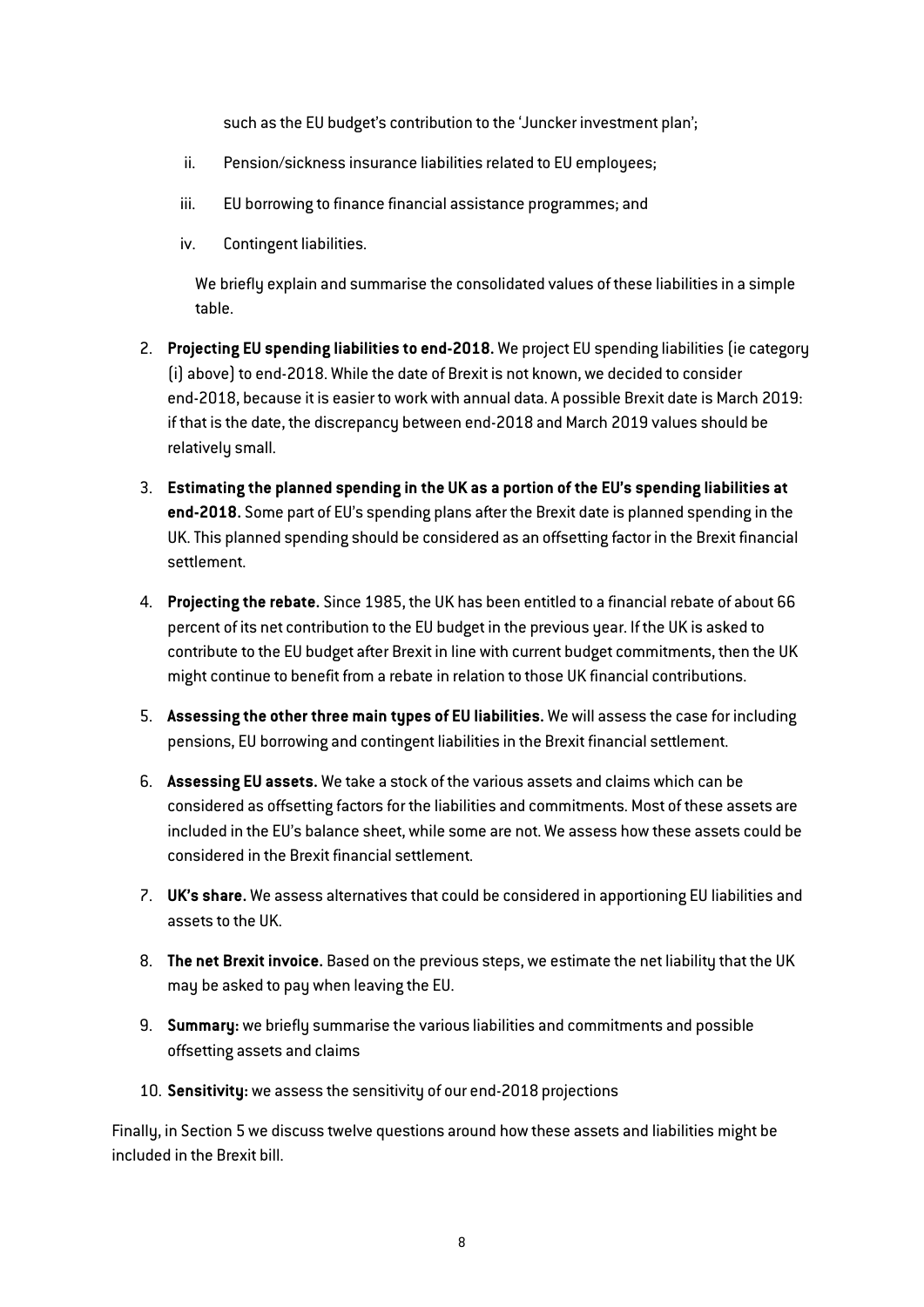such as the EU budget's contribution to the 'Juncker investment plan';

- ii. Pension/sickness insurance liabilities related to EU employees;
- iii. EU borrowing to finance financial assistance programmes; and
- iv. Contingent liabilities.

We briefly explain and summarise the consolidated values of these liabilities in a simple table.

- 2. Projecting EU spending liabilities to end-2018. We project EU spending liabilities (ie category (i) above) to end-2018. While the date of Brexit is not known, we decided to consider end-2018, because it is easier to work with annual data. A possible Brexit date is March 2019: if that is the date, the discrepancy between end-2018 and March 2019 values should be relatively small.
- 3. Estimating the planned spending in the UK as a portion of the EU's spending liabilities at end-2018. Some part of EU's spending plans after the Brexit date is planned spending in the UK. This planned spending should be considered as an offsetting factor in the Brexit financial settlement.
- 4. Projecting the rebate. Since 1985, the UK has been entitled to a financial rebate of about 66 percent of its net contribution to the EU budget in the previous year. If the UK is asked to contribute to the EU budget after Brexit in line with current budget commitments, then the UK might continue to benefit from a rebate in relation to those UK financial contributions.
- 5. Assessing the other three main types of EU liabilities. We will assess the case for including pensions, EU borrowing and contingent liabilities in the Brexit financial settlement.
- 6. Assessing EU assets. We take a stock of the various assets and claims which can be considered as offsetting factors for the liabilities and commitments. Most of these assets are included in the EU's balance sheet, while some are not. We assess how these assets could be considered in the Brexit financial settlement.
- 7. UK's share. We assess alternatives that could be considered in apportioning EU liabilities and assets to the UK.
- 8. The net Brexit invoice. Based on the previous steps, we estimate the net liability that the UK may be asked to pay when leaving the EU.
- 9. Summary: we briefly summarise the various liabilities and commitments and possible offsetting assets and claims
- 10. Sensitivity: we assess the sensitivity of our end-2018 projections

Finally, in Section 5 we discuss twelve questions around how these assets and liabilities might be included in the Brexit bill.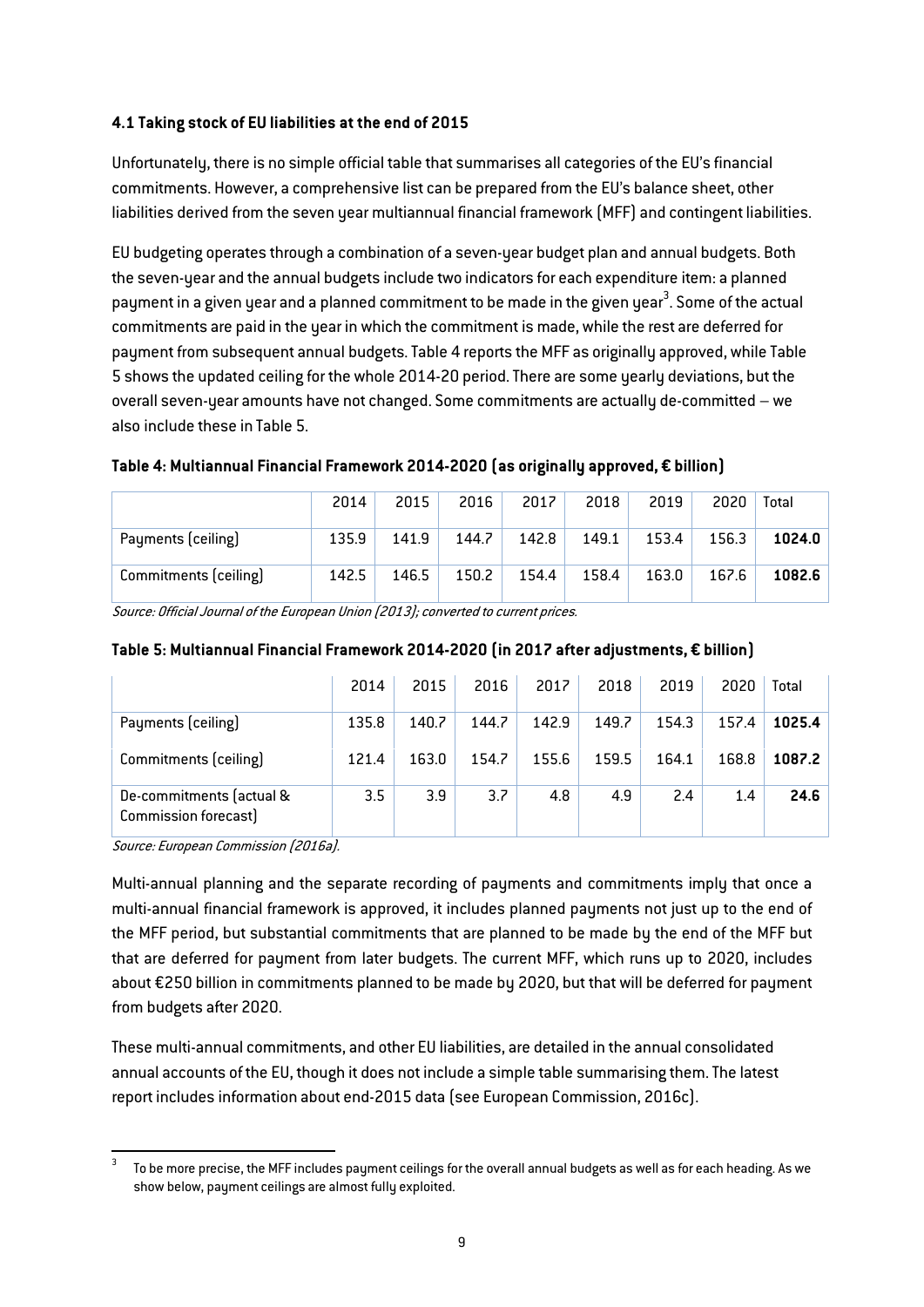## 4.1 Taking stock of EU liabilities at the end of 2015

Unfortunately, there is no simple official table that summarises all categories of the EU's financial commitments. However, a comprehensive list can be prepared from the EU's balance sheet, other liabilities derived from the seven year multiannual financial framework (MFF) and contingent liabilities.

EU budgeting operates through a combination of a seven-year budget plan and annual budgets. Both the seven-year and the annual budgets include two indicators for each expenditure item: a planned payment in a given year and a planned commitment to be made in the given year $^3.$  Some of the actual commitments are paid in the year in which the commitment is made, while the rest are deferred for payment from subsequent annual budgets. [Table 4](#page-9-0) reports the MFF as originally approved, while Table 5 shows the updated ceiling for the whole 2014-20 period. There are some yearly deviations, but the overall seven-year amounts have not changed. Some commitments are actually de-committed – we also include these in [Table 5.](#page-9-1)

|                       | 2014  | 2015  | 2016  | 2017  | 2018  | 2019  | 2020  | Total  |
|-----------------------|-------|-------|-------|-------|-------|-------|-------|--------|
| Payments (ceiling)    | 135.9 | 141.9 | 144.7 | 142.8 | 149.1 | 153.4 | 156.3 | 1024.0 |
| Commitments (ceiling) | 142.5 | 146.5 | 150.2 | 154.4 | 158.4 | 163.0 | 167.6 | 1082.6 |

## <span id="page-9-0"></span>Table 4: Multiannual Financial Framework 2014-2020 (as originally approved, € billion)

Source: Official Journal of the European Union (2013); converted to current prices.

|                                                  | 2014  | 2015  | 2016  | 2017  | 2018  | 2019  | 2020  | Total  |
|--------------------------------------------------|-------|-------|-------|-------|-------|-------|-------|--------|
| Payments (ceiling)                               | 135.8 | 140.7 | 144.7 | 142.9 | 149.7 | 154.3 | 157.4 | 1025.4 |
| Commitments (ceiling)                            | 121.4 | 163.0 | 154.7 | 155.6 | 159.5 | 164.1 | 168.8 | 1087.2 |
| De-commitments (actual &<br>Commission forecast) | 3.5   | 3.9   | 3.7   | 4.8   | 4.9   | 2.4   | 1.4   | 24.6   |

# <span id="page-9-1"></span>Table 5: Multiannual Financial Framework 2014-2020 (in 2017 after adjustments, € billion)

Source: European Commission (2016a).

Multi-annual planning and the separate recording of payments and commitments imply that once a multi-annual financial framework is approved, it includes planned payments not just up to the end of the MFF period, but substantial commitments that are planned to be made by the end of the MFF but that are deferred for payment from later budgets. The current MFF, which runs up to 2020, includes about €250 billion in commitments planned to be made by 2020, but that will be deferred for payment from budgets after 2020.

These multi-annual commitments, and other EU liabilities, are detailed in the annual consolidated annual accounts of the EU, though it does not include a simple table summarising them. The latest report includes information about end-2015 data (see European Commission, 2016c).

To be more precise, the MFF includes payment ceilings for the overall annual budgets as well as for each heading. As we show below, payment ceilings are almost fully exploited.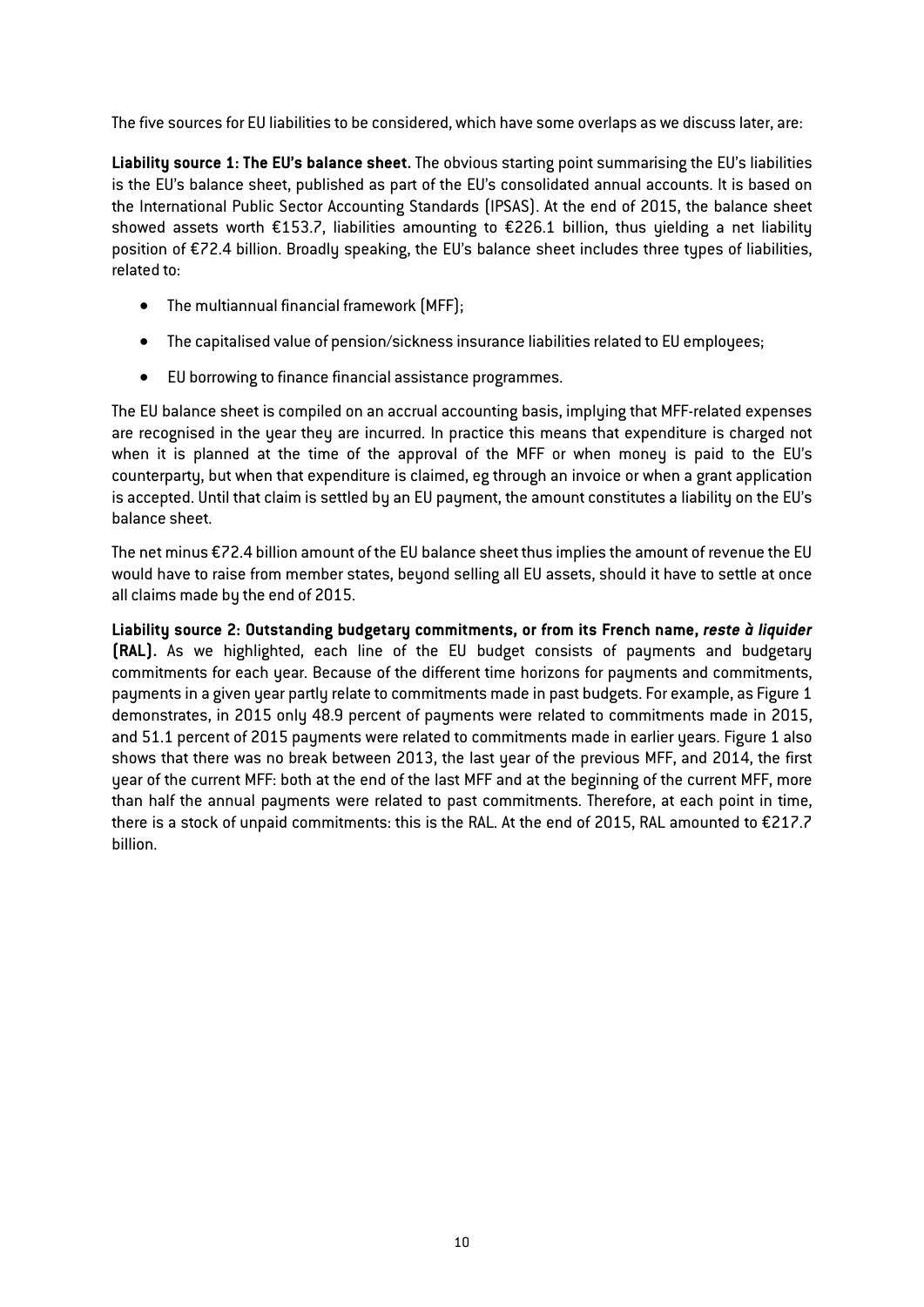The five sources for EU liabilities to be considered, which have some overlaps as we discuss later, are:

Liability source 1: The EU's balance sheet. The obvious starting point summarising the EU's liabilities is the EU's balance sheet, published as part of the EU's consolidated annual accounts. It is based on the International Public Sector Accounting Standards (IPSAS). At the end of 2015, the balance sheet showed assets worth €153.7, liabilities amounting to €226.1 billion, thus yielding a net liability position of €72.4 billion. Broadly speaking, the EU's balance sheet includes three types of liabilities, related to:

- The multiannual financial framework (MFF);
- The capitalised value of pension/sickness insurance liabilities related to EU employees;
- EU borrowing to finance financial assistance programmes.

The EU balance sheet is compiled on an accrual accounting basis, implying that MFF-related expenses are recognised in the year they are incurred. In practice this means that expenditure is charged not when it is planned at the time of the approval of the MFF or when money is paid to the EU's counterparty, but when that expenditure is claimed, eg through an invoice or when a grant application is accepted. Until that claim is settled by an EU payment, the amount constitutes a liability on the EU's balance sheet.

The net minus €72.4 billion amount of the EU balance sheet thus implies the amount of revenue the EU would have to raise from member states, beyond selling all EU assets, should it have to settle at once all claims made by the end of 2015.

Liability source 2: Outstanding budgetary commitments, or from its French name, *reste à liquider*  (RAL). As we highlighted, each line of the EU budget consists of payments and budgetary commitments for each year. Because of the different time horizons for payments and commitments, payments in a given year partly relate to commitments made in past budgets. For example, as Figure 1 demonstrates, in 2015 only 48.9 percent of payments were related to commitments made in 2015, and 51.1 percent of 2015 payments were related to commitments made in earlier years. Figure 1 also shows that there was no break between 2013, the last year of the previous MFF, and 2014, the first year of the current MFF: both at the end of the last MFF and at the beginning of the current MFF, more than half the annual payments were related to past commitments. Therefore, at each point in time, there is a stock of unpaid commitments: this is the RAL. At the end of 2015, RAL amounted to €217.7 billion.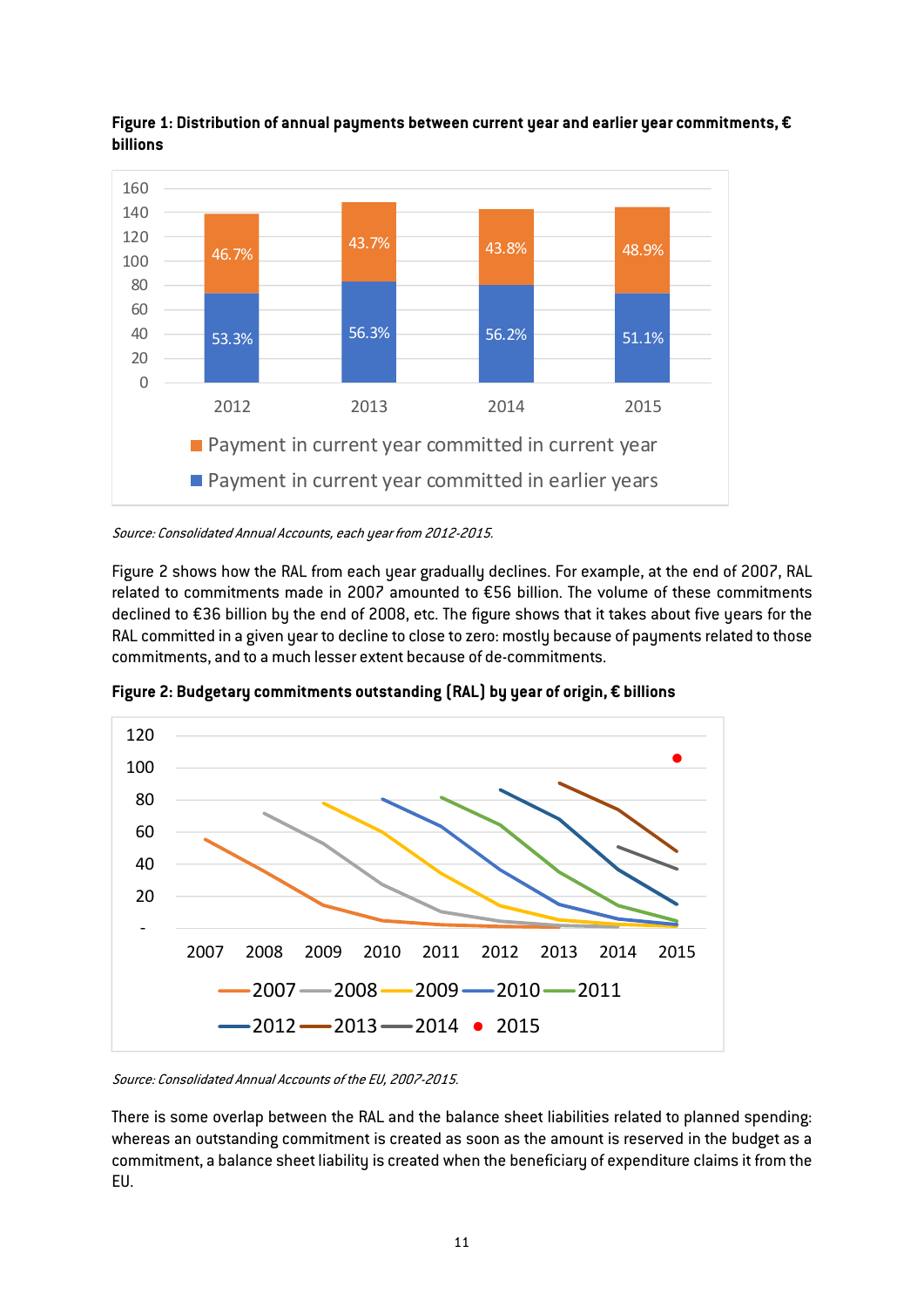

Figure 1: Distribution of annual payments between current year and earlier year commitments,  $\epsilon$ billions

Source: Consolidated Annual Accounts, each year from 2012-2015.

Figure 2 shows how the RAL from each year gradually declines. For example, at the end of 2007, RAL related to commitments made in 2007 amounted to €56 billion. The volume of these commitments declined to €36 billion by the end of 2008, etc. The figure shows that it takes about five years for the RAL committed in a given year to decline to close to zero: mostly because of payments related to those commitments, and to a much lesser extent because of de-commitments.



Figure 2: Budgetary commitments outstanding (RAL) by year of origin, € billions

Source: Consolidated Annual Accounts of the EU, 2007-2015.

There is some overlap between the RAL and the balance sheet liabilities related to planned spending: whereas an outstanding commitment is created as soon as the amount is reserved in the budget as a commitment, a balance sheet liability is created when the beneficiary of expenditure claims it from the EU.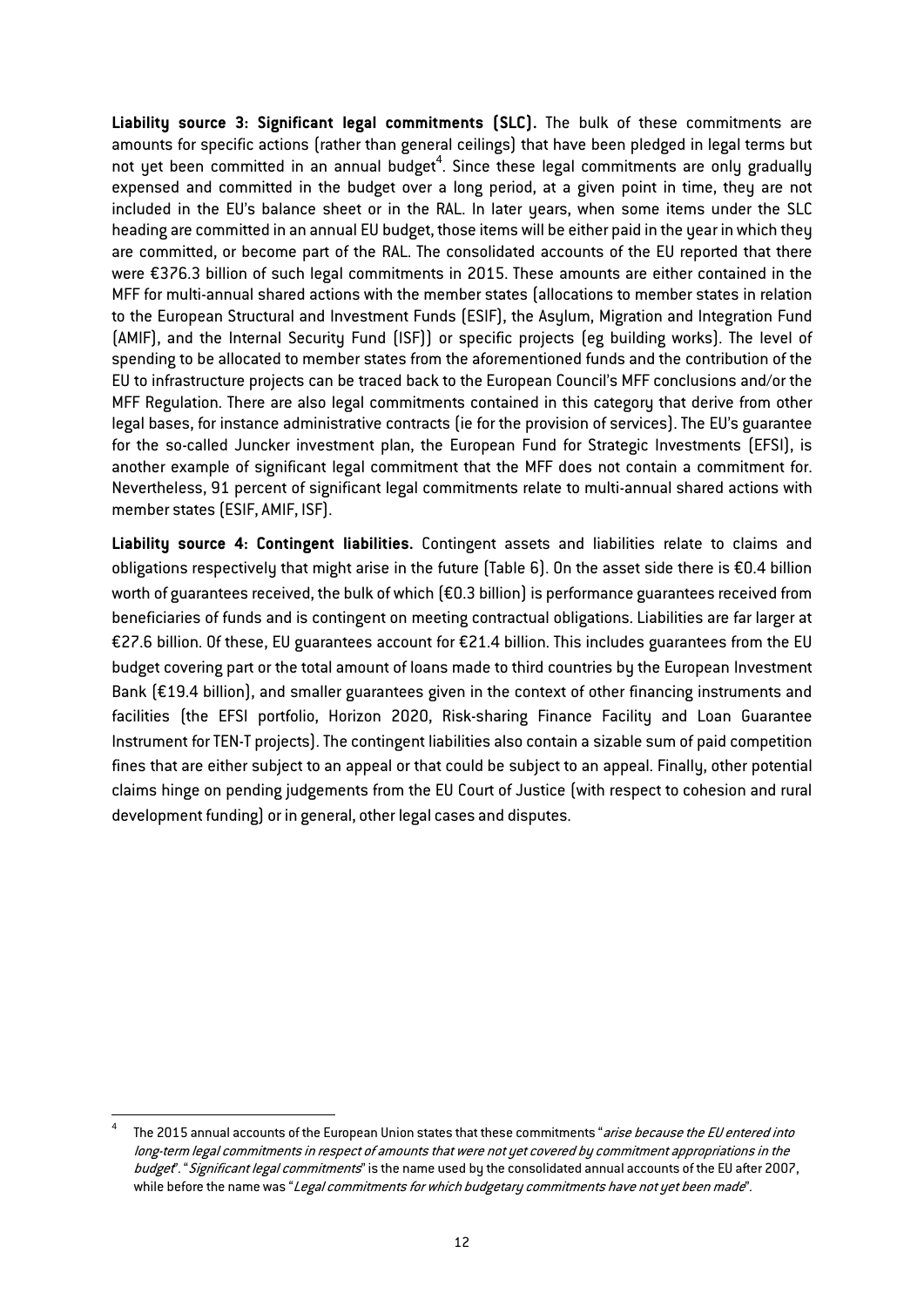Liability source 3: Significant legal commitments (SLC). The bulk of these commitments are amounts for specific actions (rather than general ceilings) that have been pledged in legal terms but not yet been committed in an annual budget<sup>4</sup>. Since these legal commitments are only gradually expensed and committed in the budget over a long period, at a given point in time, they are not included in the EU's balance sheet or in the RAL. In later years, when some items under the SLC heading are committed in an annual EU budget, those items will be either paid in the year in which they are committed, or become part of the RAL. The consolidated accounts of the EU reported that there were €376.3 billion of such legal commitments in 2015. These amounts are either contained in the MFF for multi-annual shared actions with the member states (allocations to member states in relation to the European Structural and Investment Funds (ESIF), the Asylum, Migration and Integration Fund (AMIF), and the Internal Security Fund (ISF)) or specific projects (eg building works). The level of spending to be allocated to member states from the aforementioned funds and the contribution of the EU to infrastructure projects can be traced back to the European Council's MFF conclusions and/or the MFF Regulation. There are also legal commitments contained in this category that derive from other legal bases, for instance administrative contracts (ie for the provision of services). The EU's guarantee for the so-called Juncker investment plan, the European Fund for Strategic Investments (EFSI), is another example of significant legal commitment that the MFF does not contain a commitment for. Nevertheless, 91 percent of significant legal commitments relate to multi-annual shared actions with member states (ESIF, AMIF, ISF).

Liability source 4: Contingent liabilities. Contingent assets and liabilities relate to claims and obligations respectively that might arise in the future (Table 6). On the asset side there is €0.4 billion worth of guarantees received, the bulk of which (€0.3 billion) is performance guarantees received from beneficiaries of funds and is contingent on meeting contractual obligations. Liabilities are far larger at €27.6 billion. Of these, EU guarantees account for €21.4 billion. This includes guarantees from the EU budget covering part or the total amount of loans made to third countries by the European Investment Bank (€19.4 billion), and smaller guarantees given in the context of other financing instruments and facilities (the EFSI portfolio, Horizon 2020, Risk-sharing Finance Facility and Loan Guarantee Instrument for TEN-T projects). The contingent liabilities also contain a sizable sum of paid competition fines that are either subject to an appeal or that could be subject to an appeal. Finally, other potential claims hinge on pending judgements from the EU Court of Justice (with respect to cohesion and rural development funding) or in general, other legal cases and disputes.

The 2015 annual accounts of the European Union states that these commitments "arise because the EU entered into long-term legal commitments in respect of amounts that were not yet covered by commitment appropriations in the budget". "Significant legal commitments" is the name used by the consolidated annual accounts of the EU after 2007, while before the name was "Legal commitments for which budgetary commitments have not yet been made".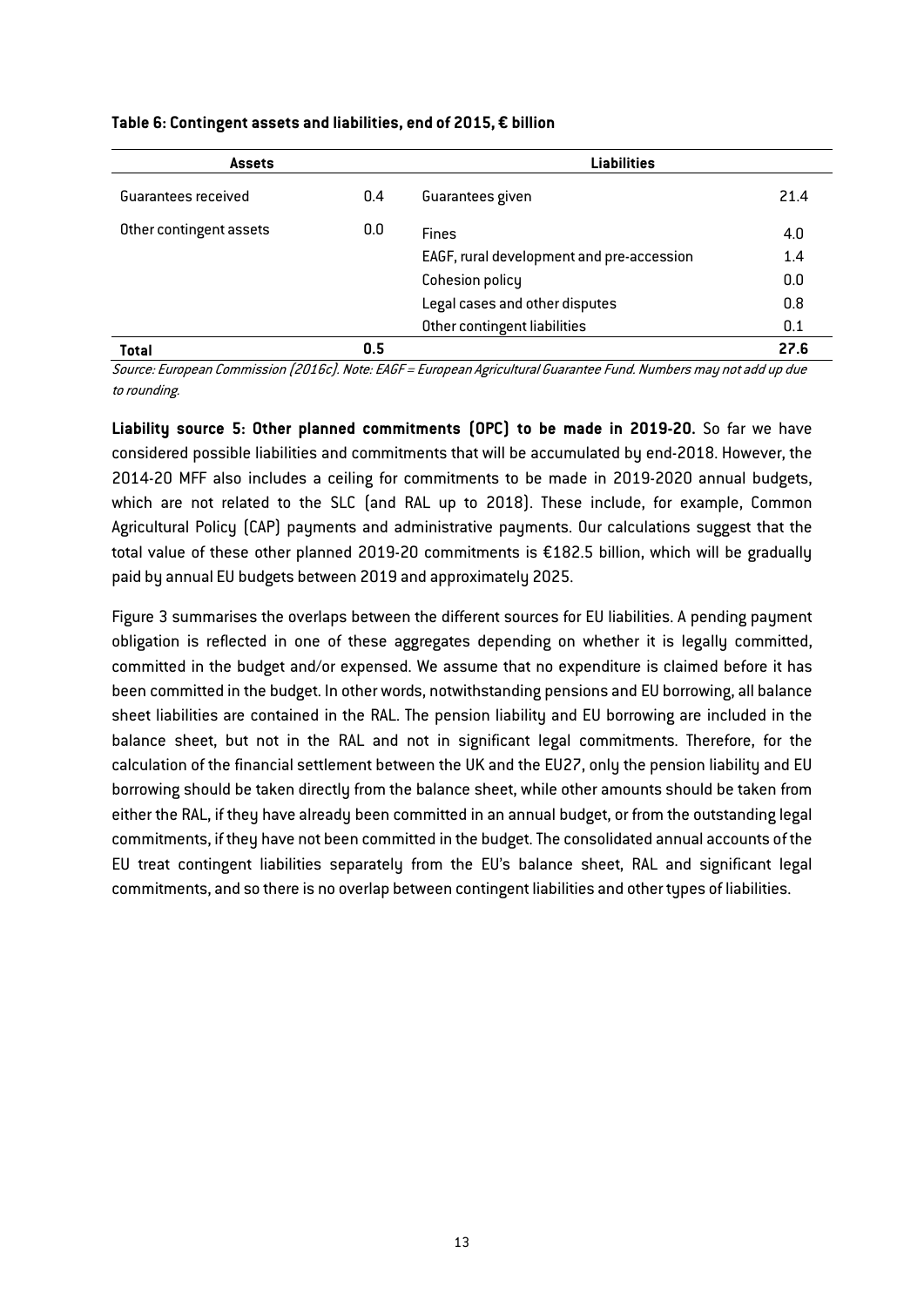| <b>Assets</b>           |     | <b>Liabilities</b>                        |      |  |  |
|-------------------------|-----|-------------------------------------------|------|--|--|
| Guarantees received     | 0.4 | Guarantees given                          | 21.4 |  |  |
| Other contingent assets | 0.0 | <b>Fines</b>                              | 4.0  |  |  |
|                         |     | EAGF, rural development and pre-accession | 1.4  |  |  |
|                         |     | Cohesion policy                           | 0.0  |  |  |
|                         |     | Legal cases and other disputes            | 0.8  |  |  |
|                         |     | Other contingent liabilities              | 0.1  |  |  |
| <b>Total</b>            | 0.5 |                                           | 27.6 |  |  |

#### Table 6: Contingent assets and liabilities, end of 2015, € billion

Source: European Commission (2016c). Note: EAGF = European Agricultural Guarantee Fund. Numbers may not add up due to rounding.

Liability source 5: Other planned commitments (OPC) to be made in 2019-20. So far we have considered possible liabilities and commitments that will be accumulated by end-2018. However, the 2014-20 MFF also includes a ceiling for commitments to be made in 2019-2020 annual budgets, which are not related to the SLC (and RAL up to 2018). These include, for example, Common Agricultural Policy (CAP) payments and administrative payments. Our calculations suggest that the total value of these other planned 2019-20 commitments is €182.5 billion, which will be gradually paid by annual EU budgets between 2019 and approximately 2025.

Figure 3 summarises the overlaps between the different sources for EU liabilities. A pending payment obligation is reflected in one of these aggregates depending on whether it is legally committed, committed in the budget and/or expensed. We assume that no expenditure is claimed before it has been committed in the budget. In other words, notwithstanding pensions and EU borrowing, all balance sheet liabilities are contained in the RAL. The pension liability and EU borrowing are included in the balance sheet, but not in the RAL and not in significant legal commitments. Therefore, for the calculation of the financial settlement between the UK and the EU27, only the pension liability and EU borrowing should be taken directly from the balance sheet, while other amounts should be taken from either the RAL, if they have already been committed in an annual budget, or from the outstanding legal commitments, if they have not been committed in the budget. The consolidated annual accounts of the EU treat contingent liabilities separately from the EU's balance sheet, RAL and significant legal commitments, and so there is no overlap between contingent liabilities and other types of liabilities.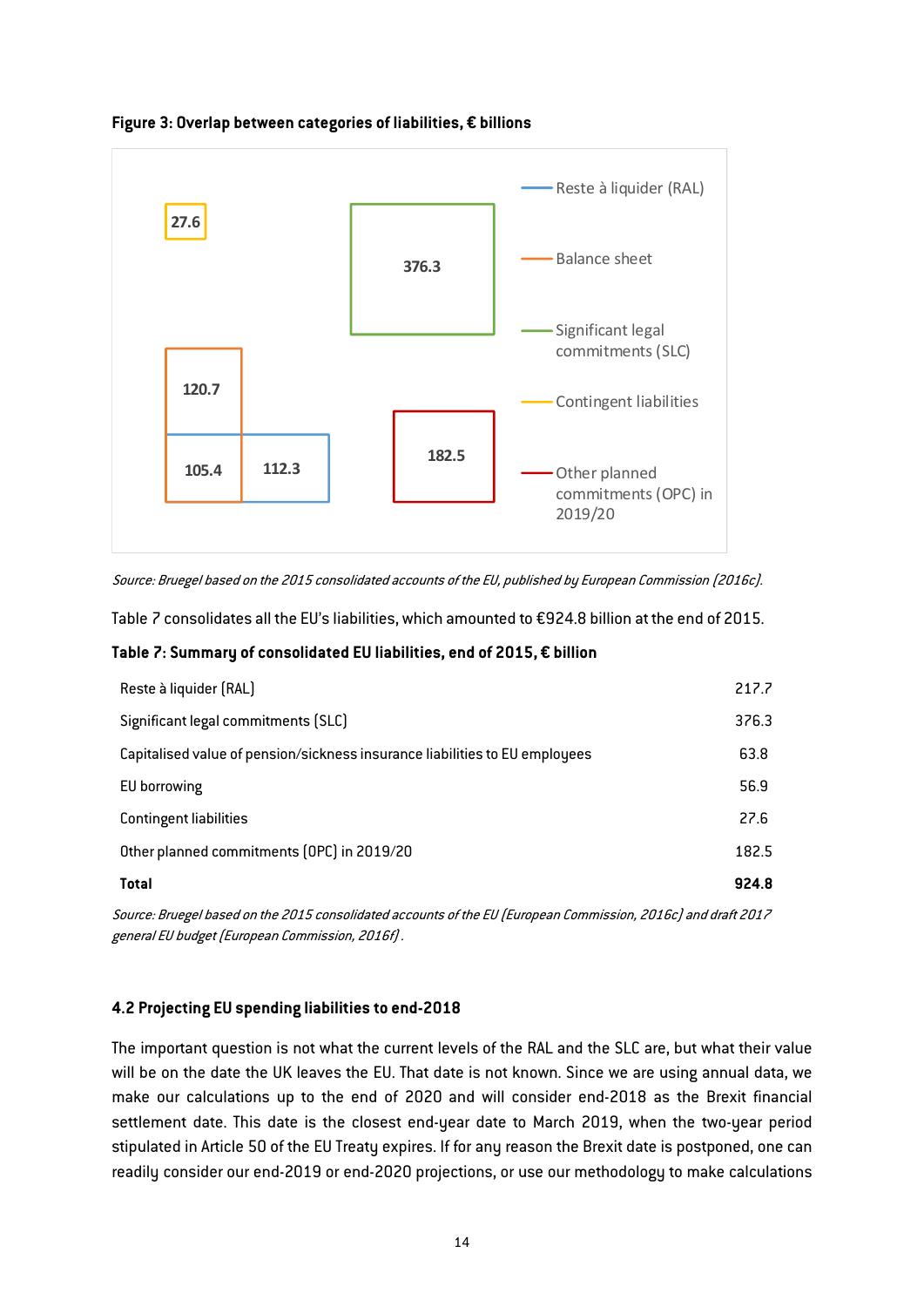

Figure 3: Overlap between categories of liabilities, € billions

Source: Bruegel based on the 2015 consolidated accounts of the EU, published by European Commission (2016c).

[Table 7](#page-14-0) consolidates all the EU's liabilities, which amounted to €924.8 billion at the end of 2015.

#### <span id="page-14-0"></span>Table 7: Summary of consolidated EU liabilities, end of 2015, € billion

| Reste à liquider (RAL)                                                      | 217.7 |
|-----------------------------------------------------------------------------|-------|
| Significant legal commitments (SLC)                                         | 376.3 |
| Capitalised value of pension/sickness insurance liabilities to EU employees | 63.8  |
| EU borrowing                                                                | 56.9  |
| <b>Contingent liabilities</b>                                               | 27.6  |
| Other planned commitments (OPC) in 2019/20                                  | 182.5 |
| <b>Total</b>                                                                | 924.8 |

Source: Bruegel based on the 2015 consolidated accounts of the EU (European Commission, 2016c) and draft 2017 general EU budget (European Commission, 2016f) .

#### 4.2 Projecting EU spending liabilities to end-2018

The important question is not what the current levels of the RAL and the SLC are, but what their value will be on the date the UK leaves the EU. That date is not known. Since we are using annual data, we make our calculations up to the end of 2020 and will consider end-2018 as the Brexit financial settlement date. This date is the closest end-year date to March 2019, when the two-year period stipulated in Article 50 of the EU Treaty expires. If for any reason the Brexit date is postponed, one can readily consider our end-2019 or end-2020 projections, or use our methodology to make calculations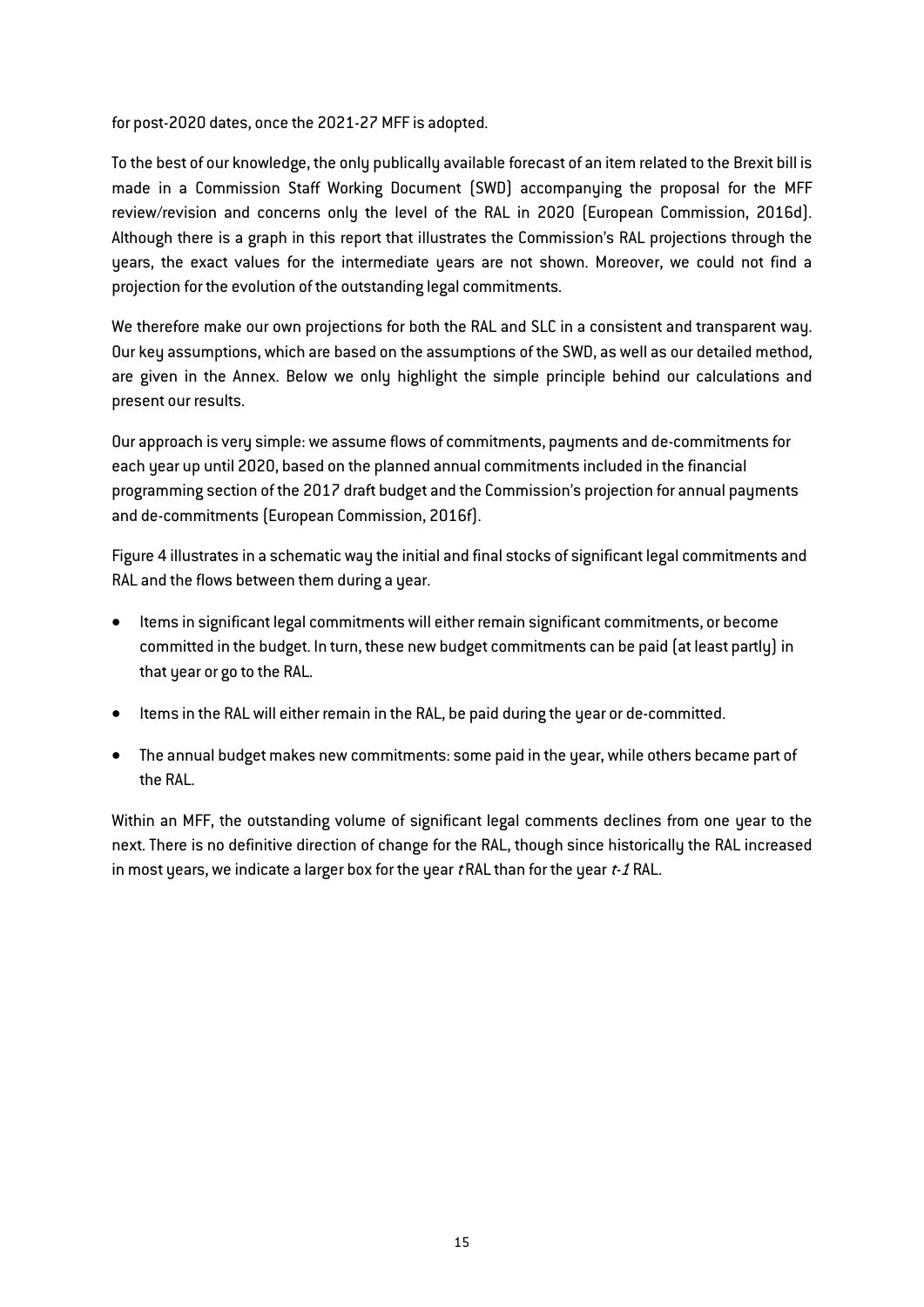for post-2020 dates, once the 2021-27 MFF is adopted.

To the best of our knowledge, the only publically available forecast of an item related to the Brexit bill is made in a Commission Staff Working Document (SWD) accompanying the proposal for the MFF review/revision and concerns only the level of the RAL in 2020 (European Commission, 2016d). Although there is a graph in this report that illustrates the Commission's RAL projections through the years, the exact values for the intermediate years are not shown. Moreover, we could not find a projection for the evolution of the outstanding legal commitments.

We therefore make our own projections for both the RAL and SLC in a consistent and transparent way. Our key assumptions, which are based on the assumptions of the SWD, as well as our detailed method, are given in the Annex. Below we only highlight the simple principle behind our calculations and present our results.

Our approach is very simple: we assume flows of commitments, payments and de-commitments for each year up until 2020, based on the planned annual commitments included in the financial programming section of the 2017 draft budget and the Commission's projection for annual payments and de-commitments (European Commission, 2016f).

Figure 4 illustrates in a schematic way the initial and final stocks of significant legal commitments and RAL and the flows between them during a year.

- Items in significant legal commitments will either remain significant commitments, or become committed in the budget. In turn, these new budget commitments can be paid (at least partly) in that year or go to the RAL.
- **•** Items in the RAL will either remain in the RAL, be paid during the year or de-committed.
- The annual budget makes new commitments: some paid in the year, while others became part of the RAL.

Within an MFF, the outstanding volume of significant legal comments declines from one year to the next. There is no definitive direction of change for the RAL, though since historically the RAL increased in most years, we indicate a larger box for the year  $t$  RAL than for the year  $t$ -1 RAL.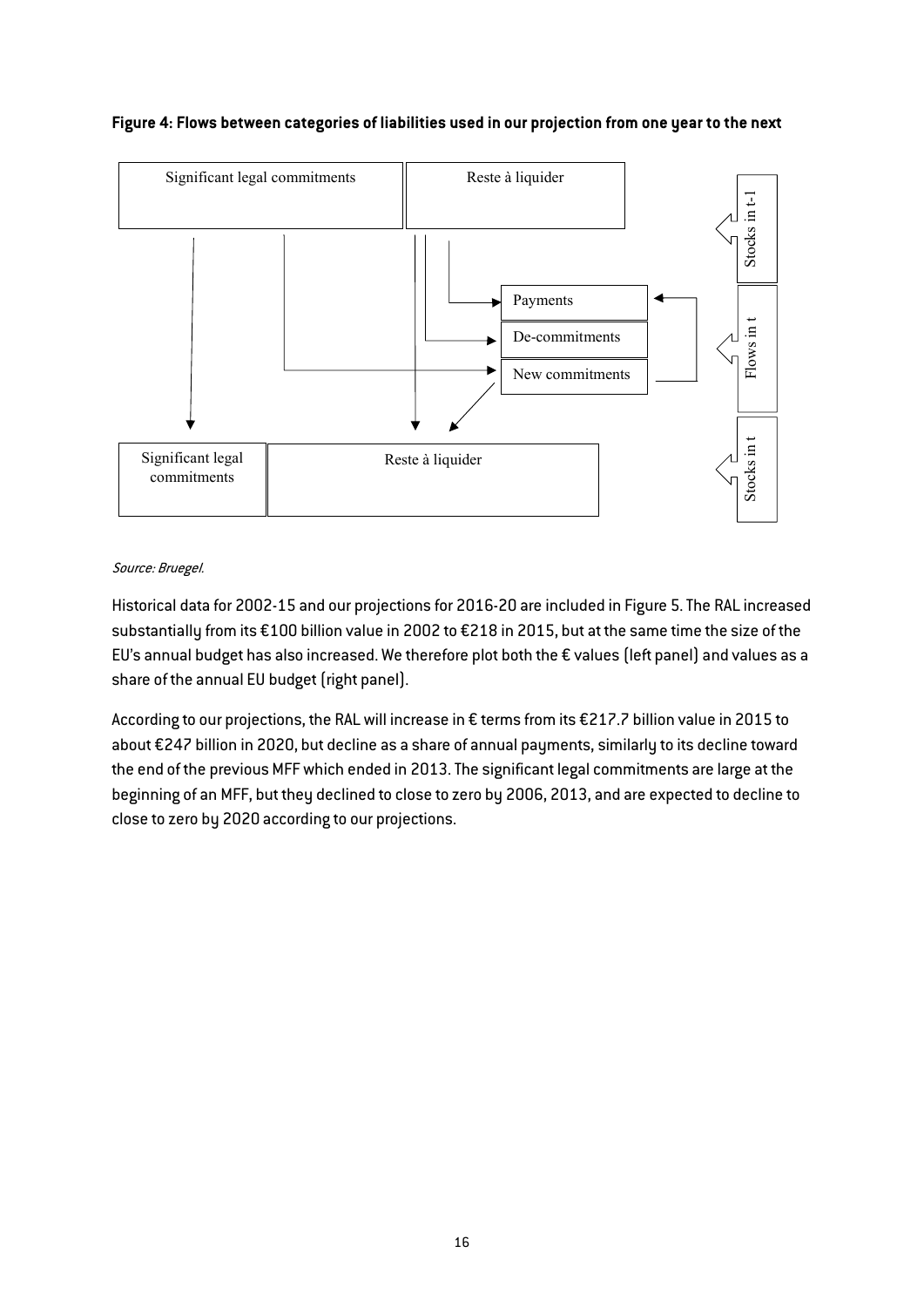## Figure 4: Flows between categories of liabilities used in our projection from one year to the next



#### Source: Bruegel.

Historical data for 2002-15 and our projections for 2016-20 are included in Figure 5. The RAL increased substantially from its €100 billion value in 2002 to €218 in 2015, but at the same time the size of the EU's annual budget has also increased. We therefore plot both the € values (left panel) and values as a share of the annual EU budget (right panel).

According to our projections, the RAL will increase in € terms from its €217.7 billion value in 2015 to about €247 billion in 2020, but decline as a share of annual payments, similarly to its decline toward the end of the previous MFF which ended in 2013. The significant legal commitments are large at the beginning of an MFF, but they declined to close to zero by 2006, 2013, and are expected to decline to close to zero by 2020 according to our projections.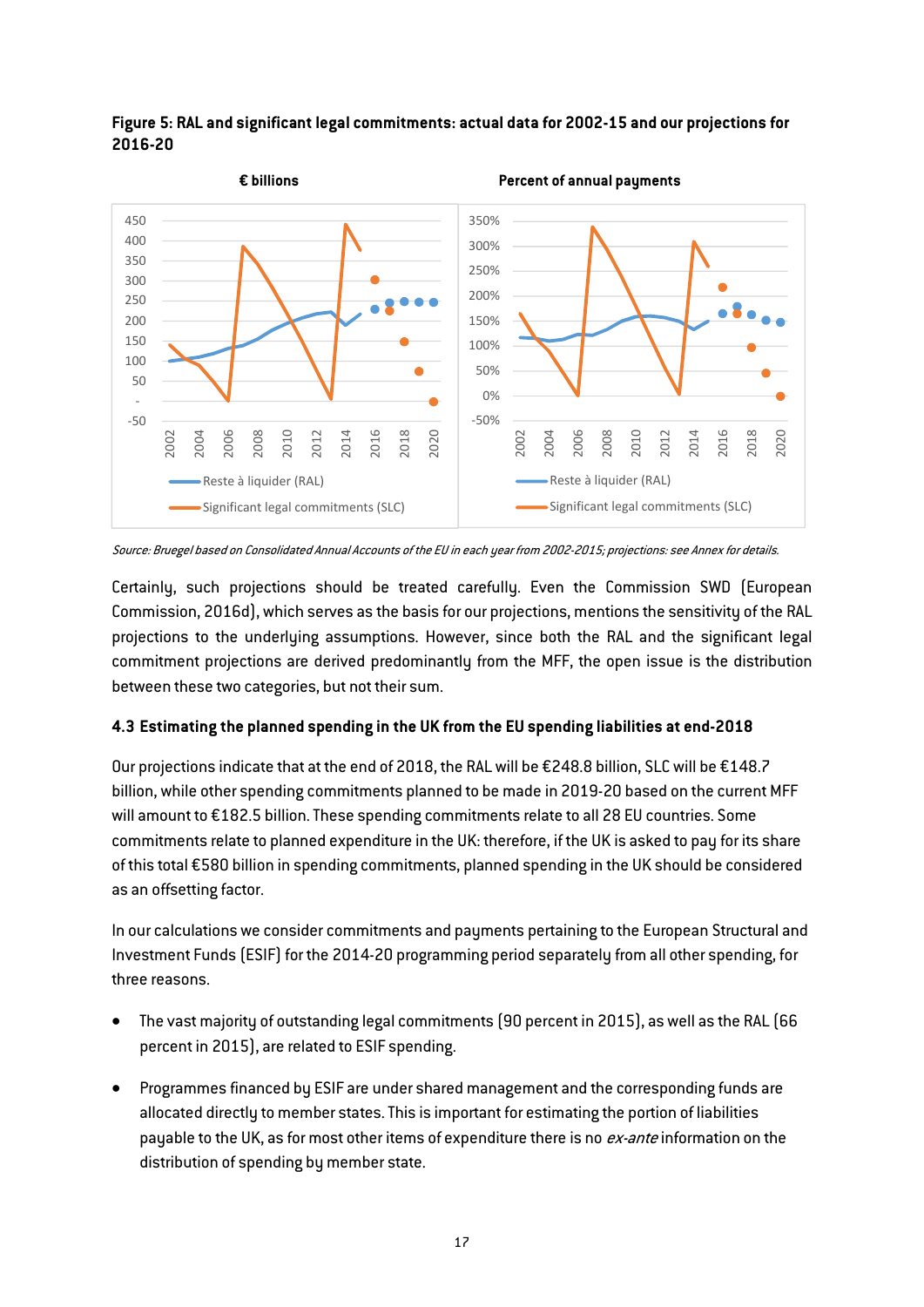![](_page_17_Figure_0.jpeg)

Figure 5: RAL and significant legal commitments: actual data for 2002-15 and our projections for 2016-20

Source: Bruegel based on Consolidated Annual Accounts of the EU in each year from 2002-2015; projections: see Annex for details.

Certainly, such projections should be treated carefully. Even the Commission SWD (European Commission, 2016d), which serves as the basis for our projections, mentions the sensitivity of the RAL projections to the underlying assumptions. However, since both the RAL and the significant legal commitment projections are derived predominantly from the MFF, the open issue is the distribution between these two categories, but not their sum.

## 4.3 Estimating the planned spending in the UK from the EU spending liabilities at end-2018

Our projections indicate that at the end of 2018, the RAL will be €248.8 billion, SLC will be €148.7 billion, while other spending commitments planned to be made in 2019-20 based on the current MFF will amount to €182.5 billion. These spending commitments relate to all 28 EU countries. Some commitments relate to planned expenditure in the UK: therefore, if the UK is asked to pay for its share of this total €580 billion in spending commitments, planned spending in the UK should be considered as an offsetting factor.

In our calculations we consider commitments and payments pertaining to the European Structural and Investment Funds (ESIF) for the 2014-20 programming period separately from all other spending, for three reasons.

- The vast majority of outstanding legal commitments (90 percent in 2015), as well as the RAL (66 percent in 2015), are related to ESIF spending.
- Programmes financed by ESIF are under shared management and the corresponding funds are allocated directly to member states. This is important for estimating the portion of liabilities payable to the UK, as for most other items of expenditure there is no ex-ante information on the distribution of spending by member state.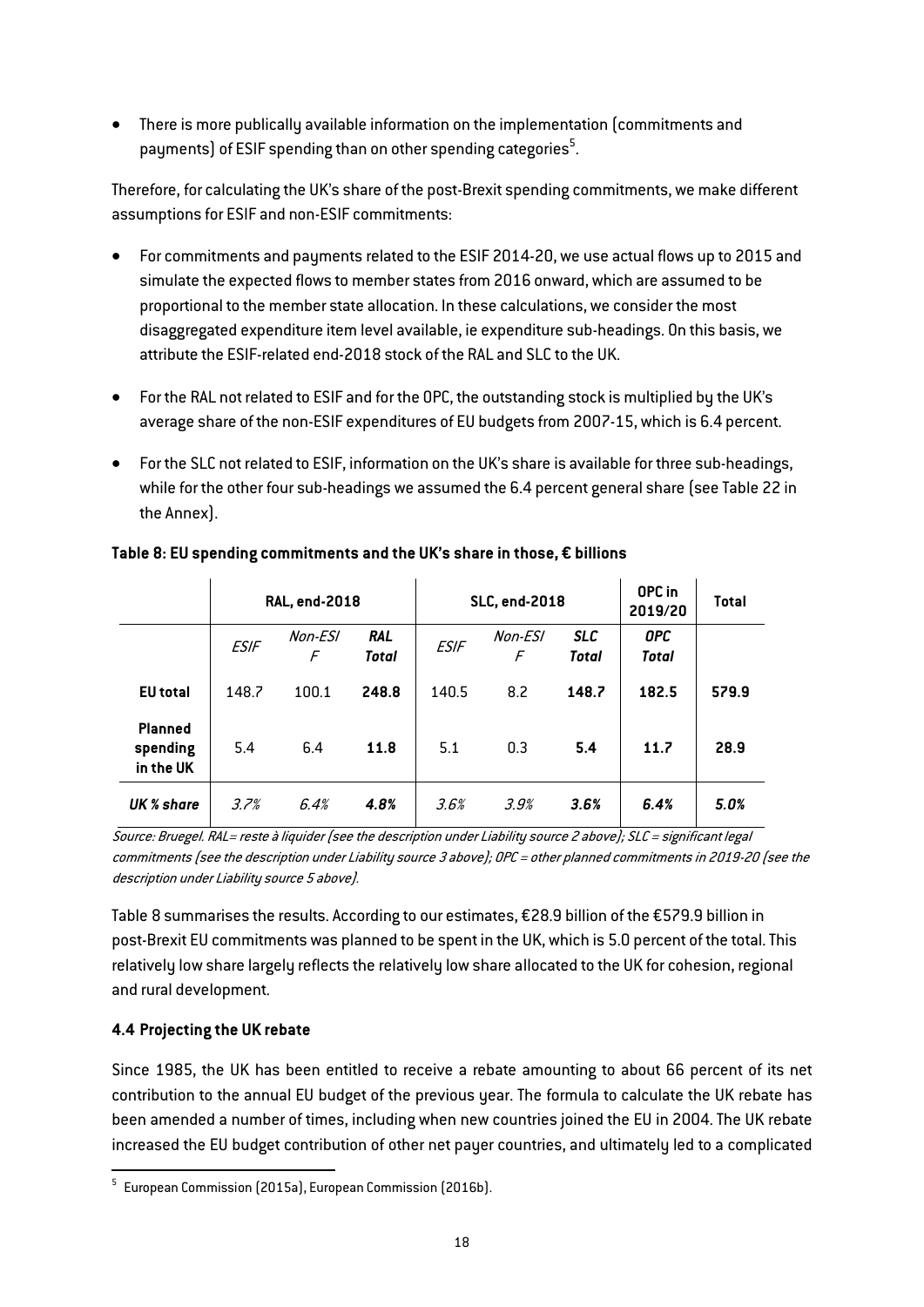There is more publically available information on the implementation (commitments and payments) of ESIF spending than on other spending categories $^5\!$ .

Therefore, for calculating the UK's share of the post-Brexit spending commitments, we make different assumptions for ESIF and non-ESIF commitments:

- For commitments and payments related to the ESIF 2014-20, we use actual flows up to 2015 and simulate the expected flows to member states from 2016 onward, which are assumed to be proportional to the member state allocation. In these calculations, we consider the most disaggregated expenditure item level available, ie expenditure sub-headings. On this basis, we attribute the ESIF-related end-2018 stock of the RAL and SLC to the UK.
- For the RAL not related to ESIF and for the OPC, the outstanding stock is multiplied by the UK's average share of the non-ESIF expenditures of EU budgets from 2007-15, which is 6.4 percent.
- For the SLC not related to ESIF, information on the UK's share is available for three sub-headings, while for the other four sub-headings we assumed the 6.4 percent general share (see [Table 22](#page-57-0) in the Annex).

|                                         | <b>RAL, end-2018</b> |              |                            | <b>SLC, end-2018</b> |              |                     | OPC in<br>2019/20   | <b>Total</b> |
|-----------------------------------------|----------------------|--------------|----------------------------|----------------------|--------------|---------------------|---------------------|--------------|
|                                         | <b>ESIF</b>          | Non-ESI<br>F | <b>RAL</b><br><b>Total</b> | <b>ESIF</b>          | Non-ESI<br>F | <b>SLC</b><br>Total | <b>OPC</b><br>Total |              |
| <b>EU</b> total                         | 148.7                | 100.1        | 248.8                      | 140.5                | 8.2          | 148.7               | 182.5               | 579.9        |
| <b>Planned</b><br>spending<br>in the UK | 5.4                  | 6.4          | 11.8                       | 5.1                  | 0.3          | 5.4                 | 11.7                | 28.9         |
| UK % share                              | 3.7%                 | 6.4%         | 4.8%                       | 3.6%                 | 3.9%         | 3.6%                | 6.4%                | 5.0%         |

## Table 8: EU spending commitments and the UK's share in those, € billions

Source: Bruegel. RAL= reste à liquider (see the description under Liability source 2 above); SLC = significant legal commitments (see the description under Liability source 3 above); OPC = other planned commitments in 2019-20 (see the description under Liability source 5 above).

Table 8 summarises the results. According to our estimates, €28.9 billion of the €579.9 billion in post-Brexit EU commitments was planned to be spent in the UK, which is 5.0 percent of the total. This relatively low share largely reflects the relatively low share allocated to the UK for cohesion, regional and rural development.

## 4.4 Projecting the UK rebate

Since 1985, the UK has been entitled to receive a rebate amounting to about 66 percent of its net contribution to the annual EU budget of the previous year. The formula to calculate the UK rebate has been amended a number of times, including when new countries joined the EU in 2004. The UK rebate increased the EU budget contribution of other net payer countries, and ultimately led to a complicated

 $5$  European Commission (2015a), European Commission (2016b).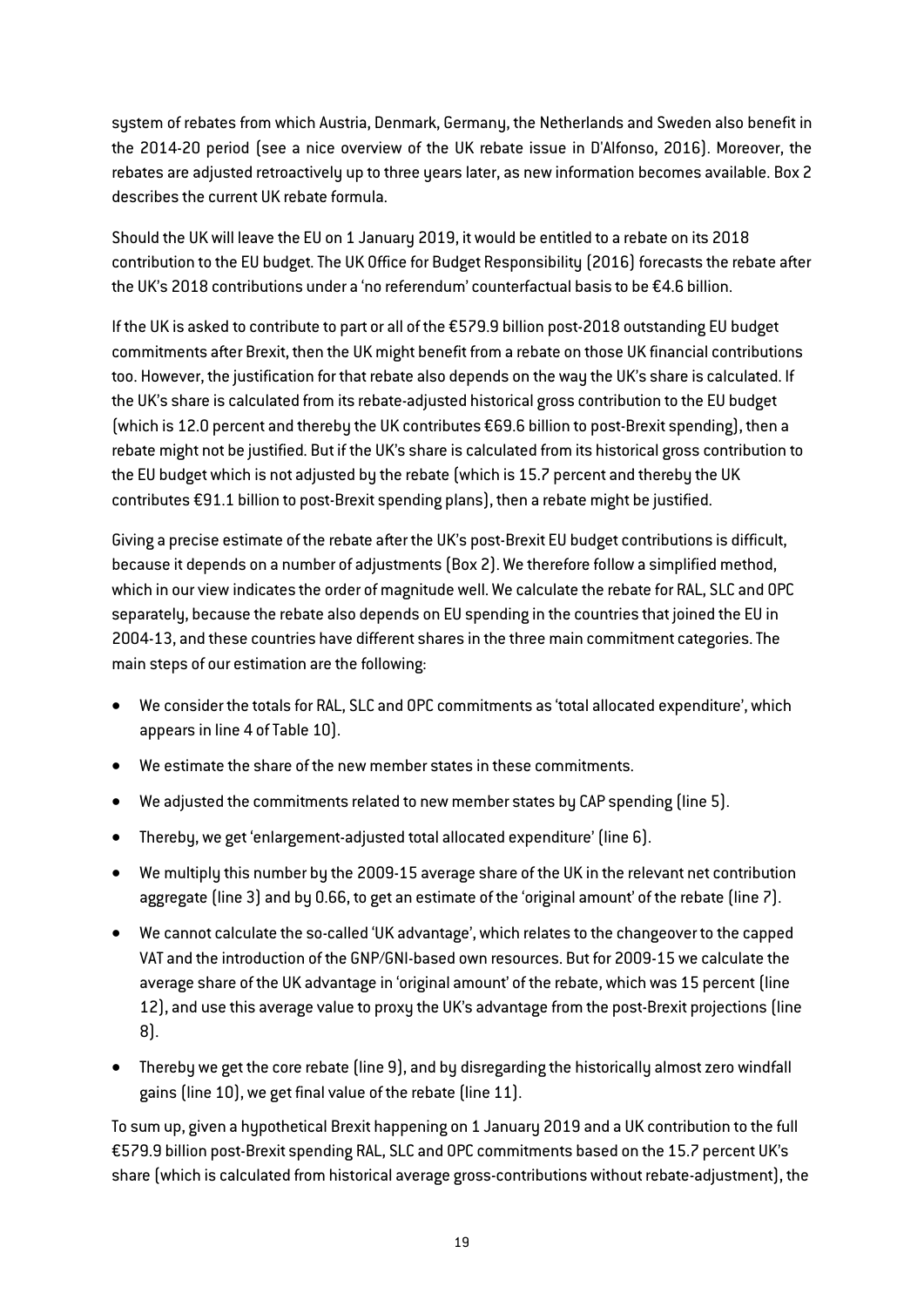system of rebates from which Austria, Denmark, Germany, the Netherlands and Sweden also benefit in the 2014-20 period (see a nice overview of the UK rebate issue in D'Alfonso, 2016). Moreover, the rebates are adjusted retroactively up to three years later, as new information becomes available. Box 2 describes the current UK rebate formula.

Should the UK will leave the EU on 1 January 2019, it would be entitled to a rebate on its 2018 contribution to the EU budget. The UK Office for Budget Responsibility (2016) forecasts the rebate after the UK's 2018 contributions under a 'no referendum' counterfactual basis to be €4.6 billion.

If the UK is asked to contribute to part or all of the €579.9 billion post-2018 outstanding EU budget commitments after Brexit, then the UK might benefit from a rebate on those UK financial contributions too. However, the justification for that rebate also depends on the way the UK's share is calculated. If the UK's share is calculated from its rebate-adjusted historical gross contribution to the EU budget (which is 12.0 percent and thereby the UK contributes €69.6 billion to post-Brexit spending), then a rebate might not be justified. But if the UK's share is calculated from its historical gross contribution to the EU budget which is not adjusted by the rebate (which is 15.7 percent and thereby the UK contributes €91.1 billion to post-Brexit spending plans), then a rebate might be justified.

Giving a precise estimate of the rebate after the UK's post-Brexit EU budget contributions is difficult, because it depends on a number of adjustments (Box 2). We therefore follow a simplified method, which in our view indicates the order of magnitude well. We calculate the rebate for RAL, SLC and OPC separately, because the rebate also depends on EU spending in the countries that joined the EU in 2004-13, and these countries have different shares in the three main commitment categories. The main steps of our estimation are the following:

- We consider the totals for RAL, SLC and OPC commitments as 'total allocated expenditure', which appears in line 4 of [Table 10\).](#page-21-0)
- We estimate the share of the new member states in these commitments.
- We adjusted the commitments related to new member states by CAP spending (line 5).
- Thereby, we get 'enlargement-adjusted total allocated expenditure' (line 6).
- We multiply this number by the 2009-15 average share of the UK in the relevant net contribution aggregate (line 3) and by 0.66, to get an estimate of the 'original amount' of the rebate (line 7).
- We cannot calculate the so-called 'UK advantage', which relates to the changeover to the capped VAT and the introduction of the GNP/GNI-based own resources. But for 2009-15 we calculate the average share of the UK advantage in 'original amount' of the rebate, which was 15 percent (line 12), and use this average value to proxy the UK's advantage from the post-Brexit projections (line 8).
- Thereby we get the core rebate (line 9), and by disregarding the historically almost zero windfall gains (line 10), we get final value of the rebate (line 11).

To sum up, given a hypothetical Brexit happening on 1 January 2019 and a UK contribution to the full €579.9 billion post-Brexit spending RAL, SLC and OPC commitments based on the 15.7 percent UK's share (which is calculated from historical average gross-contributions without rebate-adjustment), the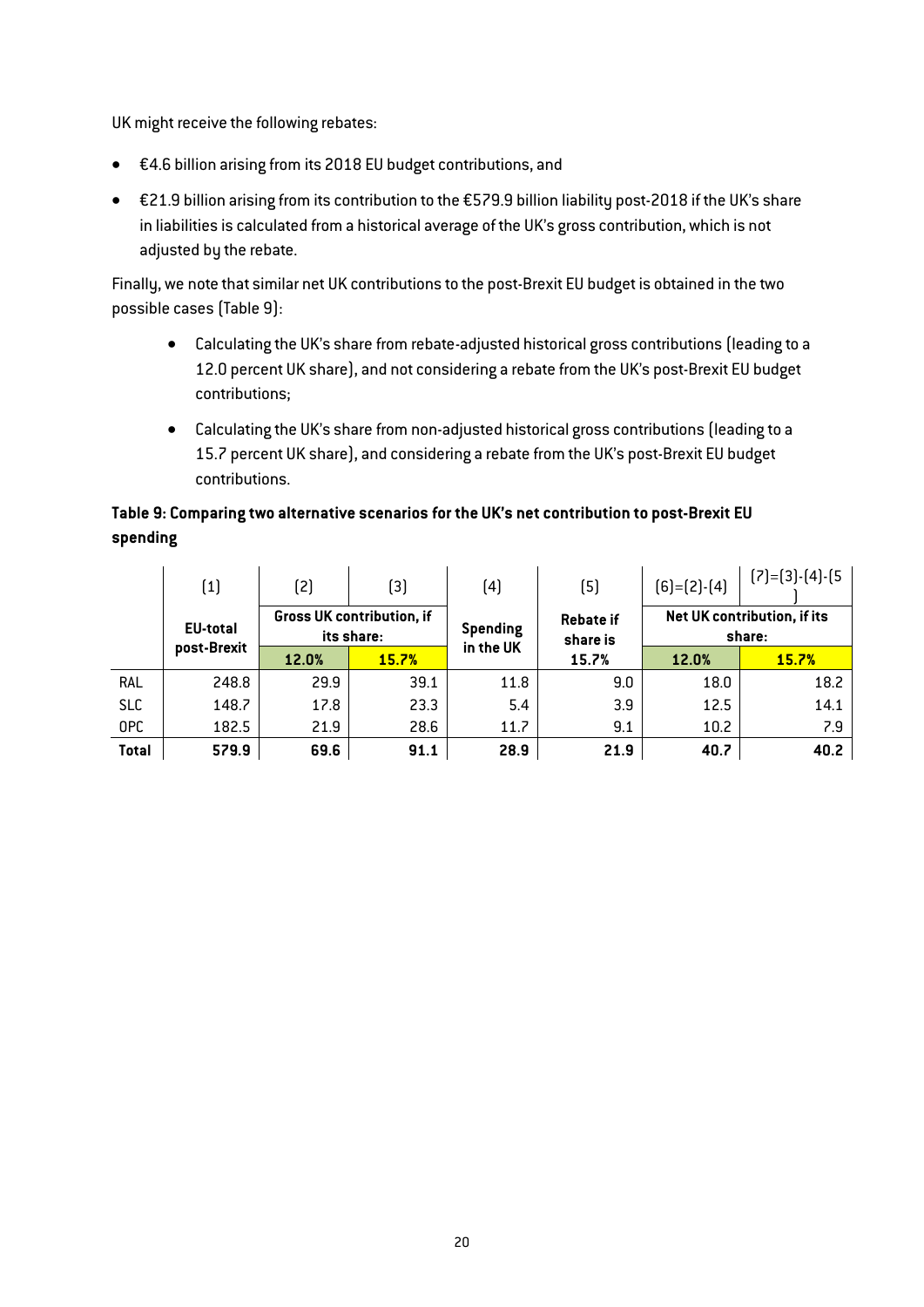UK might receive the following rebates:

- €4.6 billion arising from its 2018 EU budget contributions, and
- €21.9 billion arising from its contribution to the €579.9 billion liability post-2018 if the UK's share in liabilities is calculated from a historical average of the UK's gross contribution, which is not adjusted by the rebate.

Finally, we note that similar net UK contributions to the post-Brexit EU budget is obtained in the two possible cases [\(Table 9\):](#page-20-0)

- Calculating the UK's share from rebate-adjusted historical gross contributions (leading to a 12.0 percent UK share), and not considering a rebate from the UK's post-Brexit EU budget contributions;
- Calculating the UK's share from non-adjusted historical gross contributions (leading to a 15.7 percent UK share), and considering a rebate from the UK's post-Brexit EU budget contributions.

# <span id="page-20-0"></span>Table 9: Comparing two alternative scenarios for the UK's net contribution to post-Brexit EU spending

|              | (1)             | (2)   | (3)                                            | (4)       | (5)                          | $[6]=[2]$ - $[4]$ | $[7]=[3]$ - $[4]$ - $[5]$             |  |  |
|--------------|-----------------|-------|------------------------------------------------|-----------|------------------------------|-------------------|---------------------------------------|--|--|
|              | <b>EU-total</b> |       | <b>Gross UK contribution, if</b><br>its share: | Spending  | <b>Rebate if</b><br>share is |                   | Net UK contribution, if its<br>share: |  |  |
|              | post-Brexit     | 12.0% | 15.7%                                          | in the UK | 15.7%                        | 12.0%             | <b>15.7%</b>                          |  |  |
| RAL          | 248.8           | 29.9  | 39.1                                           | 11.8      | 9.0                          | 18.0              | 18.2                                  |  |  |
| <b>SLC</b>   | 148.7           | 17.8  | 23.3                                           | 5.4       | 3.9                          | 12.5              | 14.1                                  |  |  |
| 0PC          | 182.5           | 21.9  | 28.6                                           | 11.7      | 9.1                          | 10.2              | 7.9                                   |  |  |
| <b>Total</b> | 579.9           | 69.6  | 91.1                                           | 28.9      | 21.9                         | 40.7              | 40.2                                  |  |  |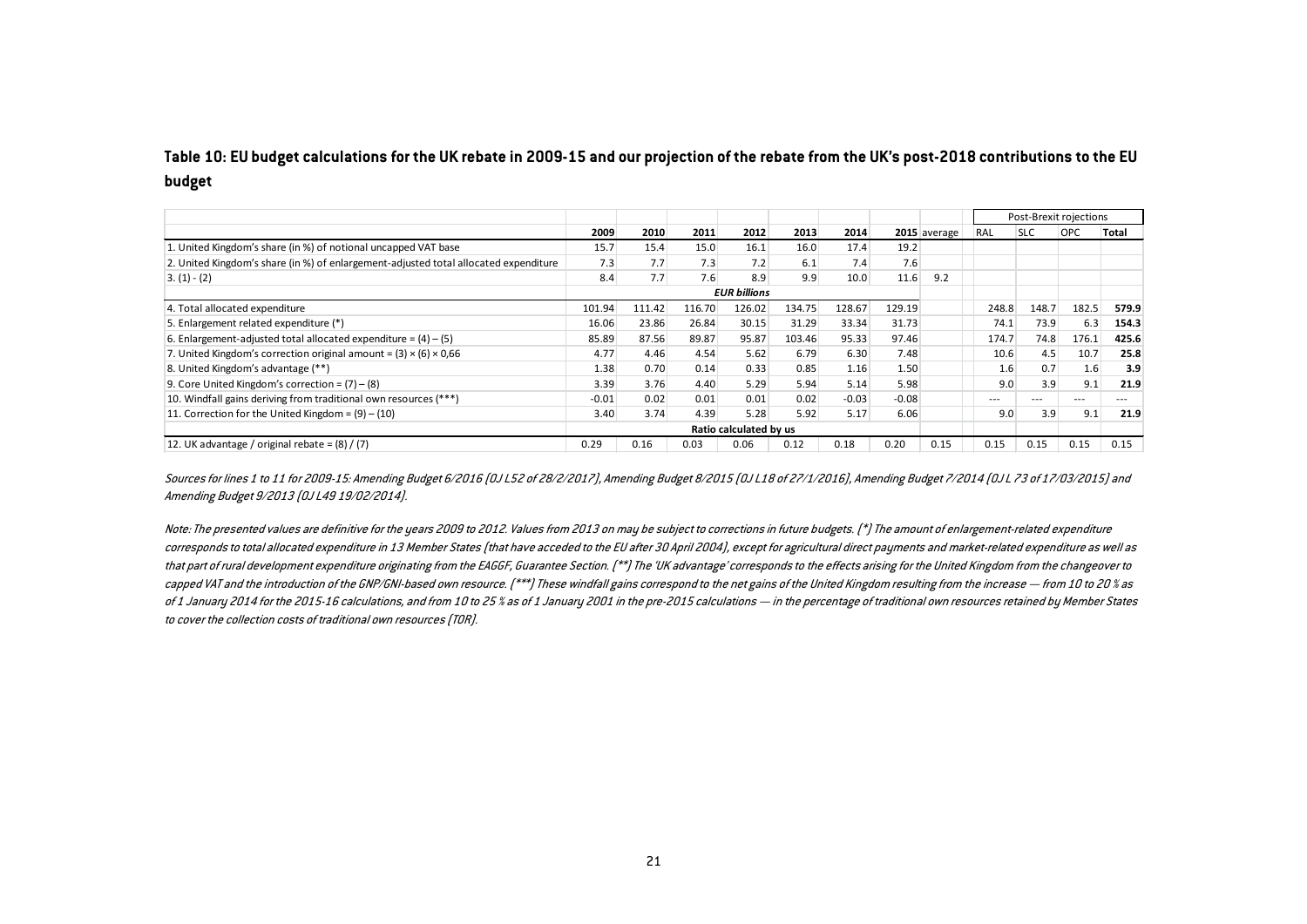## <span id="page-21-0"></span>Table 10: EU budget calculations for the UK rebate in 2009-15 and our projection of the rebate from the UK's post-2018 contributions to the EU budget

|                                                                                      |         |        |        |                        |        |         |         |              |         |            | Post-Brexit rojections |       |
|--------------------------------------------------------------------------------------|---------|--------|--------|------------------------|--------|---------|---------|--------------|---------|------------|------------------------|-------|
|                                                                                      | 2009    | 2010   | 2011   | 2012                   | 2013   | 2014    |         | 2015 average | RAL     | <b>SLC</b> | <b>OPC</b>             | Total |
| 1. United Kingdom's share (in %) of notional uncapped VAT base                       | 15.7    | 15.4   | 15.0   | 16.1                   | 16.0   | 17.4    | 19.2    |              |         |            |                        |       |
| 2. United Kingdom's share (in %) of enlargement-adjusted total allocated expenditure | 7.3     | 7.7    | 7.3    | 7.2                    | 6.1    | 7.4     | 7.6     |              |         |            |                        |       |
| $3. (1) - (2)$                                                                       | 8.4     | 7.7    | 7.6    | 8.9                    | 9.9    | 10.0    | 11.6    | 9.2          |         |            |                        |       |
|                                                                                      |         |        |        | <b>EUR billions</b>    |        |         |         |              |         |            |                        |       |
| 4. Total allocated expenditure                                                       | 101.94  | 111.42 | 116.70 | 126.02                 | 134.75 | 128.67  | 129.19  |              | 248.8   | 148.7      | 182.5                  | 579.9 |
| 5. Enlargement related expenditure (*)                                               | 16.06   | 23.86  | 26.84  | 30.15                  | 31.29  | 33.34   | 31.73   |              | 74.1    | 73.9       | 6.3                    | 154.3 |
| 6. Enlargement-adjusted total allocated expenditure = $(4) - (5)$                    | 85.89   | 87.56  | 89.87  | 95.87                  | 103.46 | 95.33   | 97.46   |              | 174.7   | 74.8       | 176.1                  | 425.6 |
| 7. United Kingdom's correction original amount = $(3) \times (6) \times 0.66$        | 4.77    | 4.46   | 4.54   | 5.62                   | 6.79   | 6.30    | 7.48    |              | 10.6    | 4.5        | 10.7                   | 25.8  |
| 8. United Kingdom's advantage (**)                                                   | 1.38    | 0.70   | 0.14   | 0.33                   | 0.85   | 1.16    | 1.50    |              | 1.6     | 0.7        | 1.6                    | 3.9   |
| 9. Core United Kingdom's correction = $(7) - (8)$                                    | 3.39    | 3.76   | 4.40   | 5.29                   | 5.94   | 5.14    | 5.98    |              | 9.0     | 3.9        | 9.1                    | 21.9  |
| 10. Windfall gains deriving from traditional own resources (***)                     | $-0.01$ | 0.02   | 0.01   | 0.01                   | 0.02   | $-0.03$ | $-0.08$ |              | $- - -$ | $- - -$    | $---$                  | $---$ |
| 11. Correction for the United Kingdom = $(9) - (10)$                                 | 3.40    | 3.74   | 4.39   | 5.28                   | 5.92   | 5.17    | 6.06    |              | 9.0     | 3.9        | 9.1                    | 21.9  |
|                                                                                      |         |        |        | Ratio calculated by us |        |         |         |              |         |            |                        |       |
| 12. UK advantage / original rebate = $(8)$ / $(7)$                                   | 0.29    | 0.16   | 0.03   | 0.06                   | 0.12   | 0.18    | 0.20    | 0.15         | 0.15    | 0.15       | 0.15                   | 0.15  |

Sources for lines 1 to 11 for 2009-15: Amending Budget 6/2016 (0J L52 of 28/2/2017), Amending Budget 8/2015 (0J L18 of 27/1/2016), Amending Budget 7/2014 (0J L 73 of 17/03/2015) and Amending Budget 9/2013 (OJ L49 19/02/2014).

Note: The presented values are definitive for the years 2009 to 2012. Values from 2013 on may be subject to corrections in future budgets. (\*) The amount of enlargement-related expenditure corresponds to total allocated expenditure in 13 Member States (that have acceded to the EU after 30 April 2004), except for agricultural direct payments and market-related expenditure as well as that part of rural development expenditure originating from the EAGGF, Guarantee Section. (\*\*) The 'UK advantage' corresponds to the effects arising for the United Kingdom from the changeover to capped VAT and the introduction of the GNP/GNI-based own resource. [\*\*\*] These windfall gains correspond to the net gains of the United Kingdom resulting from the increase — from 10 to 20 % as of 1 January 2014 for the 2015-16 calculations, and from 10 to 25 % as of 1 January 2001 in the pre-2015 calculations — in the percentage of traditional own resources retained by Member States to cover the collection costs of traditional own resources (TOR).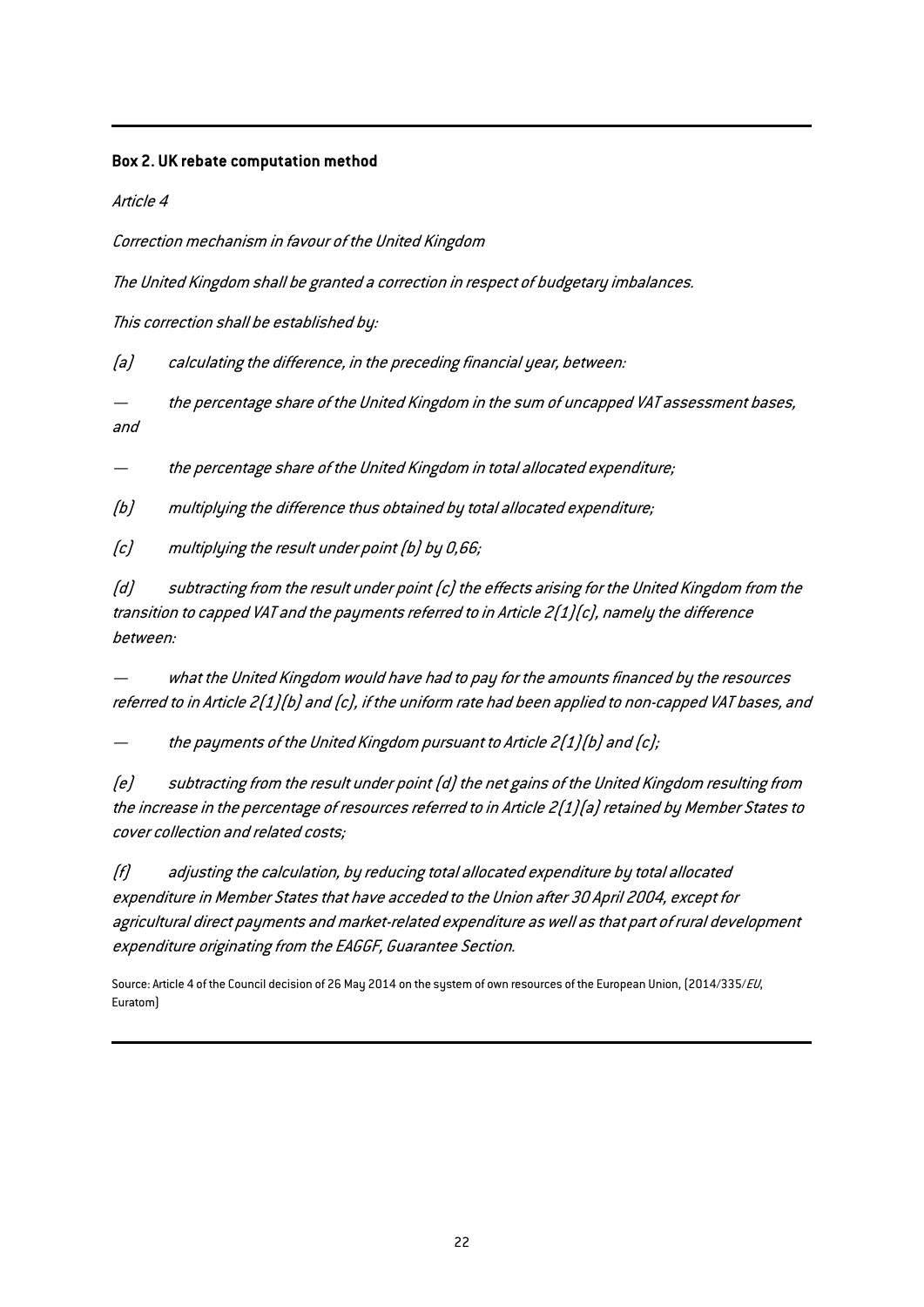## Box 2. UK rebate computation method

Article 4

Correction mechanism in favour of the United Kingdom

The United Kingdom shall be granted a correction in respect of budgetary imbalances.

This correction shall be established by:

(a) calculating the difference, in the preceding financial year, between:

 the percentage share of the United Kingdom in the sum of uncapped VAT assessment bases, and

the percentage share of the United Kingdom in total allocated expenditure;

(b) multiplying the difference thus obtained by total allocated expenditure;

(c) multiplying the result under point (b) by 0,66;

(d) subtracting from the result under point (c) the effects arising for the United Kingdom from the transition to capped VAT and the payments referred to in Article 2(1)(c), namely the difference between:

 what the United Kingdom would have had to pay for the amounts financed by the resources referred to in Article 2(1)(b) and (c), if the uniform rate had been applied to non-capped VAT bases, and

the payments of the United Kingdom pursuant to Article 2(1)(b) and (c);

(e) subtracting from the result under point (d) the net gains of the United Kingdom resulting from the increase in the percentage of resources referred to in Article 2(1)(a) retained by Member States to cover collection and related costs;

(f) adjusting the calculation, by reducing total allocated expenditure by total allocated expenditure in Member States that have acceded to the Union after 30 April 2004, except for agricultural direct payments and market-related expenditure as well as that part of rural development expenditure originating from the EAGGF, Guarantee Section.

Source: Article 4 of the Council decision of 26 May 2014 on the system of own resources of the European Union, (2014/335/EU, Euratom)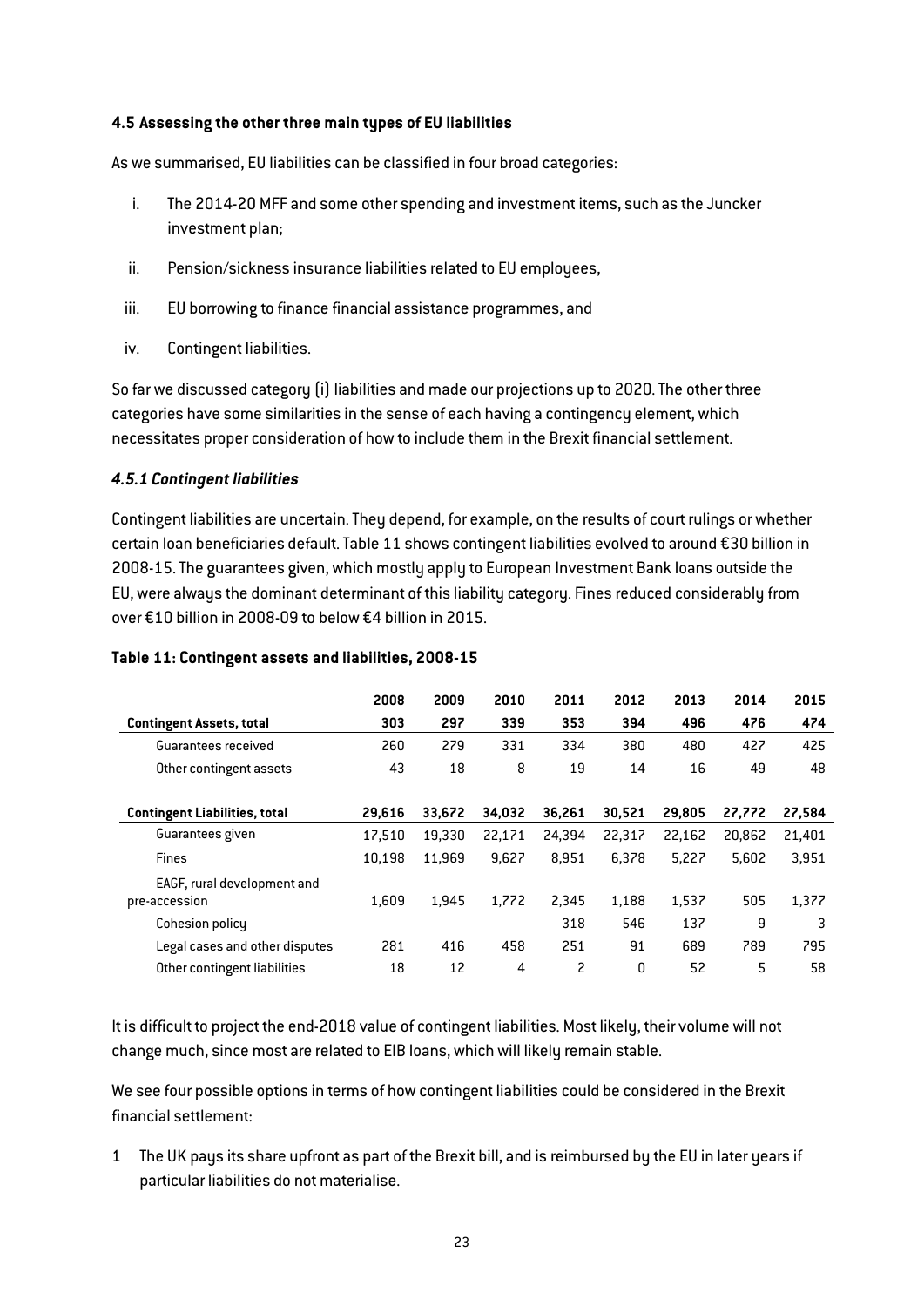## 4.5 Assessing the other three main types of EU liabilities

As we summarised, EU liabilities can be classified in four broad categories:

- i. The 2014-20 MFF and some other spending and investment items, such as the Juncker investment plan;
- ii. Pension/sickness insurance liabilities related to EU employees,
- iii. EU borrowing to finance financial assistance programmes, and
- iv. Contingent liabilities.

So far we discussed category (i) liabilities and made our projections up to 2020. The other three categories have some similarities in the sense of each having a contingency element, which necessitates proper consideration of how to include them in the Brexit financial settlement.

## *4.5.1 Contingent liabilities*

Contingent liabilities are uncertain. They depend, for example, on the results of court rulings or whether certain loan beneficiaries default. [Table 11](#page-23-0) shows contingent liabilities evolved to around €30 billion in 2008-15. The guarantees given, which mostly apply to European Investment Bank loans outside the EU, were always the dominant determinant of this liability category. Fines reduced considerably from over €10 billion in 2008-09 to below €4 billion in 2015.

|                                      | 2008   | 2009   | 2010   | 2011   | 2012   | 2013   | 2014   | 2015   |
|--------------------------------------|--------|--------|--------|--------|--------|--------|--------|--------|
| <b>Contingent Assets, total</b>      | 303    | 297    | 339    | 353    | 394    | 496    | 476    | 474    |
| Guarantees received                  | 260    | 279    | 331    | 334    | 380    | 480    | 427    | 425    |
| Other contingent assets              | 43     | 18     | 8      | 19     | 14     | 16     | 49     | 48     |
| <b>Contingent Liabilities, total</b> | 29.616 | 33.672 | 34.032 | 36.261 | 30.521 | 29,805 | 27.772 | 27,584 |
| Guarantees given                     | 17.510 | 19.330 | 22.171 | 24.394 | 22.317 | 22.162 | 20.862 | 21.401 |
| <b>Fines</b>                         | 10.198 | 11.969 | 9.627  | 8.951  | 6,378  | 5.227  | 5.602  | 3,951  |
| EAGF, rural development and          |        |        |        |        |        |        |        |        |
| pre-accession                        | 1.609  | 1,945  | 1,772  | 2,345  | 1,188  | 1,537  | 505    | 1,377  |
| Cohesion policy                      |        |        |        | 318    | 546    | 137    | 9      | 3      |
| Legal cases and other disputes       | 281    | 416    | 458    | 251    | 91     | 689    | 789    | 795    |
| Other contingent liabilities         | 18     | 12     | 4      | 2      | 0      | 52     | 5      | 58     |

#### <span id="page-23-0"></span>Table 11: Contingent assets and liabilities, 2008-15

It is difficult to project the end-2018 value of contingent liabilities. Most likely, their volume will not change much, since most are related to EIB loans, which will likely remain stable.

We see four possible options in terms of how contingent liabilities could be considered in the Brexit financial settlement:

1 The UK pays its share upfront as part of the Brexit bill, and is reimbursed by the EU in later years if particular liabilities do not materialise.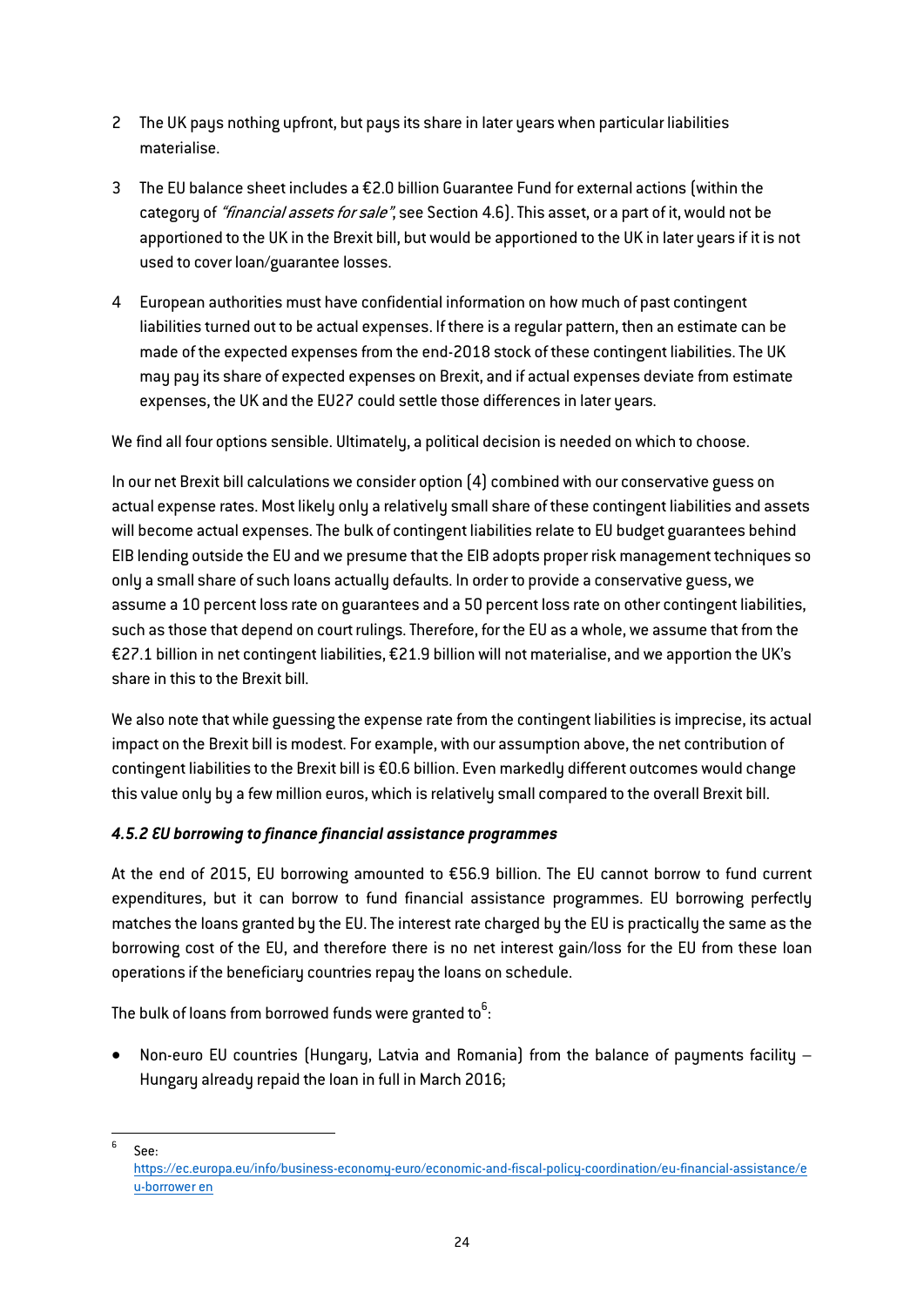- 2 The UK pays nothing upfront, but pays its share in later years when particular liabilities materialise.
- 3 The EU balance sheet includes a €2.0 billion Guarantee Fund for external actions (within the category of "*financial assets for sale*", see Section 4.6). This asset, or a part of it, would not be apportioned to the UK in the Brexit bill, but would be apportioned to the UK in later years if it is not used to cover loan/guarantee losses.
- 4 European authorities must have confidential information on how much of past contingent liabilities turned out to be actual expenses. If there is a regular pattern, then an estimate can be made of the expected expenses from the end-2018 stock of these contingent liabilities. The UK may pay its share of expected expenses on Brexit, and if actual expenses deviate from estimate expenses, the UK and the EU27 could settle those differences in later years.

We find all four options sensible. Ultimately, a political decision is needed on which to choose.

In our net Brexit bill calculations we consider option (4) combined with our conservative guess on actual expense rates. Most likely only a relatively small share of these contingent liabilities and assets will become actual expenses. The bulk of contingent liabilities relate to EU budget guarantees behind EIB lending outside the EU and we presume that the EIB adopts proper risk management techniques so only a small share of such loans actually defaults. In order to provide a conservative guess, we assume a 10 percent loss rate on guarantees and a 50 percent loss rate on other contingent liabilities, such as those that depend on court rulings. Therefore, for the EU as a whole, we assume that from the €27.1 billion in net contingent liabilities, €21.9 billion will not materialise, and we apportion the UK's share in this to the Brexit bill.

We also note that while guessing the expense rate from the contingent liabilities is imprecise, its actual impact on the Brexit bill is modest. For example, with our assumption above, the net contribution of contingent liabilities to the Brexit bill is €0.6 billion. Even markedly different outcomes would change this value only by a few million euros, which is relatively small compared to the overall Brexit bill.

## *4.5.2 EU borrowing to finance financial assistance programmes*

At the end of 2015, EU borrowing amounted to €56.9 billion. The EU cannot borrow to fund current expenditures, but it can borrow to fund financial assistance programmes. EU borrowing perfectly matches the loans granted by the EU. The interest rate charged by the EU is practically the same as the borrowing cost of the EU, and therefore there is no net interest gain/loss for the EU from these loan operations if the beneficiary countries repay the loans on schedule.

The bulk of loans from borrowed funds were granted to $^6$ :

 Non-euro EU countries (Hungary, Latvia and Romania) from the balance of payments facility – Hungary already repaid the loan in full in March 2016;

 $6 \text{ }$  See:

https://ec.europa.eu/info/business-economy-euro/economic-and-fiscal-policy-coordination/eu-financial-assistance/e u-borrower en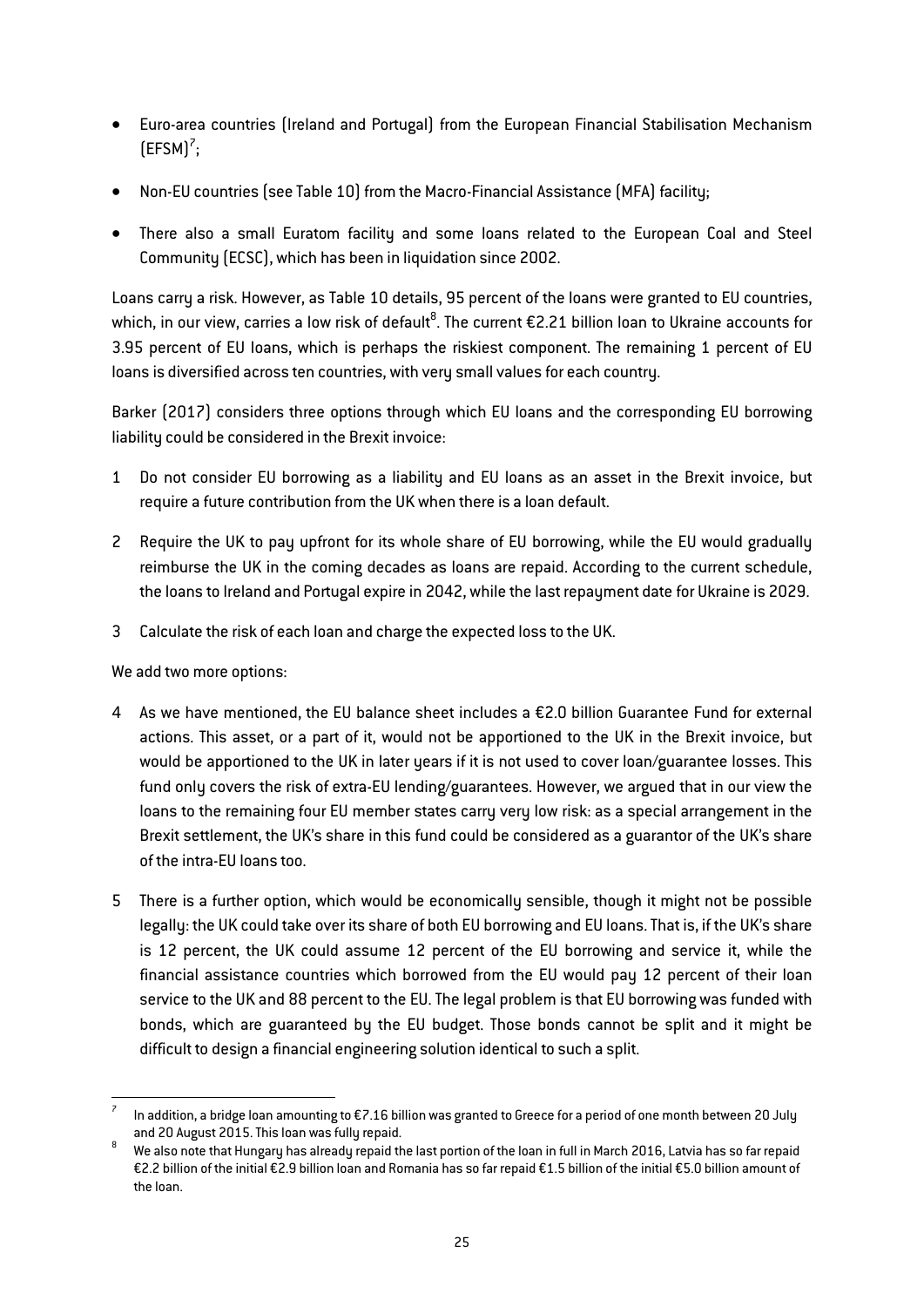- Euro-area countries (Ireland and Portugal) from the European Financial Stabilisation Mechanism  $(EFSM)<sup>7</sup>$ ;
- Non-EU countries (see [Table 10\) f](#page-21-0)rom the Macro-Financial Assistance (MFA) facility;
- There also a small Euratom facility and some loans related to the European Coal and Steel Community (ECSC), which has been in liquidation since 2002.

Loans carry a risk. However, as [Table 10](#page-21-0) details, 95 percent of the loans were granted to EU countries, which, in our view, carries a low risk of default $^8$ . The current €2.21 billion loan to Ukraine accounts for 3.95 percent of EU loans, which is perhaps the riskiest component. The remaining 1 percent of EU loans is diversified across ten countries, with very small values for each country.

Barker (2017) considers three options through which EU loans and the corresponding EU borrowing liability could be considered in the Brexit invoice:

- 1 Do not consider EU borrowing as a liability and EU loans as an asset in the Brexit invoice, but require a future contribution from the UK when there is a loan default.
- 2 Require the UK to pay upfront for its whole share of EU borrowing, while the EU would gradually reimburse the UK in the coming decades as loans are repaid. According to the current schedule, the loans to Ireland and Portugal expire in 2042, while the last repayment date for Ukraine is 2029.
- 3 Calculate the risk of each loan and charge the expected loss to the UK.

We add two more options:

- 4 As we have mentioned, the EU balance sheet includes a €2.0 billion Guarantee Fund for external actions. This asset, or a part of it, would not be apportioned to the UK in the Brexit invoice, but would be apportioned to the UK in later years if it is not used to cover loan/guarantee losses. This fund only covers the risk of extra-EU lending/guarantees. However, we argued that in our view the loans to the remaining four EU member states carry very low risk: as a special arrangement in the Brexit settlement, the UK's share in this fund could be considered as a guarantor of the UK's share of the intra-EU loans too.
- 5 There is a further option, which would be economically sensible, though it might not be possible legally: the UK could take over its share of both EU borrowing and EU loans. That is, if the UK's share is 12 percent, the UK could assume 12 percent of the EU borrowing and service it, while the financial assistance countries which borrowed from the EU would pay 12 percent of their loan service to the UK and 88 percent to the EU. The legal problem is that EU borrowing was funded with bonds, which are guaranteed by the EU budget. Those bonds cannot be split and it might be difficult to design a financial engineering solution identical to such a split.

In addition, a bridge loan amounting to  $E7.16$  billion was granted to Greece for a period of one month between 20 July

and 20 August 2015. This loan was fully repaid.<br>We also note that Hungary has already repaid the last portion of the loan in full in March 2016, Latvia has so far repaid €2.2 billion of the initial €2.9 billion loan and Romania has so far repaid €1.5 billion of the initial €5.0 billion amount of the loan.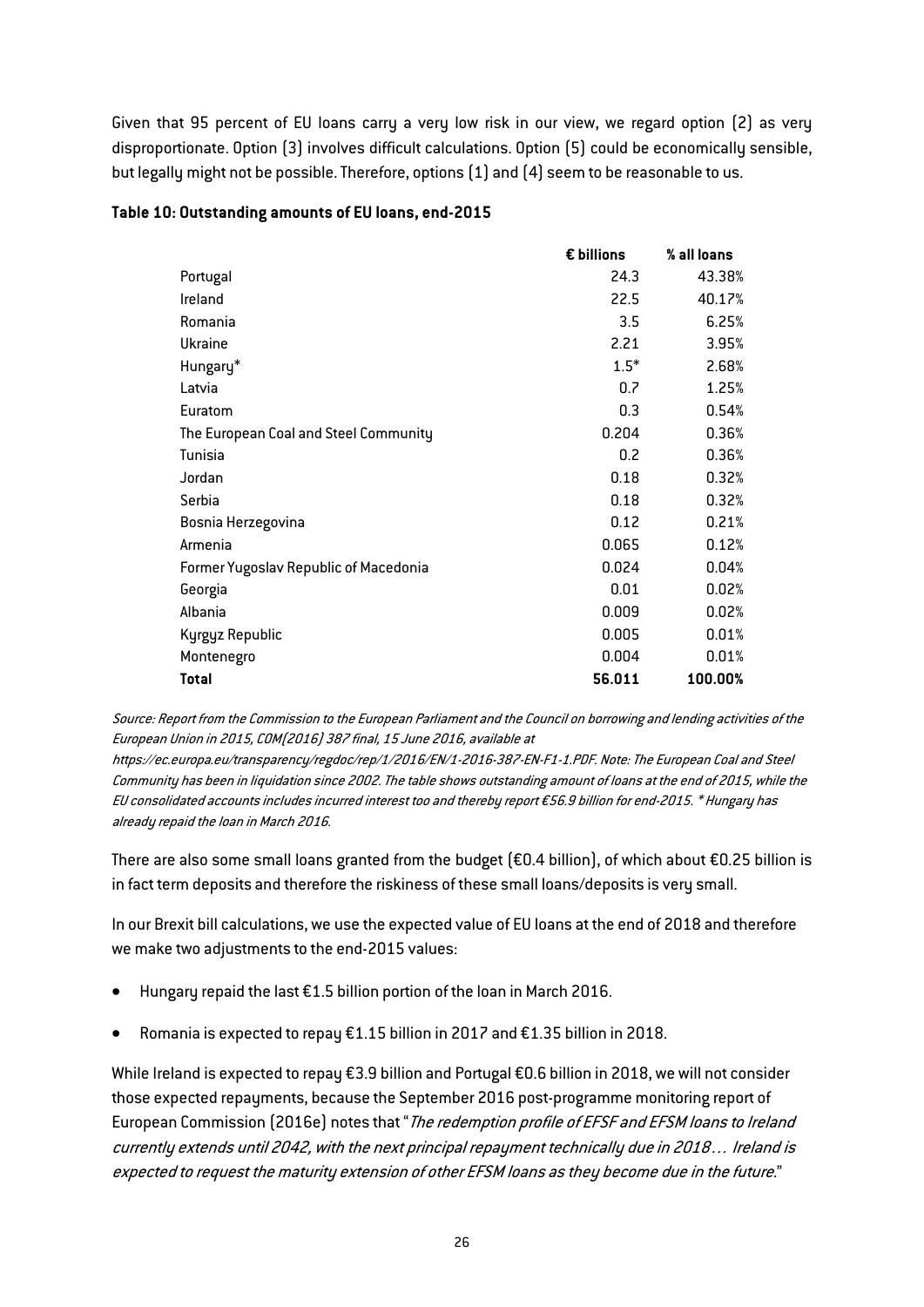Given that 95 percent of EU loans carry a very low risk in our view, we regard option (2) as very disproportionate. Option (3) involves difficult calculations. Option (5) could be economically sensible, but legally might not be possible. Therefore, options (1) and (4) seem to be reasonable to us.

|                                       | € billions | % all loans |
|---------------------------------------|------------|-------------|
| Portugal                              | 24.3       | 43.38%      |
| Ireland                               | 22.5       | 40.17%      |
| Romania                               | 3.5        | 6.25%       |
| Ukraine                               | 2.21       | 3.95%       |
| Hungary*                              | $1.5*$     | 2.68%       |
| Latvia                                | 0.7        | 1.25%       |
| Euratom                               | 0.3        | 0.54%       |
| The European Coal and Steel Community | 0.204      | 0.36%       |
| Tunisia                               | 0.2        | 0.36%       |
| Jordan                                | 0.18       | 0.32%       |
| Serbia                                | 0.18       | 0.32%       |
| Bosnia Herzegovina                    | 0.12       | 0.21%       |
| Armenia                               | 0.065      | 0.12%       |
| Former Yugoslav Republic of Macedonia | 0.024      | 0.04%       |
| Georgia                               | 0.01       | 0.02%       |
| Albania                               | 0.009      | 0.02%       |
| Kyrgyz Republic                       | 0.005      | 0.01%       |
| Montenegro                            | 0.004      | 0.01%       |
| Total                                 | 56.011     | 100.00%     |

## Table 10: Outstanding amounts of EU loans, end-2015

Source: Report from the Commission to the European Parliament and the Council on borrowing and lending activities of the European Union in 2015, COM(2016) 387 final, 15 June 2016, available at

https://ec.europa.eu/transparency/regdoc/rep/1/2016/EN/1-2016-387-EN-F1-1.PDF. Note: The European Coal and Steel Community has been in liquidation since 2002. The table shows outstanding amount of loans at the end of 2015, while the EU consolidated accounts includes incurred interest too and thereby report €56.9 billion for end-2015. \* Hungary has already repaid the loan in March 2016.

There are also some small loans granted from the budget (€0.4 billion), of which about €0.25 billion is in fact term deposits and therefore the riskiness of these small loans/deposits is very small.

In our Brexit bill calculations, we use the expected value of EU loans at the end of 2018 and therefore we make two adjustments to the end-2015 values:

- Hungary repaid the last €1.5 billion portion of the loan in March 2016.
- Romania is expected to repay €1.15 billion in 2017 and €1.35 billion in 2018.

While Ireland is expected to repay €3.9 billion and Portugal €0.6 billion in 2018, we will not consider those expected repayments, because the September 2016 post-programme monitoring report of European Commission (2016e) notes that "The redemption profile of EFSF and EFSM loans to Ireland currently extends until 2042, with the next principal repayment technically due in 2018… Ireland is expected to request the maturity extension of other EFSM loans as they become due in the future."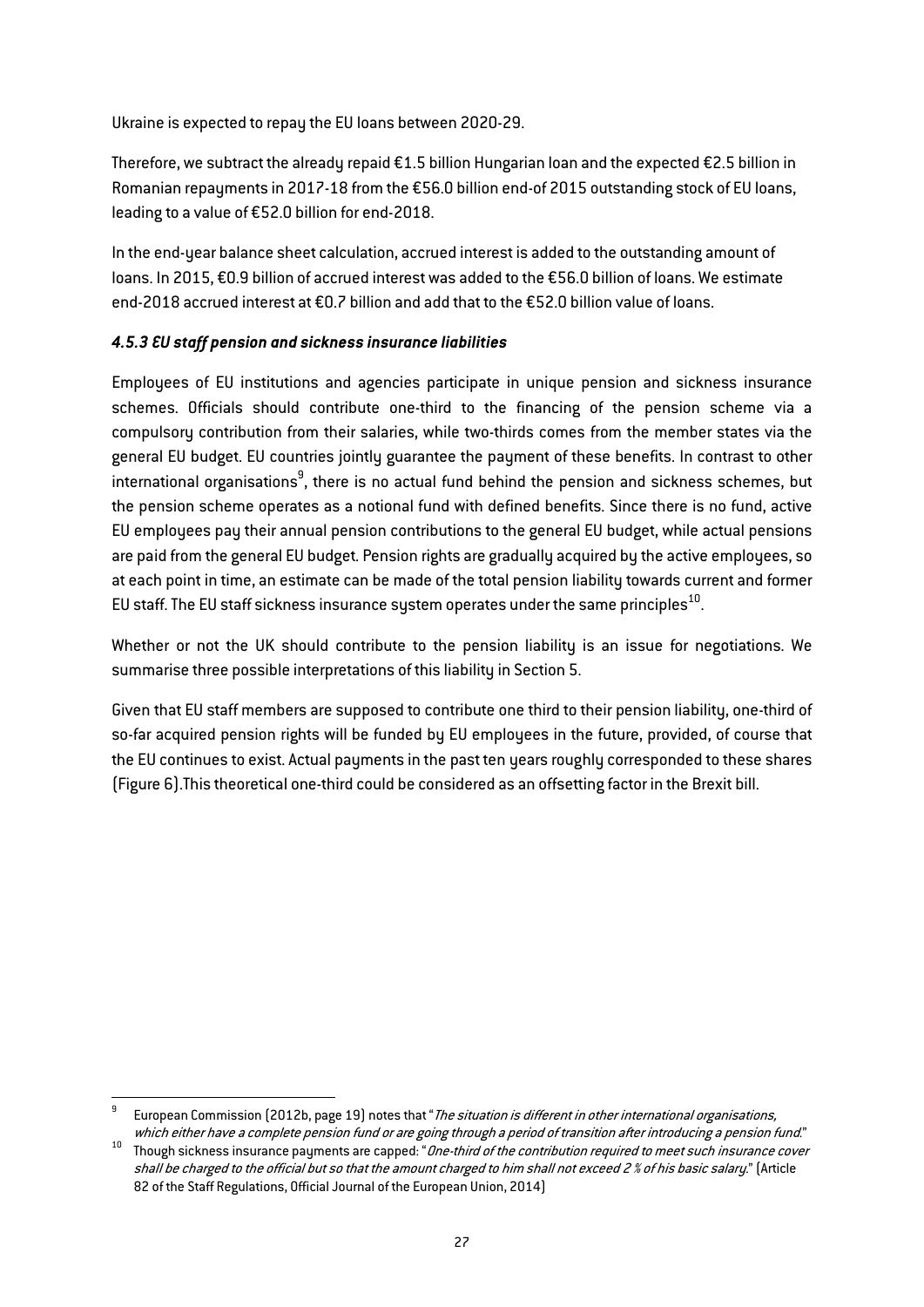Ukraine is expected to repay the EU loans between 2020-29.

Therefore, we subtract the already repaid €1.5 billion Hungarian loan and the expected €2.5 billion in Romanian repayments in 2017-18 from the €56.0 billion end-of 2015 outstanding stock of EU loans, leading to a value of €52.0 billion for end-2018.

In the end-year balance sheet calculation, accrued interest is added to the outstanding amount of loans. In 2015, €0.9 billion of accrued interest was added to the €56.0 billion of loans. We estimate end-2018 accrued interest at €0.7 billion and add that to the €52.0 billion value of loans.

## *4.5.3 EU staff pension and sickness insurance liabilities*

Employees of EU institutions and agencies participate in unique pension and sickness insurance schemes. Officials should contribute one-third to the financing of the pension scheme via a compulsory contribution from their salaries, while two-thirds comes from the member states via the general EU budget. EU countries jointly guarantee the payment of these benefits. In contrast to other international organisations $^9$ , there is no actual fund behind the pension and sickness schemes, but the pension scheme operates as a notional fund with defined benefits. Since there is no fund, active EU employees pay their annual pension contributions to the general EU budget, while actual pensions are paid from the general EU budget. Pension rights are gradually acquired by the active employees, so at each point in time, an estimate can be made of the total pension liability towards current and former EU staff. The EU staff sickness insurance system operates under the same principles $^{10}$ .

Whether or not the UK should contribute to the pension liability is an issue for negotiations. We summarise three possible interpretations of this liability in Section 5.

Given that EU staff members are supposed to contribute one third to their pension liability, one-third of so-far acquired pension rights will be funded by EU employees in the future, provided, of course that the EU continues to exist. Actual payments in the past ten years roughly corresponded to these shares (Figure 6).This theoretical one-third could be considered as an offsetting factor in the Brexit bill.

European Commission (2012b, page 19) notes that "The situation is different in other international organisations,

which either have a complete pension fund or are going through a period of transition after introducing a pension fund."<br><sup>10</sup> Though sickness insurance payments are capped: "*One-third of the contribution required to meet* shall be charged to the official but so that the amount charged to him shall not exceed 2 % of his basic salary." (Article 82 of the Staff Regulations, Official Journal of the European Union, 2014)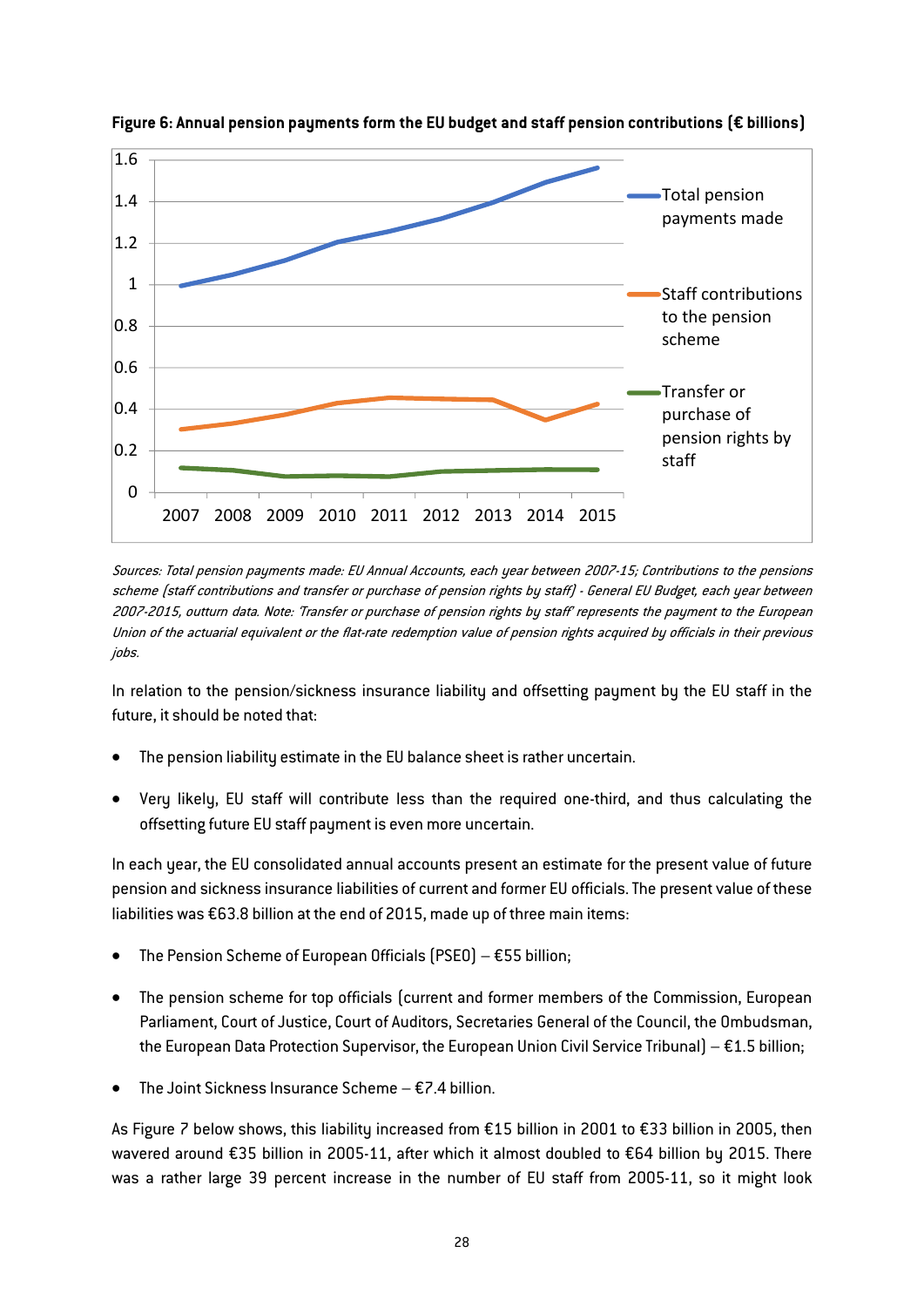![](_page_28_Figure_0.jpeg)

Figure 6: Annual pension payments form the EU budget and staff pension contributions (€ billions)

Sources: Total pension payments made: EU Annual Accounts, each year between 2007-15; Contributions to the pensions scheme (staff contributions and transfer or purchase of pension rights by staff) - General EU Budget, each year between 2007-2015, outturn data. Note: 'Transfer or purchase of pension rights by staff' represents the payment to the European Union of the actuarial equivalent or the flat-rate redemption value of pension rights acquired by officials in their previous jobs.

In relation to the pension/sickness insurance liability and offsetting payment by the EU staff in the future, it should be noted that:

- The pension liability estimate in the EU balance sheet is rather uncertain.
- Very likely, EU staff will contribute less than the required one-third, and thus calculating the offsetting future EU staff payment is even more uncertain.

In each year, the EU consolidated annual accounts present an estimate for the present value of future pension and sickness insurance liabilities of current and former EU officials. The present value of these liabilities was €63.8 billion at the end of 2015, made up of three main items:

- The Pension Scheme of European Officials (PSEO)  $\epsilon$ 55 billion;
- The pension scheme for top officials (current and former members of the Commission, European Parliament, Court of Justice, Court of Auditors, Secretaries General of the Council, the Ombudsman, the European Data Protection Supervisor, the European Union Civil Service Tribunal) – €1.5 billion;
- The Joint Sickness Insurance Scheme  $E$ 7.4 billion.

As Figure 7 below shows, this liability increased from €15 billion in 2001 to €33 billion in 2005, then wavered around €35 billion in 2005-11, after which it almost doubled to €64 billion by 2015. There was a rather large 39 percent increase in the number of EU staff from 2005-11, so it might look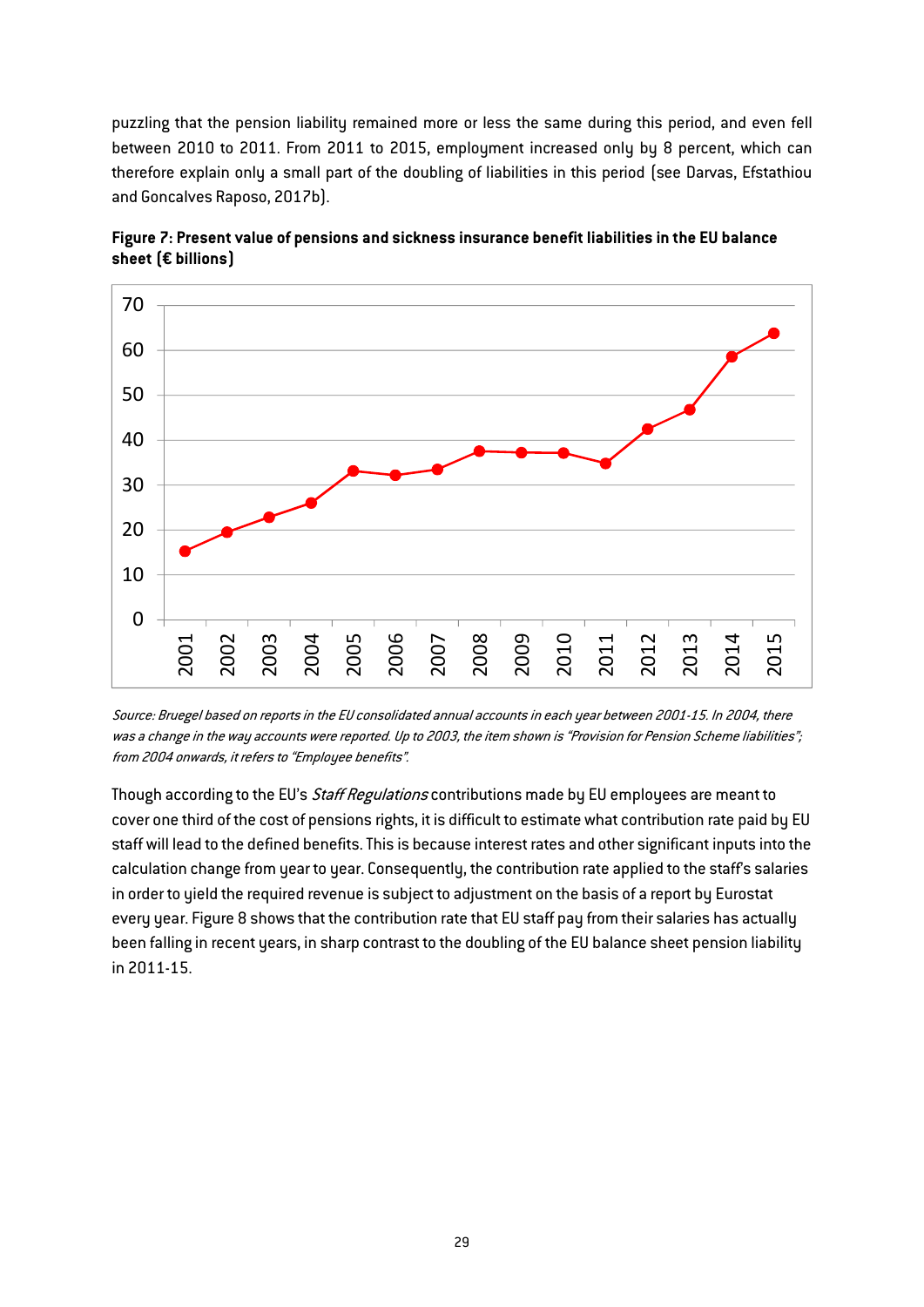puzzling that the pension liability remained more or less the same during this period, and even fell between 2010 to 2011. From 2011 to 2015, employment increased only by 8 percent, which can therefore explain only a small part of the doubling of liabilities in this period (see Darvas, Efstathiou and Goncalves Raposo, 2017b).

![](_page_29_Figure_1.jpeg)

Figure 7: Present value of pensions and sickness insurance benefit liabilities in the EU balance sheet (€ billions)

Source: Bruegel based on reports in the EU consolidated annual accounts in each year between 2001-15. In 2004, there was a change in the way accounts were reported. Up to 2003, the item shown is "Provision for Pension Scheme liabilities"; from 2004 onwards, it refers to "Employee benefits".

Though according to the EU's Staff Regulations contributions made by EU employees are meant to cover one third of the cost of pensions rights, it is difficult to estimate what contribution rate paid by EU staff will lead to the defined benefits. This is because interest rates and other significant inputs into the calculation change from year to year. Consequently, the contribution rate applied to the staff's salaries in order to yield the required revenue is subject to adjustment on the basis of a report by Eurostat every year. Figure 8 shows that the contribution rate that EU staff pay from their salaries has actually been falling in recent years, in sharp contrast to the doubling of the EU balance sheet pension liability in 2011-15.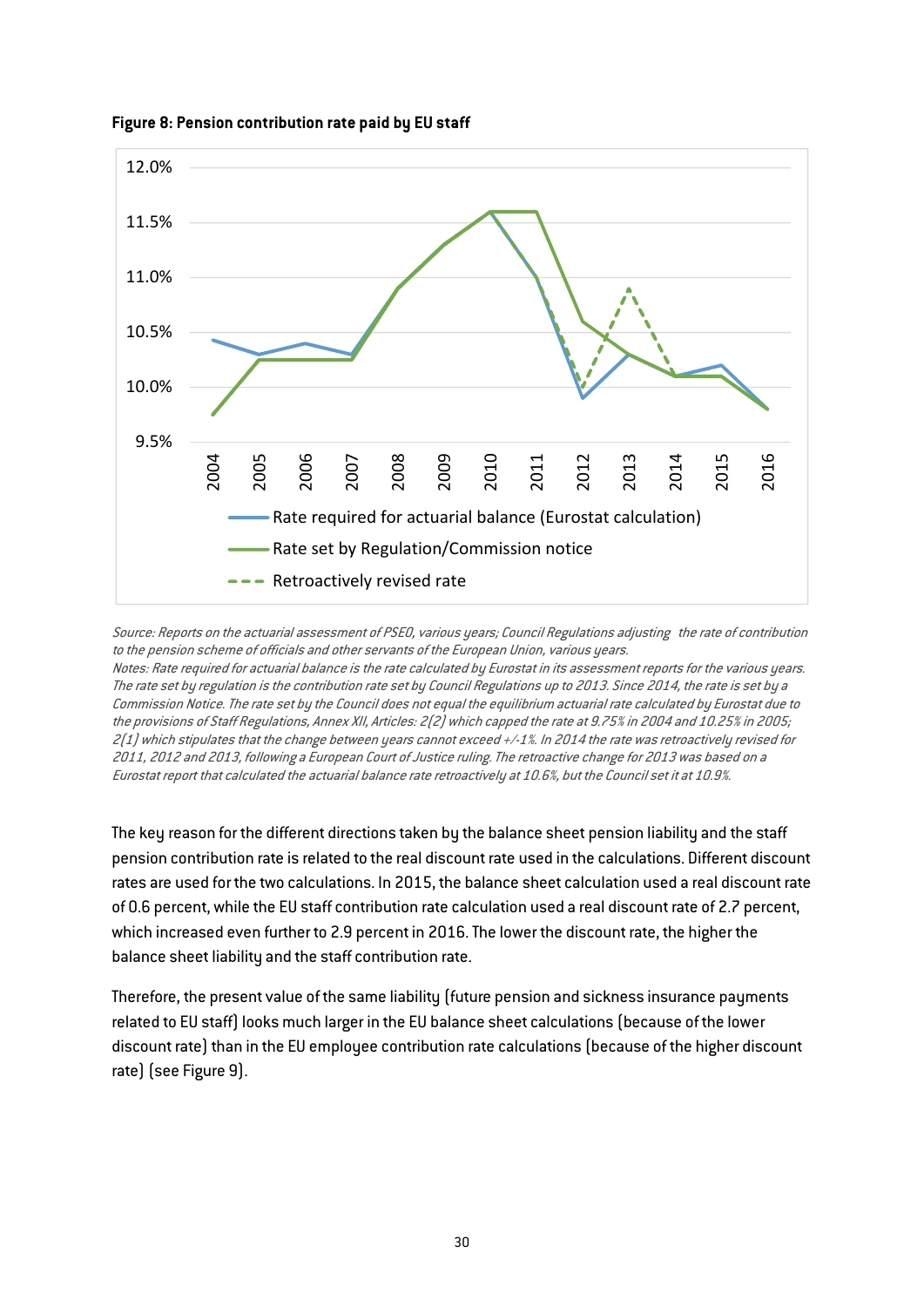![](_page_30_Figure_0.jpeg)

## Figure 8: Pension contribution rate paid by EU staff

Source: Reports on the actuarial assessment of PSEO, various years; Council Regulations adjusting the rate of contribution to the pension scheme of officials and other servants of the European Union, various years. Notes: Rate required for actuarial balance is the rate calculated by Eurostat in its assessment reports for the various years. The rate set by regulation is the contribution rate set by Council Regulations up to 2013. Since 2014, the rate is set by a

Commission Notice. The rate set by the Council does not equal the equilibrium actuarial rate calculated by Eurostat due to the provisions of Staff Regulations, Annex XII, Articles: 2(2) which capped the rate at 9.75% in 2004 and 10.25% in 2005; 2(1) which stipulates that the change between years cannot exceed +/-1%. In 2014 the rate was retroactively revised for 2011, 2012 and 2013, following a European Court of Justice ruling. The retroactive change for 2013 was based on a Eurostat report that calculated the actuarial balance rate retroactively at 10.6%, but the Council set it at 10.9%.

The key reason for the different directions taken by the balance sheet pension liability and the staff pension contribution rate is related to the real discount rate used in the calculations. Different discount rates are used for the two calculations. In 2015, the balance sheet calculation used a real discount rate of 0.6 percent, while the EU staff contribution rate calculation used a real discount rate of 2.7 percent, which increased even further to 2.9 percent in 2016. The lower the discount rate, the higher the balance sheet liability and the staff contribution rate.

Therefore, the present value of the same liability (future pension and sickness insurance payments related to EU staff) looks much larger in the EU balance sheet calculations (because of the lower discount rate) than in the EU employee contribution rate calculations (because of the higher discount rate) (see Figure 9).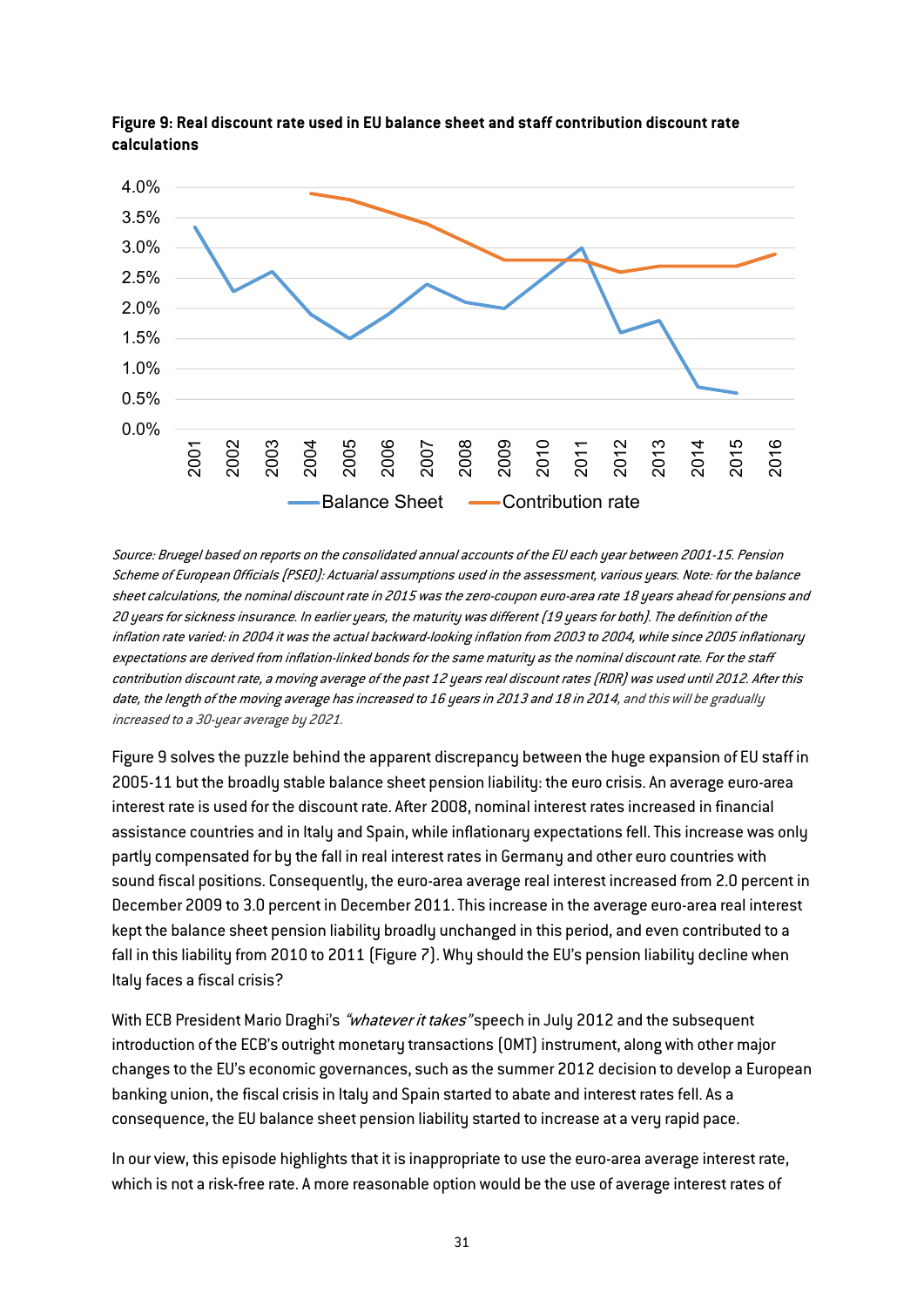![](_page_31_Figure_0.jpeg)

![](_page_31_Figure_1.jpeg)

Source: Bruegel based on reports on the consolidated annual accounts of the EU each year between 2001-15. Pension Scheme of European Officials (PSEO): Actuarial assumptions used in the assessment, various years. Note: for the balance sheet calculations, the nominal discount rate in 2015 was the zero-coupon euro-area rate 18 years ahead for pensions and 20 years for sickness insurance. In earlier years, the maturity was different (19 years for both). The definition of the inflation rate varied: in 2004 it was the actual backward-looking inflation from 2003 to 2004, while since 2005 inflationary expectations are derived from inflation-linked bonds for the same maturity as the nominal discount rate. For the staff contribution discount rate, a moving average of the past 12 years real discount rates (RDR) was used until 2012. After this date, the length of the moving average has increased to 16 years in 2013 and 18 in 2014, and this will be gradually increased to a 30-year average by 2021.

Figure 9 solves the puzzle behind the apparent discrepancy between the huge expansion of EU staff in 2005-11 but the broadly stable balance sheet pension liability: the euro crisis. An average euro-area interest rate is used for the discount rate. After 2008, nominal interest rates increased in financial assistance countries and in Italy and Spain, while inflationary expectations fell. This increase was only partly compensated for by the fall in real interest rates in Germany and other euro countries with sound fiscal positions. Consequently, the euro-area average real interest increased from 2.0 percent in December 2009 to 3.0 percent in December 2011. This increase in the average euro-area real interest kept the balance sheet pension liability broadly unchanged in this period, and even contributed to a fall in this liability from 2010 to 2011 (Figure 7). Why should the EU's pension liability decline when Italy faces a fiscal crisis?

With ECB President Mario Draghi's "whatever it takes" speech in July 2012 and the subsequent introduction of the ECB's outright monetary transactions (OMT) instrument, along with other major changes to the EU's economic governances, such as the summer 2012 decision to develop a European banking union, the fiscal crisis in Italy and Spain started to abate and interest rates fell. As a consequence, the EU balance sheet pension liability started to increase at a very rapid pace.

In our view, this episode highlights that it is inappropriate to use the euro-area average interest rate, which is not a risk-free rate. A more reasonable option would be the use of average interest rates of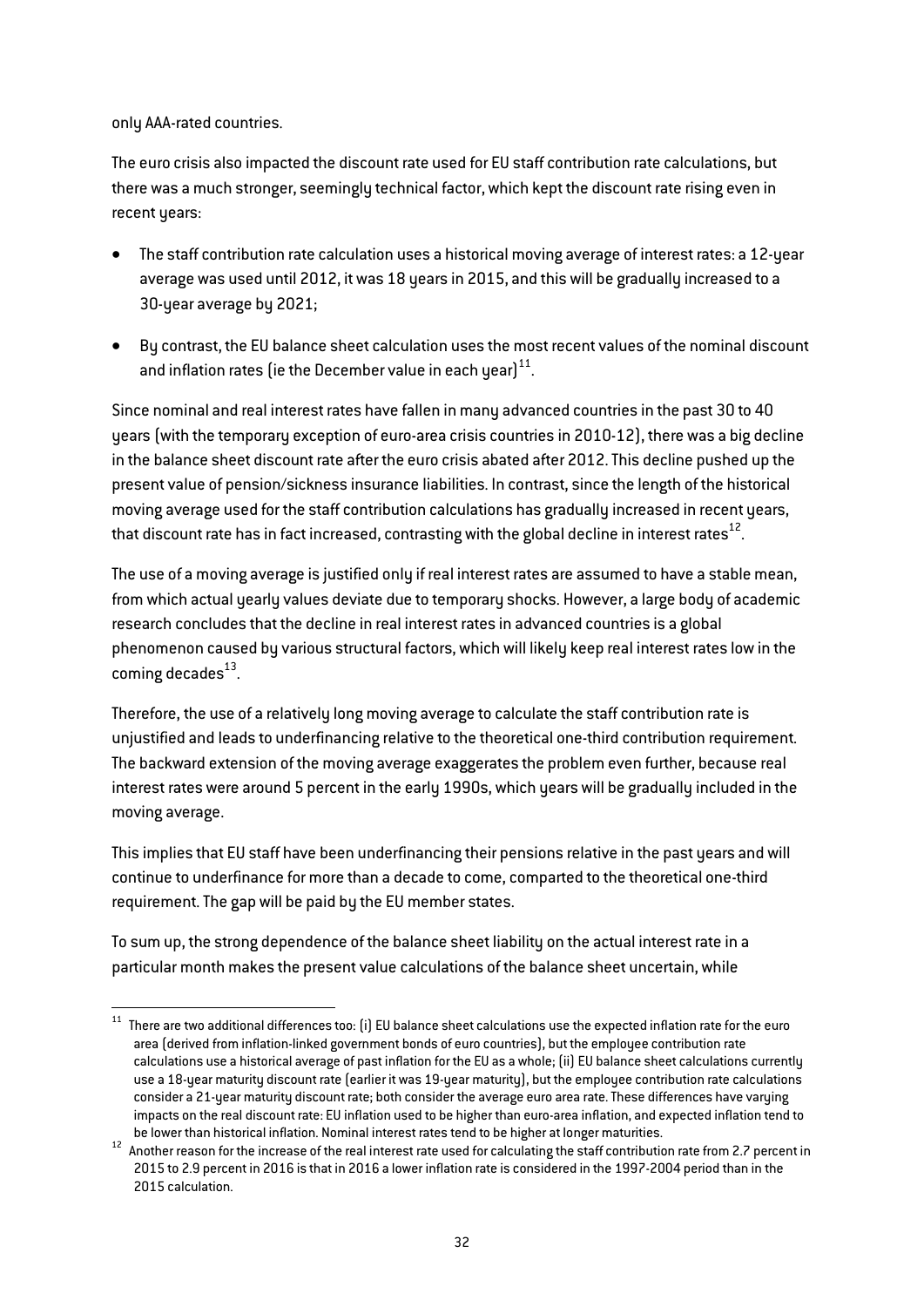only AAA-rated countries.

The euro crisis also impacted the discount rate used for EU staff contribution rate calculations, but there was a much stronger, seemingly technical factor, which kept the discount rate rising even in recent years:

- The staff contribution rate calculation uses a historical moving average of interest rates: a 12-year average was used until 2012, it was 18 years in 2015, and this will be gradually increased to a 30-year average by 2021;
- By contrast, the EU balance sheet calculation uses the most recent values of the nominal discount and inflation rates (ie the December value in each year) $^{11}$ .

Since nominal and real interest rates have fallen in many advanced countries in the past 30 to 40 years (with the temporary exception of euro-area crisis countries in 2010-12), there was a big decline in the balance sheet discount rate after the euro crisis abated after 2012. This decline pushed up the present value of pension/sickness insurance liabilities. In contrast, since the length of the historical moving average used for the staff contribution calculations has gradually increased in recent years, that discount rate has in fact increased, contrasting with the global decline in interest rates $^{12}$ .

The use of a moving average is justified only if real interest rates are assumed to have a stable mean, from which actual yearly values deviate due to temporary shocks. However, a large body of academic research concludes that the decline in real interest rates in advanced countries is a global phenomenon caused by various structural factors, which will likely keep real interest rates low in the coming decades $^{13}$ .

Therefore, the use of a relatively long moving average to calculate the staff contribution rate is unjustified and leads to underfinancing relative to the theoretical one-third contribution requirement. The backward extension of the moving average exaggerates the problem even further, because real interest rates were around 5 percent in the early 1990s, which years will be gradually included in the moving average.

This implies that EU staff have been underfinancing their pensions relative in the past years and will continue to underfinance for more than a decade to come, comparted to the theoretical one-third requirement. The gap will be paid by the EU member states.

To sum up, the strong dependence of the balance sheet liability on the actual interest rate in a particular month makes the present value calculations of the balance sheet uncertain, while

 $11$  There are two additional differences too: [i] EU balance sheet calculations use the expected inflation rate for the euro area (derived from inflation-linked government bonds of euro countries), but the employee contribution rate calculations use a historical average of past inflation for the EU as a whole; (ii) EU balance sheet calculations currently use a 18-year maturity discount rate (earlier it was 19-year maturity), but the employee contribution rate calculations consider a 21-year maturity discount rate; both consider the average euro area rate. These differences have varying impacts on the real discount rate: EU inflation used to be higher than euro-area inflation, and expected inflation tend to

be lower than historical inflation. Nominal interest rates tend to be higher at longer maturities.<br><sup>12</sup> Another reason for the increase of the real interest rate used for calculating the staff contribution rate from 2.7 p 2015 to 2.9 percent in 2016 is that in 2016 a lower inflation rate is considered in the 1997-2004 period than in the 2015 calculation.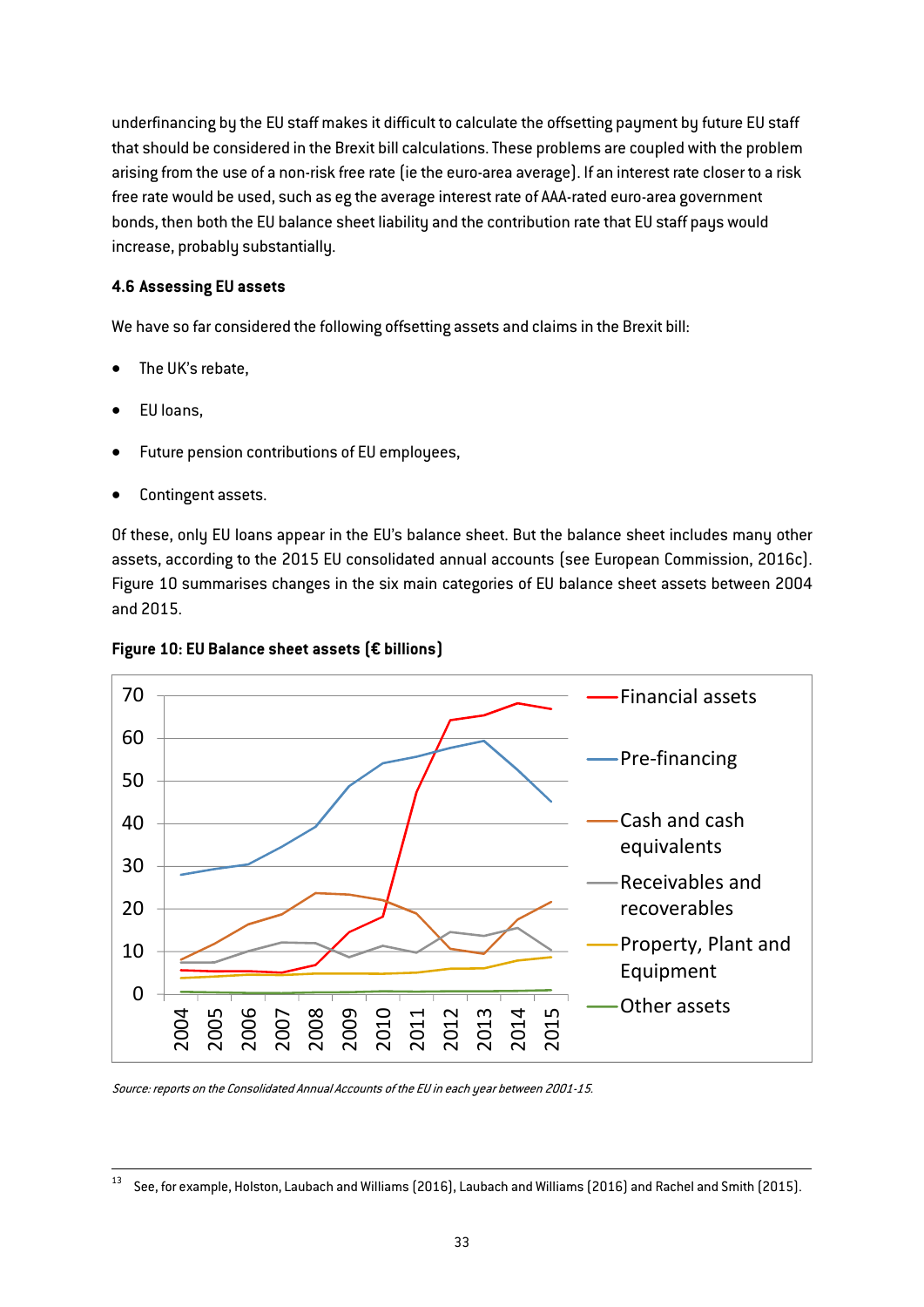underfinancing by the EU staff makes it difficult to calculate the offsetting payment by future EU staff that should be considered in the Brexit bill calculations. These problems are coupled with the problem arising from the use of a non-risk free rate (ie the euro-area average). If an interest rate closer to a risk free rate would be used, such as eg the average interest rate of AAA-rated euro-area government bonds, then both the EU balance sheet liability and the contribution rate that EU staff pays would increase, probably substantially.

## 4.6 Assessing EU assets

We have so far considered the following offsetting assets and claims in the Brexit bill:

- The UK's rebate,
- EU loans,
- Future pension contributions of EU employees,
- Contingent assets.

Of these, only EU loans appear in the EU's balance sheet. But the balance sheet includes many other assets, according to the 2015 EU consolidated annual accounts (see European Commission, 2016c). Figure 10 summarises changes in the six main categories of EU balance sheet assets between 2004 and 2015.

![](_page_33_Figure_8.jpeg)

![](_page_33_Figure_9.jpeg)

Source: reports on the Consolidated Annual Accounts of the EU in each year between 2001-15.

 $^{13}$  See, for example, Holston, Laubach and Williams (2016), Laubach and Williams (2016) and Rachel and Smith (2015).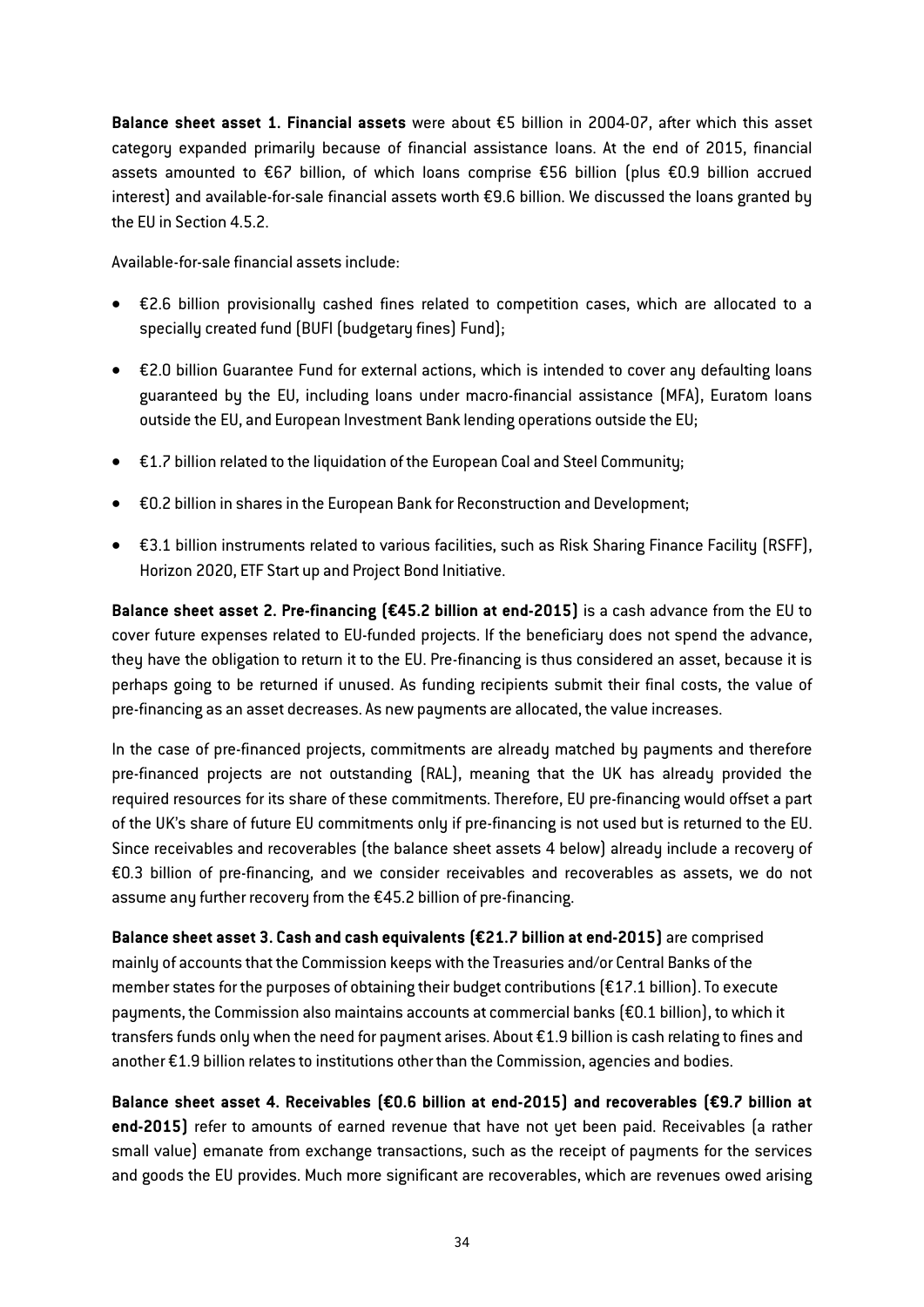Balance sheet asset 1. Financial assets were about €5 billion in 2004-07, after which this asset category expanded primarily because of financial assistance loans. At the end of 2015, financial assets amounted to €67 billion, of which loans comprise €56 billion (plus €0.9 billion accrued interest) and available-for-sale financial assets worth €9.6 billion. We discussed the loans granted by the EU in Section 4.5.2.

Available-for-sale financial assets include:

- €2.6 billion provisionally cashed fines related to competition cases, which are allocated to a specially created fund (BUFI (budgetary fines) Fund);
- €2.0 billion Guarantee Fund for external actions, which is intended to cover any defaulting loans guaranteed by the EU, including loans under macro-financial assistance (MFA), Euratom loans outside the EU, and European Investment Bank lending operations outside the EU;
- €1.7 billion related to the liquidation of the European Coal and Steel Community;
- €0.2 billion in shares in the European Bank for Reconstruction and Development;
- €3.1 billion instruments related to various facilities, such as Risk Sharing Finance Facility (RSFF), Horizon 2020, ETF Start up and Project Bond Initiative.

Balance sheet asset 2. Pre-financing (€45.2 billion at end-2015) is a cash advance from the EU to cover future expenses related to EU-funded projects. If the beneficiary does not spend the advance, they have the obligation to return it to the EU. Pre-financing is thus considered an asset, because it is perhaps going to be returned if unused. As funding recipients submit their final costs, the value of pre-financing as an asset decreases. As new payments are allocated, the value increases.

In the case of pre-financed projects, commitments are already matched by payments and therefore pre-financed projects are not outstanding (RAL), meaning that the UK has already provided the required resources for its share of these commitments. Therefore, EU pre-financing would offset a part of the UK's share of future EU commitments only if pre-financing is not used but is returned to the EU. Since receivables and recoverables (the balance sheet assets 4 below) already include a recovery of €0.3 billion of pre-financing, and we consider receivables and recoverables as assets, we do not assume any further recovery from the €45.2 billion of pre-financing.

Balance sheet asset 3. Cash and cash equivalents (€21.7 billion at end-2015) are comprised mainly of accounts that the Commission keeps with the Treasuries and/or Central Banks of the member states for the purposes of obtaining their budget contributions (€17.1 billion). To execute payments, the Commission also maintains accounts at commercial banks (€0.1 billion), to which it transfers funds only when the need for payment arises. About €1.9 billion is cash relating to fines and another €1.9 billion relates to institutions other than the Commission, agencies and bodies.

Balance sheet asset 4. Receivables (€0.6 billion at end-2015) and recoverables (€9.7 billion at end-2015) refer to amounts of earned revenue that have not yet been paid. Receivables (a rather small value) emanate from exchange transactions, such as the receipt of payments for the services and goods the EU provides. Much more significant are recoverables, which are revenues owed arising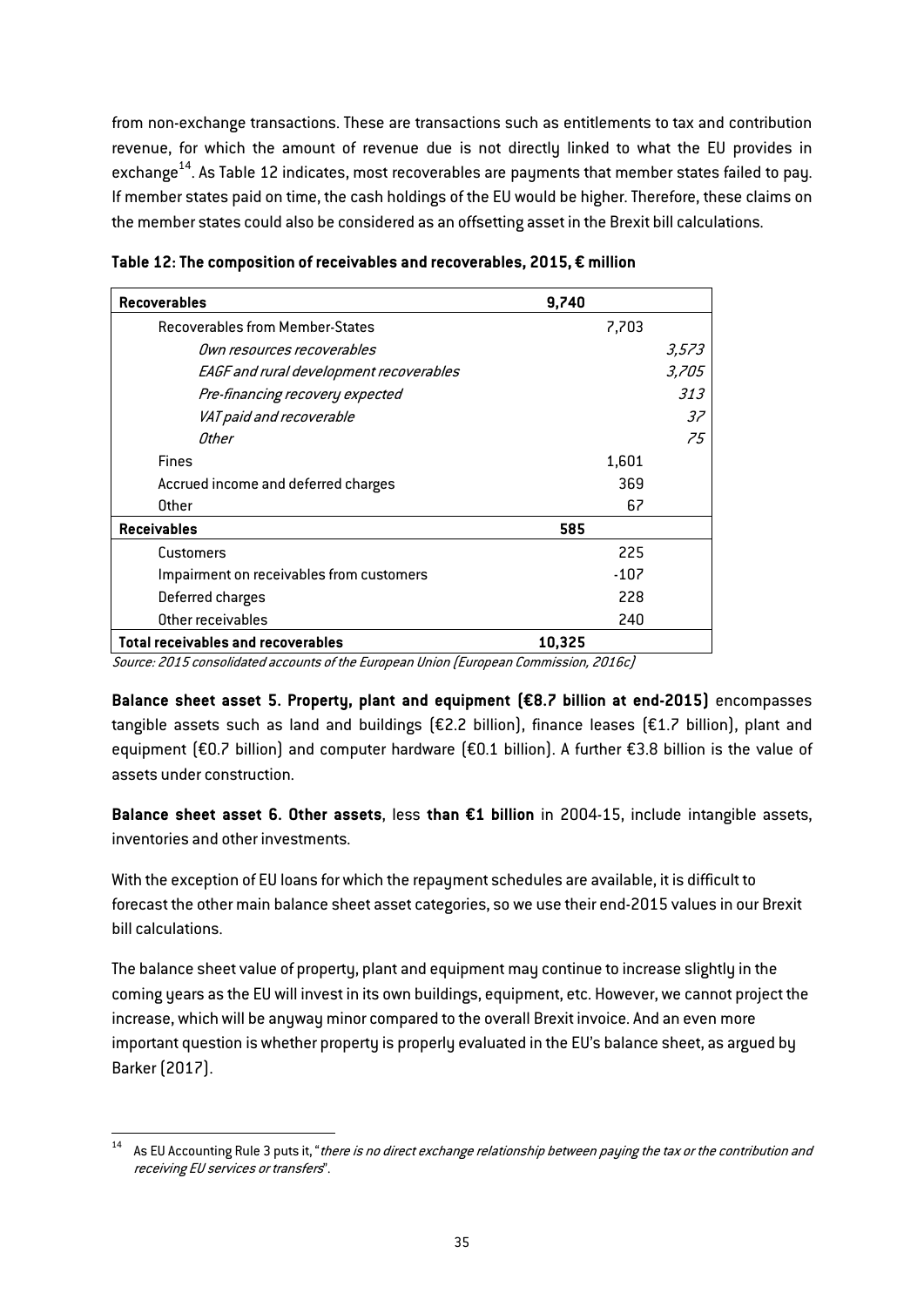from non-exchange transactions. These are transactions such as entitlements to tax and contribution revenue, for which the amount of revenue due is not directly linked to what the EU provides in exchange $^{14}$ . As [Table 12](#page-35-0) indicates, most recoverables are payments that member states failed to pay. If member states paid on time, the cash holdings of the EU would be higher. Therefore, these claims on the member states could also be considered as an offsetting asset in the Brexit bill calculations.

| <b>Recoverables</b>                      | 9,740  |       |
|------------------------------------------|--------|-------|
| <b>Recoverables from Member-States</b>   | 7,703  |       |
| <i>Own resources recoverables</i>        |        | 3,573 |
| EAGF and rural development recoverables  |        | 3,705 |
| Pre-financing recovery expected          |        | 313   |
| VAT paid and recoverable                 |        | 37    |
| Other                                    |        | 75    |
| <b>Fines</b>                             | 1,601  |       |
| Accrued income and deferred charges      | 369    |       |
| Other                                    | 67     |       |
| <b>Receivables</b>                       | 585    |       |
| Customers                                | 225    |       |
| Impairment on receivables from customers | $-107$ |       |
| Deferred charges                         | 228    |       |
| Other receivables                        | 240    |       |
| Total receivables and recoverables       | 10,325 |       |

<span id="page-35-0"></span>Table 12: The composition of receivables and recoverables, 2015, € million

Source: 2015 consolidated accounts of the European Union (European Commission, 2016c)

Balance sheet asset 5. Property, plant and equipment (€8.7 billion at end-2015) encompasses tangible assets such as land and buildings (€2.2 billion), finance leases (€1.7 billion), plant and equipment (€0.7 billion) and computer hardware (€0.1 billion). A further €3.8 billion is the value of assets under construction.

Balance sheet asset 6. Other assets, less than €1 billion in 2004-15, include intangible assets, inventories and other investments.

With the exception of EU loans for which the repayment schedules are available, it is difficult to forecast the other main balance sheet asset categories, so we use their end-2015 values in our Brexit bill calculations.

The balance sheet value of property, plant and equipment may continue to increase slightly in the coming years as the EU will invest in its own buildings, equipment, etc. However, we cannot project the increase, which will be anyway minor compared to the overall Brexit invoice. And an even more important question is whether property is properly evaluated in the EU's balance sheet, as argued by Barker (2017).

 $14$  As EU Accounting Rule 3 puts it, "there is no direct exchange relationship between paying the tax or the contribution and receiving EU services or transfers".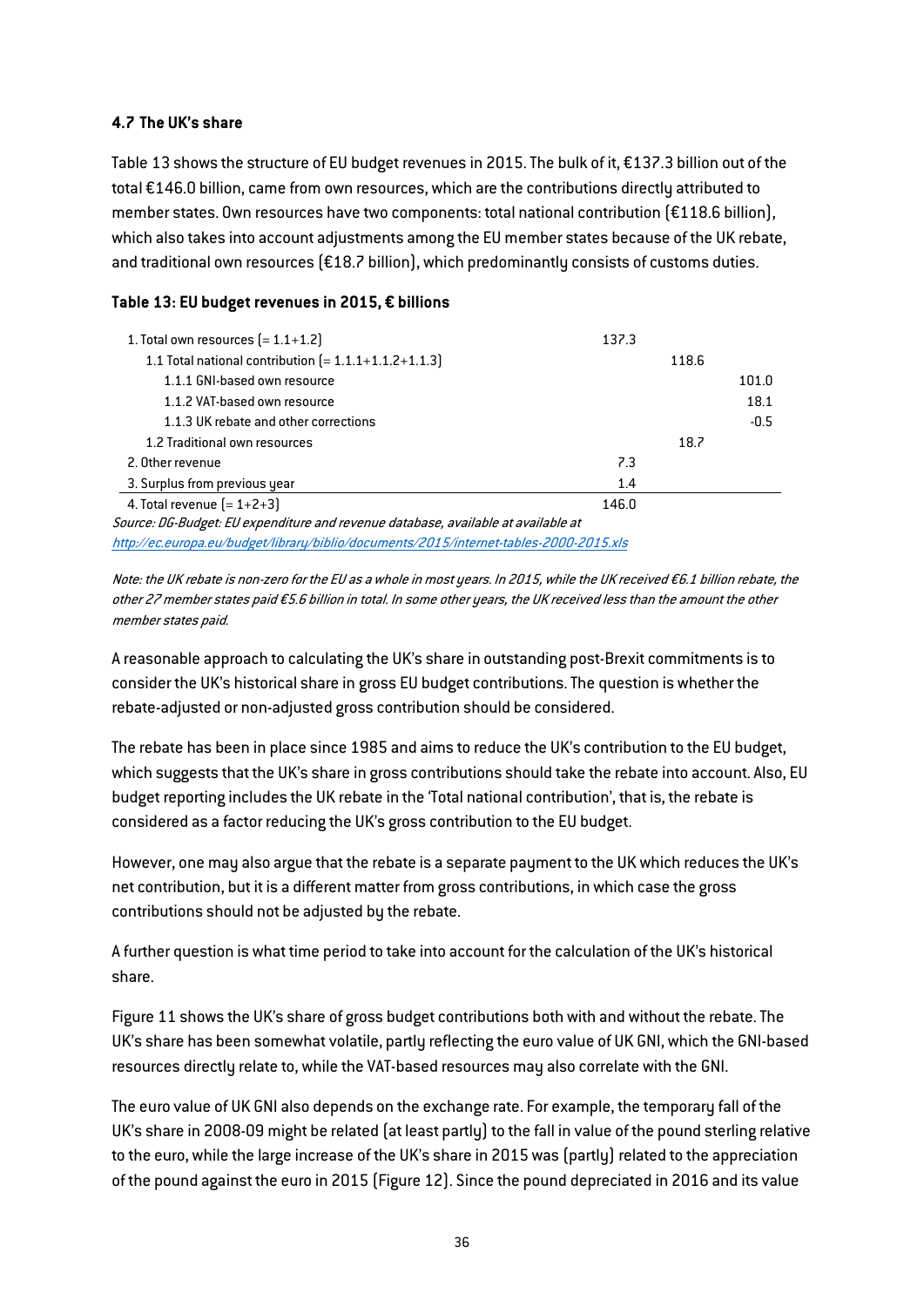## 4.7 The UK's share

[Table 13](#page-36-0) shows the structure of EU budget revenues in 2015. The bulk of it, €137.3 billion out of the total €146.0 billion, came from own resources, which are the contributions directly attributed to member states. Own resources have two components: total national contribution (€118.6 billion), which also takes into account adjustments among the EU member states because of the UK rebate, and traditional own resources (€18.7 billion), which predominantly consists of customs duties.

## <span id="page-36-0"></span>Table 13: EU budget revenues in 2015, € billions

| 1. Total own resources $[=1.1+1.2]$                                               | 137.3 |       |        |
|-----------------------------------------------------------------------------------|-------|-------|--------|
| 1.1 Total national contribution $[=1.1.1+1.1.2+1.1.3]$                            |       | 118.6 |        |
| 1.1.1 GNI-based own resource                                                      |       |       | 101.0  |
| 1.1.2 VAT-based own resource                                                      |       |       | 18.1   |
| 1.1.3 UK rebate and other corrections                                             |       |       | $-0.5$ |
| 1.2 Traditional own resources                                                     |       | 18.7  |        |
| 2. Other revenue                                                                  | 7.3   |       |        |
| 3. Surplus from previous year                                                     | 1.4   |       |        |
| 4. Total revenue $[=1+2+3]$                                                       | 146.0 |       |        |
| Source: DG-Budget: EU expenditure and revenue database, available at available at |       |       |        |

<http://ec.europa.eu/budget/library/biblio/documents/2015/internet-tables-2000-2015.xls>

Note: the UK rebate is non-zero for the EU as a whole in most years. In 2015, while the UK received €6.1 billion rebate, the other 27 member states paid €5.6 billion in total. In some other years, the UK received less than the amount the other member states paid.

A reasonable approach to calculating the UK's share in outstanding post-Brexit commitments is to consider the UK's historical share in gross EU budget contributions. The question is whether the rebate-adjusted or non-adjusted gross contribution should be considered.

The rebate has been in place since 1985 and aims to reduce the UK's contribution to the EU budget, which suggests that the UK's share in gross contributions should take the rebate into account. Also, EU budget reporting includes the UK rebate in the 'Total national contribution', that is, the rebate is considered as a factor reducing the UK's gross contribution to the EU budget.

However, one may also argue that the rebate is a separate payment to the UK which reduces the UK's net contribution, but it is a different matter from gross contributions, in which case the gross contributions should not be adjusted by the rebate.

A further question is what time period to take into account for the calculation of the UK's historical share.

Figure 11 shows the UK's share of gross budget contributions both with and without the rebate. The UK's share has been somewhat volatile, partly reflecting the euro value of UK GNI, which the GNI-based resources directly relate to, while the VAT-based resources may also correlate with the GNI.

The euro value of UK GNI also depends on the exchange rate. For example, the temporary fall of the UK's share in 2008-09 might be related (at least partly) to the fall in value of the pound sterling relative to the euro, while the large increase of the UK's share in 2015 was (partly) related to the appreciation of the pound against the euro in 2015 (Figure 12). Since the pound depreciated in 2016 and its value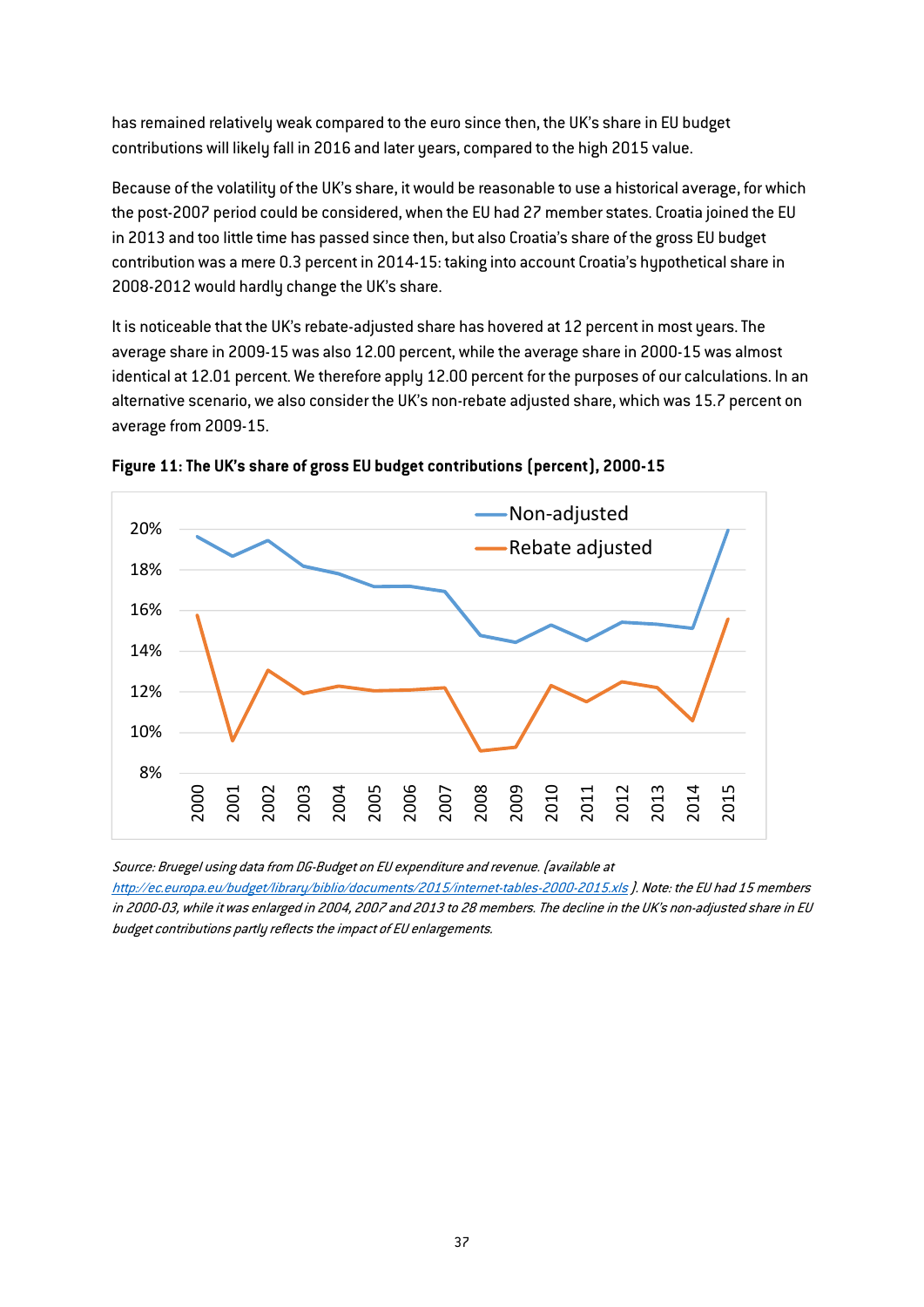has remained relatively weak compared to the euro since then, the UK's share in EU budget contributions will likely fall in 2016 and later years, compared to the high 2015 value.

Because of the volatility of the UK's share, it would be reasonable to use a historical average, for which the post-2007 period could be considered, when the EU had 27 member states. Croatia joined the EU in 2013 and too little time has passed since then, but also Croatia's share of the gross EU budget contribution was a mere 0.3 percent in 2014-15: taking into account Croatia's hypothetical share in 2008-2012 would hardly change the UK's share.

It is noticeable that the UK's rebate-adjusted share has hovered at 12 percent in most years. The average share in 2009-15 was also 12.00 percent, while the average share in 2000-15 was almost identical at 12.01 percent. We therefore apply 12.00 percent for the purposes of our calculations. In an alternative scenario, we also consider the UK's non-rebate adjusted share, which was 15.7 percent on average from 2009-15.

![](_page_37_Figure_3.jpeg)

![](_page_37_Figure_4.jpeg)

Source: Bruegel using data from DG-Budget on EU expenditure and revenue. (available at

[http://ec](http://ec.europa.eu/budget/library/biblio/documents/2015/internet-tables-2000-2015.xls).[europa](http://ec.europa.eu/budget/library/biblio/documents/2015/internet-tables-2000-2015.xls).[eu/budget/library/biblio/documents/2015/internet-tables-2000-2015](http://ec.europa.eu/budget/library/biblio/documents/2015/internet-tables-2000-2015.xls).[xls](http://ec.europa.eu/budget/library/biblio/documents/2015/internet-tables-2000-2015.xls) ). Note: the EU had 15 members in 2000-03, while it was enlarged in 2004, 2007 and 2013 to 28 members. The decline in the UK's non-adjusted share in EU budget contributions partly reflects the impact of EU enlargements.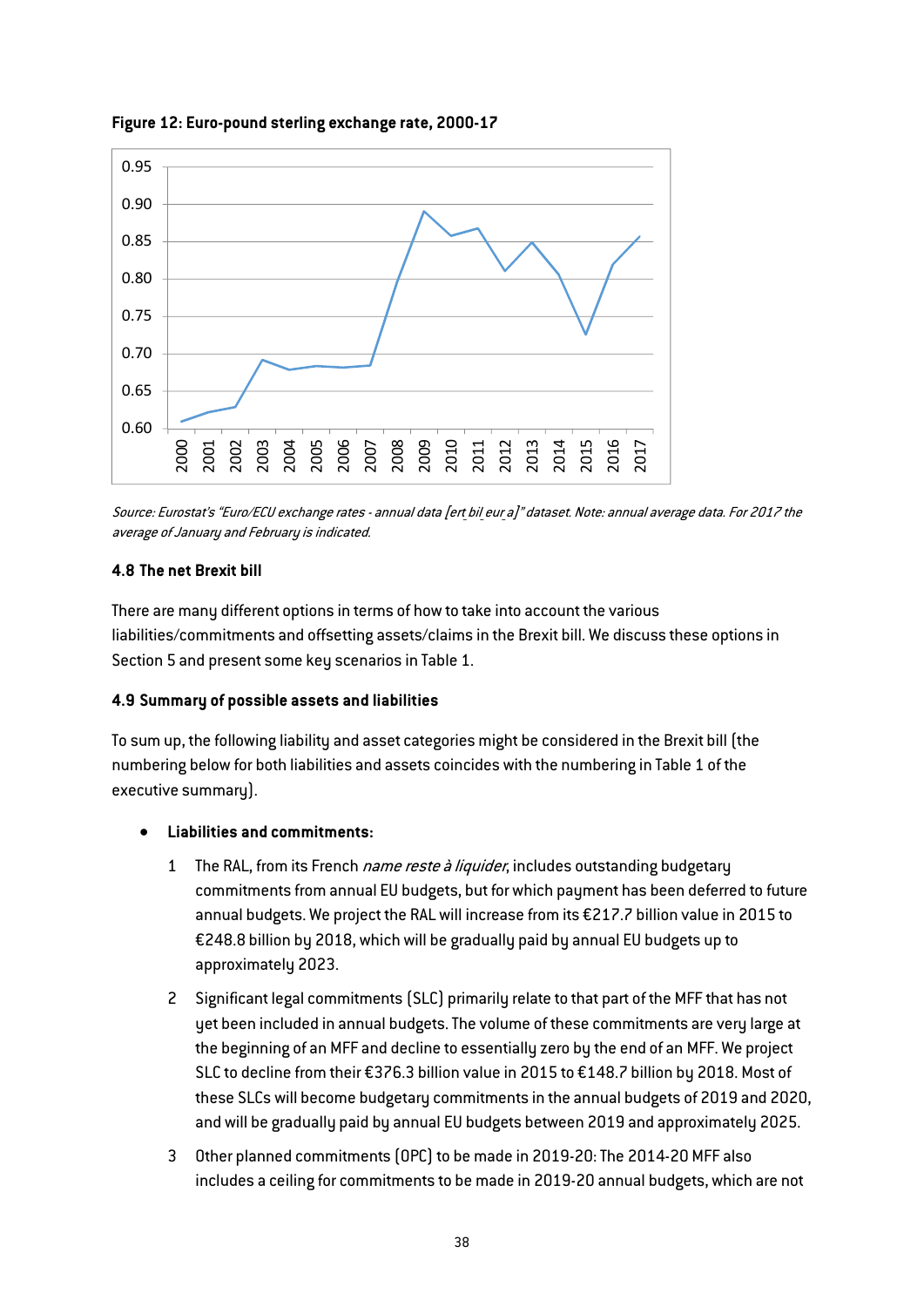![](_page_38_Figure_0.jpeg)

Figure 12: Euro-pound sterling exchange rate, 2000-17

Source: Eurostat's "Euro/ECU exchange rates - annual data [ert bil eur a]" dataset. Note: annual average data. For 2017 the average of January and February is indicated.

## 4.8 The net Brexit bill

There are many different options in terms of how to take into account the various liabilities/commitments and offsetting assets/claims in the Brexit bill. We discuss these options in Section 5 and present some key scenarios in [Table 1.](#page-2-0)

## 4.9 Summary of possible assets and liabilities

To sum up, the following liability and asset categories might be considered in the Brexit bill (the numbering below for both liabilities and assets coincides with the numbering in [Table 1](#page-2-0) of the executive summary).

## Liabilities and commitments:

- 1 The RAL, from its French name reste à liquider, includes outstanding budgetary commitments from annual EU budgets, but for which payment has been deferred to future annual budgets. We project the RAL will increase from its €217.7 billion value in 2015 to €248.8 billion by 2018, which will be gradually paid by annual EU budgets up to approximately 2023.
- 2 Significant legal commitments (SLC) primarily relate to that part of the MFF that has not yet been included in annual budgets.The volume of these commitments are very large at the beginning of an MFF and decline to essentially zero by the end of an MFF. We project SLC to decline from their €376.3 billion value in 2015 to €148.7 billion by 2018. Most of these SLCs will become budgetary commitments in the annual budgets of 2019 and 2020, and will be gradually paid by annual EU budgets between 2019 and approximately 2025.
- 3 Other planned commitments (OPC) to be made in 2019-20: The 2014-20 MFF also includes a ceiling for commitments to be made in 2019-20 annual budgets, which are not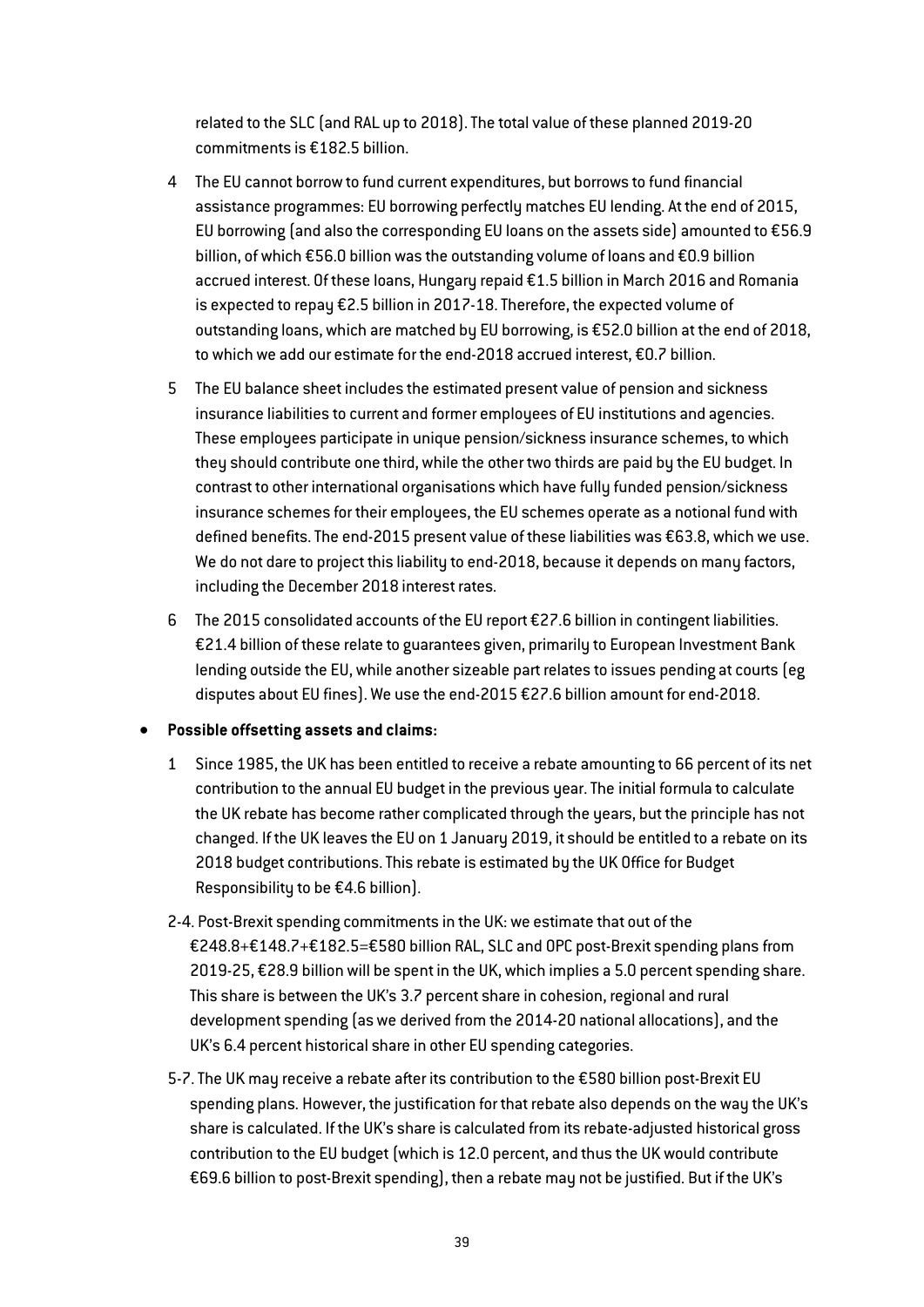related to the SLC (and RAL up to 2018). The total value of these planned 2019-20 commitments is €182.5 billion.

- 4 The EU cannot borrow to fund current expenditures, but borrows to fund financial assistance programmes: EU borrowing perfectly matches EU lending. At the end of 2015, EU borrowing (and also the corresponding EU loans on the assets side) amounted to €56.9 billion, of which €56.0 billion was the outstanding volume of loans and €0.9 billion accrued interest. Of these loans, Hungary repaid €1.5 billion in March 2016 and Romania is expected to repay €2.5 billion in 2017-18. Therefore, the expected volume of outstanding loans, which are matched by EU borrowing, is €52.0 billion at the end of 2018, to which we add our estimate for the end-2018 accrued interest, €0.7 billion.
- 5 The EU balance sheet includes the estimated present value of pension and sickness insurance liabilities to current and former employees of EU institutions and agencies. These employees participate in unique pension/sickness insurance schemes, to which they should contribute one third, while the other two thirds are paid by the EU budget. In contrast to other international organisations which have fully funded pension/sickness insurance schemes for their employees, the EU schemes operate as a notional fund with defined benefits. The end-2015 present value of these liabilities was €63.8, which we use. We do not dare to project this liability to end-2018, because it depends on many factors, including the December 2018 interest rates.
- 6 The 2015 consolidated accounts of the EU report €27.6 billion in contingent liabilities. €21.4 billion of these relate to guarantees given, primarily to European Investment Bank lending outside the EU, while another sizeable part relates to issues pending at courts (eg disputes about EU fines). We use the end-2015 €27.6 billion amount for end-2018.

## Possible offsetting assets and claims:

- 1 Since 1985, the UK has been entitled to receive a rebate amounting to 66 percent of its net contribution to the annual EU budget in the previous year. The initial formula to calculate the UK rebate has become rather complicated through the years, but the principle has not changed. If the UK leaves the EU on 1 January 2019, it should be entitled to a rebate on its 2018 budget contributions.This rebate is estimated by the UK Office for Budget Responsibility to be €4.6 billion).
- 2-4. Post-Brexit spending commitments in the UK: we estimate that out of the €248.8+€148.7+€182.5=€580 billion RAL, SLC and OPC post-Brexit spending plans from 2019-25, €28.9 billion will be spent in the UK, which implies a 5.0 percent spending share. This share is between the UK's 3.7 percent share in cohesion, regional and rural development spending (as we derived from the 2014-20 national allocations), and the UK's 6.4 percent historical share in other EU spending categories.
- 5-7. The UK may receive a rebate after its contribution to the €580 billion post-Brexit EU spending plans. However, the justification for that rebate also depends on the way the UK's share is calculated. If the UK's share is calculated from its rebate-adjusted historical gross contribution to the EU budget (which is 12.0 percent, and thus the UK would contribute €69.6 billion to post-Brexit spending), then a rebate may not be justified. But if the UK's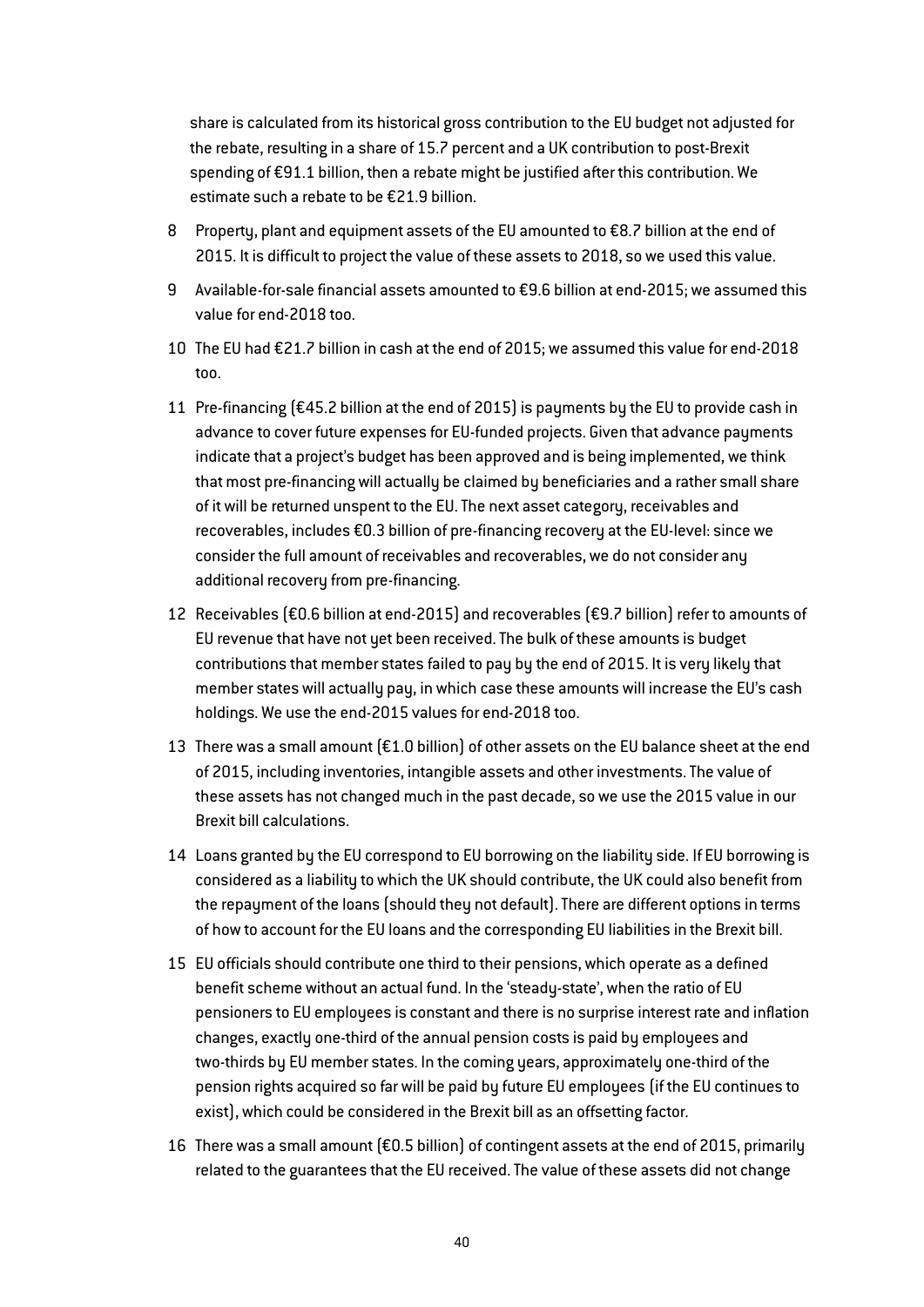share is calculated from its historical gross contribution to the EU budget not adjusted for the rebate, resulting in a share of 15.7 percent and a UK contribution to post-Brexit spending of €91.1 billion, then a rebate might be justified after this contribution. We estimate such a rebate to be €21.9 billion.

- 8 Property, plant and equipment assets of the EU amounted to €8.7 billion at the end of 2015. It is difficult to project the value of these assets to 2018, so we used this value.
- 9 Available-for-sale financial assets amounted to €9.6 billion at end-2015; we assumed this value for end-2018 too.
- 10 The EU had €21.7 billion in cash at the end of 2015; we assumed this value for end-2018 too.
- 11 Pre-financing (€45.2 billion at the end of 2015) is payments by the EU to provide cash in advance to cover future expenses for EU-funded projects. Given that advance payments indicate that a project's budget has been approved and is being implemented, we think that most pre-financing will actually be claimed by beneficiaries and a rather small share of it will be returned unspent to the EU. The next asset category, receivables and recoverables, includes €0.3 billion of pre-financing recovery at the EU-level: since we consider the full amount of receivables and recoverables, we do not consider any additional recovery from pre-financing.
- 12 Receivables (€0.6 billion at end-2015) and recoverables (€9.7 billion) refer to amounts of EU revenue that have not yet been received. The bulk of these amounts is budget contributions that member states failed to pay by the end of 2015. It is very likely that member states will actually pay, in which case these amounts will increase the EU's cash holdings. We use the end-2015 values for end-2018 too.
- 13 There was a small amount  $[£1.0$  billion] of other assets on the EU balance sheet at the end of 2015, including inventories, intangible assets and other investments. The value of these assets has not changed much in the past decade, so we use the 2015 value in our Brexit bill calculations.
- 14 Loans granted by the EU correspond to EU borrowing on the liability side. If EU borrowing is considered as a liability to which the UK should contribute, the UK could also benefit from the repayment of the loans (should they not default). There are different options in terms of how to account for the EU loans and the corresponding EU liabilities in the Brexit bill.
- 15 EU officials should contribute one third to their pensions, which operate as a defined benefit scheme without an actual fund. In the 'steady-state', when the ratio of EU pensioners to EU employees is constant and there is no surprise interest rate and inflation changes, exactly one-third of the annual pension costs is paid by employees and two-thirds by EU member states. In the coming years, approximately one-third of the pension rights acquired so far will be paid by future EU employees (if the EU continues to exist), which could be considered in the Brexit bill as an offsetting factor.
- 16 There was a small amount (€0.5 billion) of contingent assets at the end of 2015, primarily related to the guarantees that the EU received. The value of these assets did not change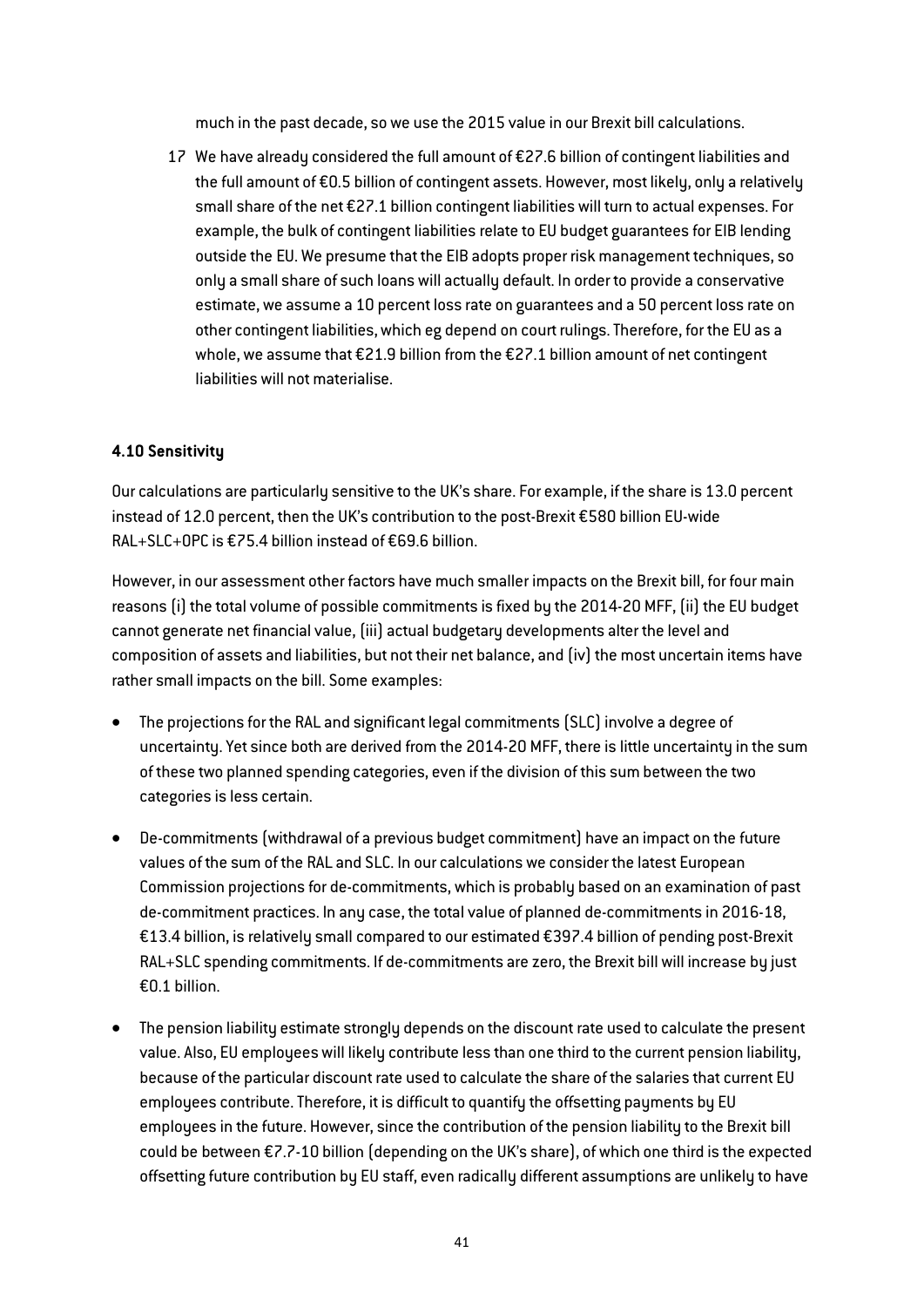much in the past decade, so we use the 2015 value in our Brexit bill calculations.

17 We have already considered the full amount of €27.6 billion of contingent liabilities and the full amount of €0.5 billion of contingent assets. However, most likely, only a relatively small share of the net €27.1 billion contingent liabilities will turn to actual expenses. For example, the bulk of contingent liabilities relate to EU budget guarantees for EIB lending outside the EU. We presume that the EIB adopts proper risk management techniques, so only a small share of such loans will actually default. In order to provide a conservative estimate, we assume a 10 percent loss rate on guarantees and a 50 percent loss rate on other contingent liabilities, which eg depend on court rulings. Therefore, for the EU as a whole, we assume that €21.9 billion from the €27.1 billion amount of net contingent liabilities will not materialise.

## 4.10 Sensitivity

Our calculations are particularly sensitive to the UK's share. For example, if the share is 13.0 percent instead of 12.0 percent, then the UK's contribution to the post-Brexit €580 billion EU-wide RAL+SLC+OPC is €75.4 billion instead of €69.6 billion.

However, in our assessment other factors have much smaller impacts on the Brexit bill, for four main reasons (i) the total volume of possible commitments is fixed by the 2014-20 MFF, (ii) the EU budget cannot generate net financial value, (iii) actual budgetary developments alter the level and composition of assets and liabilities, but not their net balance, and (iv) the most uncertain items have rather small impacts on the bill. Some examples:

- The projections for the RAL and significant legal commitments (SLC) involve a degree of uncertainty. Yet since both are derived from the 2014-20 MFF, there is little uncertainty in the sum of these two planned spending categories, even if the division of this sum between the two categories is less certain.
- De-commitments (withdrawal of a previous budget commitment) have an impact on the future values of the sum of the RAL and SLC. In our calculations we consider the latest European Commission projections for de-commitments, which is probably based on an examination of past de-commitment practices. In any case, the total value of planned de-commitments in 2016-18, €13.4 billion, is relatively small compared to our estimated €397.4 billion of pending post-Brexit RAL+SLC spending commitments. If de-commitments are zero, the Brexit bill will increase by just €0.1 billion.
- The pension liability estimate strongly depends on the discount rate used to calculate the present value. Also, EU employees will likely contribute less than one third to the current pension liability, because of the particular discount rate used to calculate the share of the salaries that current EU employees contribute. Therefore, it is difficult to quantify the offsetting payments by EU employees in the future. However, since the contribution of the pension liability to the Brexit bill could be between €7.7-10 billion (depending on the UK's share), of which one third is the expected offsetting future contribution by EU staff, even radically different assumptions are unlikely to have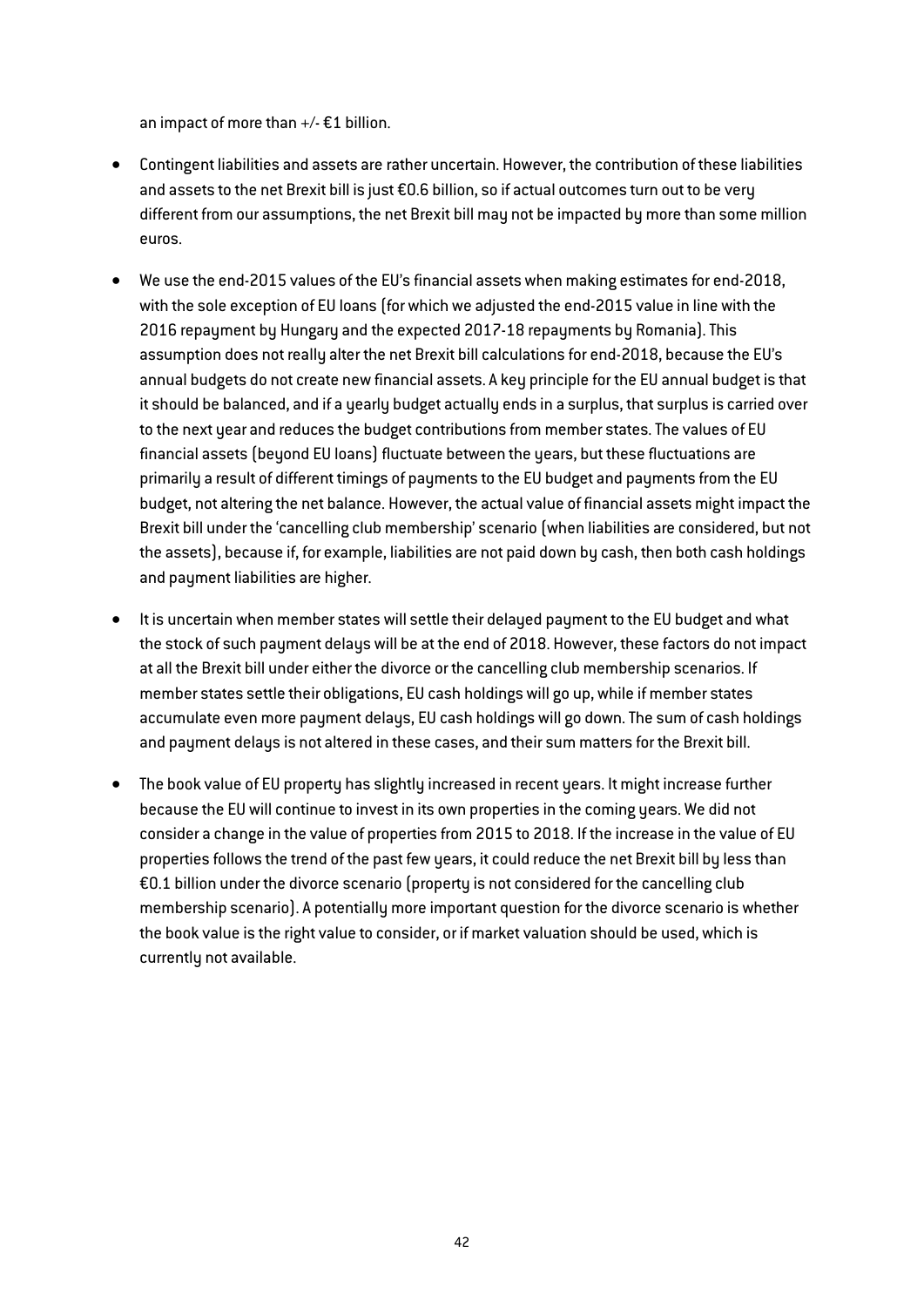an impact of more than  $+/- \text{\textsterling}1$  billion.

- Contingent liabilities and assets are rather uncertain. However, the contribution of these liabilities and assets to the net Brexit bill is just €0.6 billion, so if actual outcomes turn out to be very different from our assumptions, the net Brexit bill may not be impacted by more than some million euros.
- We use the end-2015 values of the EU's financial assets when making estimates for end-2018, with the sole exception of EU loans (for which we adjusted the end-2015 value in line with the 2016 repayment by Hungary and the expected 2017-18 repayments by Romania). This assumption does not really alter the net Brexit bill calculations for end-2018, because the EU's annual budgets do not create new financial assets. A key principle for the EU annual budget is that it should be balanced, and if a yearly budget actually ends in a surplus, that surplus is carried over to the next year and reduces the budget contributions from member states. The values of EU financial assets (beyond EU loans) fluctuate between the years, but these fluctuations are primarily a result of different timings of payments to the EU budget and payments from the EU budget, not altering the net balance. However, the actual value of financial assets might impact the Brexit bill under the 'cancelling club membership' scenario (when liabilities are considered, but not the assets), because if, for example, liabilities are not paid down by cash, then both cash holdings and payment liabilities are higher.
- It is uncertain when member states will settle their delayed payment to the EU budget and what the stock of such payment delays will be at the end of 2018. However, these factors do not impact at all the Brexit bill under either the divorce or the cancelling club membership scenarios. If member states settle their obligations, EU cash holdings will go up, while if member states accumulate even more payment delays, EU cash holdings will go down. The sum of cash holdings and payment delays is not altered in these cases, and their sum matters for the Brexit bill.
- The book value of EU property has slightly increased in recent years. It might increase further because the EU will continue to invest in its own properties in the coming years. We did not consider a change in the value of properties from 2015 to 2018. If the increase in the value of EU properties follows the trend of the past few years, it could reduce the net Brexit bill by less than €0.1 billion under the divorce scenario (property is not considered for the cancelling club membership scenario). A potentially more important question for the divorce scenario is whether the book value is the right value to consider, or if market valuation should be used, which is currently not available.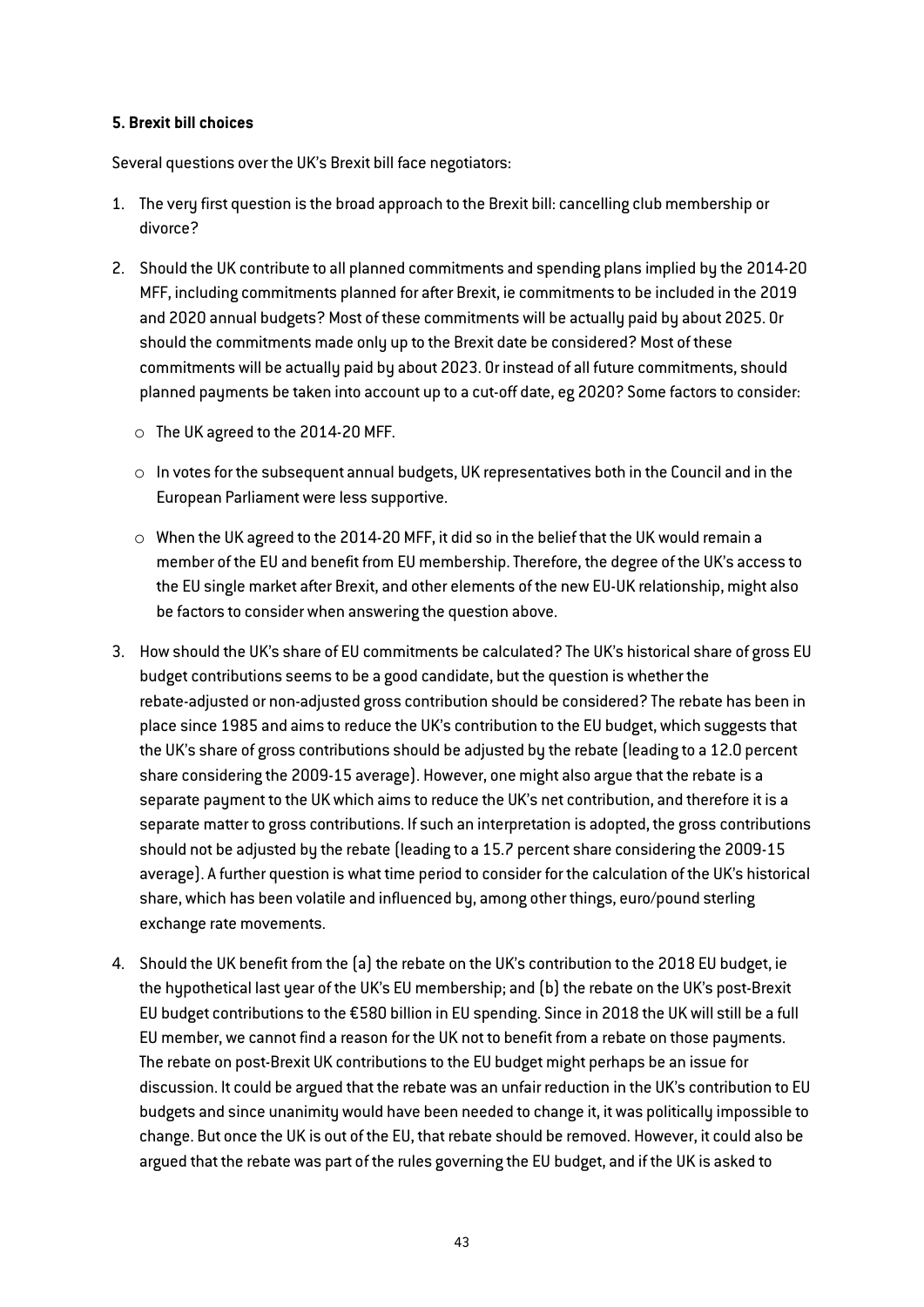## 5. Brexit bill choices

Several questions over the UK's Brexit bill face negotiators:

- 1. The very first question is the broad approach to the Brexit bill: cancelling club membership or divorce?
- 2. Should the UK contribute to all planned commitments and spending plans implied by the 2014-20 MFF, including commitments planned for after Brexit, ie commitments to be included in the 2019 and 2020 annual budgets? Most of these commitments will be actually paid by about 2025. Or should the commitments made only up to the Brexit date be considered? Most of these commitments will be actually paid by about 2023. Or instead of all future commitments, should planned payments be taken into account up to a cut-off date, eg 2020? Some factors to consider:
	- o The UK agreed to the 2014-20 MFF.
	- o In votes for the subsequent annual budgets, UK representatives both in the Council and in the European Parliament were less supportive.
	- $\circ$  When the UK agreed to the 2014-20 MFF, it did so in the belief that the UK would remain a member of the EU and benefit from EU membership. Therefore, the degree of the UK's access to the EU single market after Brexit, and other elements of the new EU-UK relationship, might also be factors to consider when answering the question above.
- 3. How should the UK's share of EU commitments be calculated? The UK's historical share of gross EU budget contributions seems to be a good candidate, but the question is whether the rebate-adjusted or non-adjusted gross contribution should be considered? The rebate has been in place since 1985 and aims to reduce the UK's contribution to the EU budget, which suggests that the UK's share of gross contributions should be adjusted by the rebate (leading to a 12.0 percent share considering the 2009-15 average). However, one might also argue that the rebate is a separate payment to the UK which aims to reduce the UK's net contribution, and therefore it is a separate matter to gross contributions. If such an interpretation is adopted, the gross contributions should not be adjusted by the rebate (leading to a 15.7 percent share considering the 2009-15 average). A further question is what time period to consider for the calculation of the UK's historical share, which has been volatile and influenced by, among other things, euro/pound sterling exchange rate movements.
- 4. Should the UK benefit from the (a) the rebate on the UK's contribution to the 2018 EU budget, ie the hypothetical last year of the UK's EU membership; and (b) the rebate on the UK's post-Brexit EU budget contributions to the €580 billion in EU spending. Since in 2018 the UK will still be a full EU member, we cannot find a reason for the UK not to benefit from a rebate on those payments. The rebate on post-Brexit UK contributions to the EU budget might perhaps be an issue for discussion. It could be argued that the rebate was an unfair reduction in the UK's contribution to EU budgets and since unanimity would have been needed to change it, it was politically impossible to change. But once the UK is out of the EU, that rebate should be removed. However, it could also be argued that the rebate was part of the rules governing the EU budget, and if the UK is asked to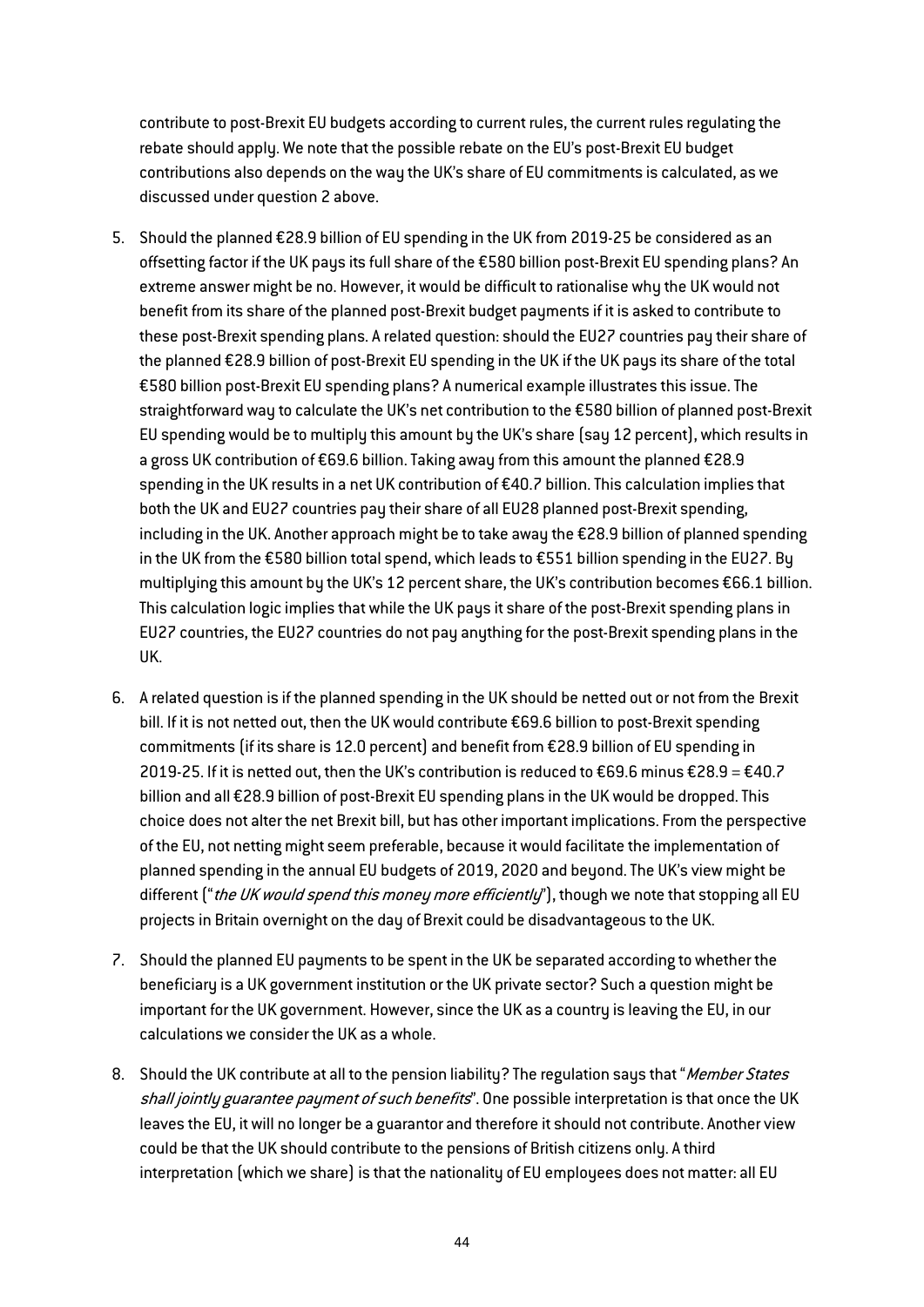contribute to post-Brexit EU budgets according to current rules, the current rules regulating the rebate should apply. We note that the possible rebate on the EU's post-Brexit EU budget contributions also depends on the way the UK's share of EU commitments is calculated, as we discussed under question 2 above.

- 5. Should the planned €28.9 billion of EU spending in the UK from 2019-25 be considered as an offsetting factor if the UK pays its full share of the €580 billion post-Brexit EU spending plans? An extreme answer might be no. However, it would be difficult to rationalise why the UK would not benefit from its share of the planned post-Brexit budget payments if it is asked to contribute to these post-Brexit spending plans. A related question: should the EU27 countries pay their share of the planned €28.9 billion of post-Brexit EU spending in the UK if the UK pays its share of the total €580 billion post-Brexit EU spending plans? A numerical example illustrates this issue. The straightforward way to calculate the UK's net contribution to the €580 billion of planned post-Brexit EU spending would be to multiply this amount by the UK's share (say 12 percent), which results in a gross UK contribution of €69.6 billion. Taking away from this amount the planned €28.9 spending in the UK results in a net UK contribution of €40.7 billion. This calculation implies that both the UK and EU27 countries pay their share of all EU28 planned post-Brexit spending, including in the UK. Another approach might be to take away the €28.9 billion of planned spending in the UK from the €580 billion total spend, which leads to €551 billion spending in the EU27. By multiplying this amount by the UK's 12 percent share, the UK's contribution becomes €66.1 billion. This calculation logic implies that while the UK pays it share of the post-Brexit spending plans in EU27 countries, the EU27 countries do not pay anything for the post-Brexit spending plans in the UK.
- 6. A related question is if the planned spending in the UK should be netted out or not from the Brexit bill. If it is not netted out, then the UK would contribute €69.6 billion to post-Brexit spending commitments (if its share is 12.0 percent) and benefit from €28.9 billion of EU spending in 2019-25. If it is netted out, then the UK's contribution is reduced to €69.6 minus €28.9 = €40.7 billion and all €28.9 billion of post-Brexit EU spending plans in the UK would be dropped. This choice does not alter the net Brexit bill, but has other important implications. From the perspective of the EU, not netting might seem preferable, because it would facilitate the implementation of planned spending in the annual EU budgets of 2019, 2020 and beyond. The UK's view might be different ("the UK would spend this money more efficiently"), though we note that stopping all EU projects in Britain overnight on the day of Brexit could be disadvantageous to the UK.
- 7. Should the planned EU payments to be spent in the UK be separated according to whether the beneficiary is a UK government institution or the UK private sector? Such a question might be important for the UK government. However, since the UK as a country is leaving the EU, in our calculations we consider the UK as a whole.
- 8. Should the UK contribute at all to the pension liability? The regulation says that "Member States shall jointly guarantee payment of such benefits". One possible interpretation is that once the UK leaves the EU, it will no longer be a guarantor and therefore it should not contribute. Another view could be that the UK should contribute to the pensions of British citizens only. A third interpretation (which we share) is that the nationality of EU employees does not matter: all EU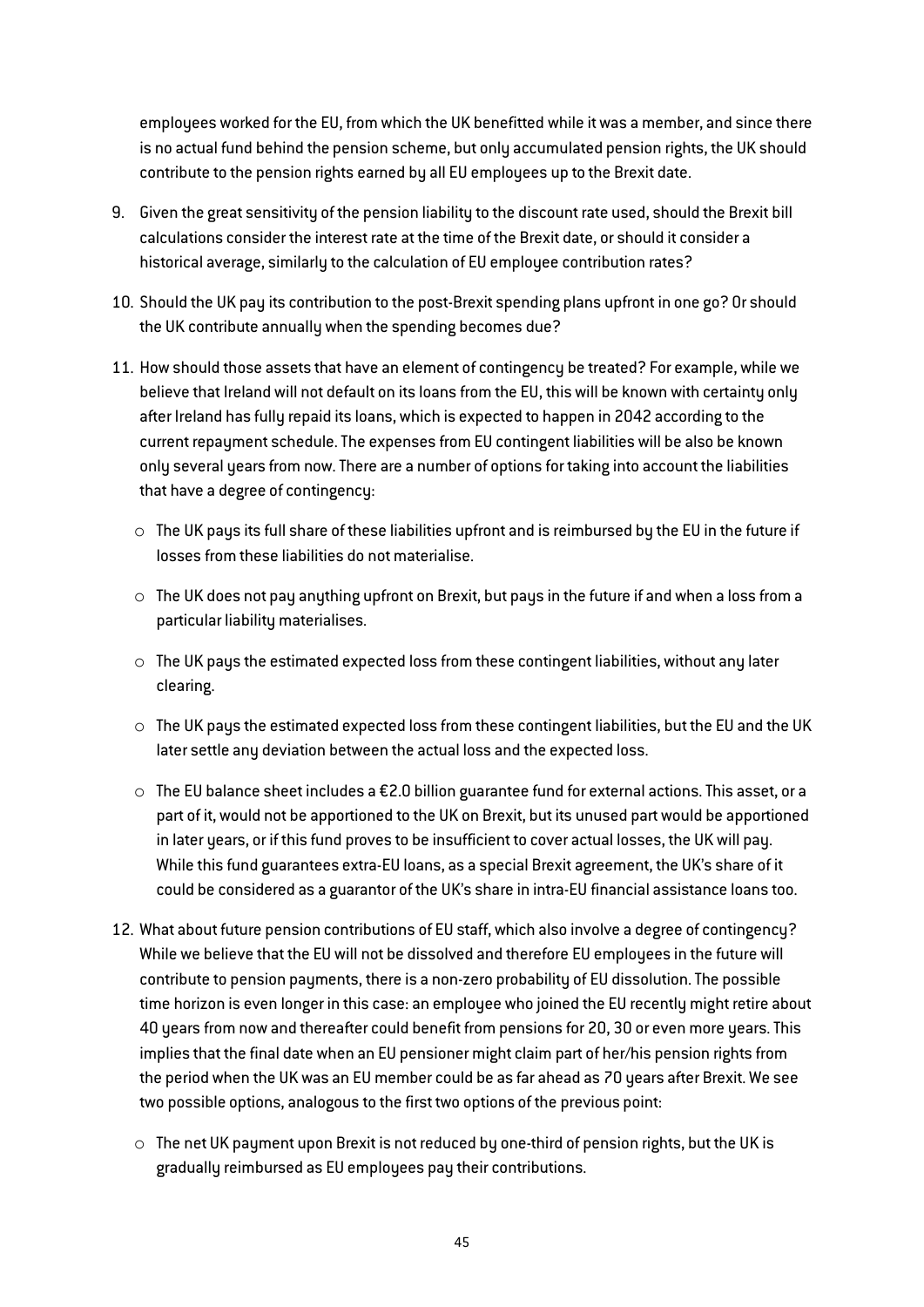employees worked for the EU, from which the UK benefitted while it was a member, and since there is no actual fund behind the pension scheme, but only accumulated pension rights, the UK should contribute to the pension rights earned by all EU employees up to the Brexit date.

- 9. Given the great sensitivity of the pension liability to the discount rate used, should the Brexit bill calculations consider the interest rate at the time of the Brexit date, or should it consider a historical average, similarly to the calculation of EU employee contribution rates?
- 10. Should the UK pay its contribution to the post-Brexit spending plans upfront in one go? Or should the UK contribute annually when the spending becomes due?
- 11. How should those assets that have an element of contingency be treated? For example, while we believe that Ireland will not default on its loans from the EU, this will be known with certainty only after Ireland has fully repaid its loans, which is expected to happen in 2042 according to the current repayment schedule. The expenses from EU contingent liabilities will be also be known only several years from now. There are a number of options for taking into account the liabilities that have a degree of contingency:
	- $\circ$  The UK pays its full share of these liabilities upfront and is reimbursed by the EU in the future if losses from these liabilities do not materialise.
	- $\circ$  The UK does not pay anything upfront on Brexit, but pays in the future if and when a loss from a particular liability materialises.
	- $\circ$  The UK pays the estimated expected loss from these contingent liabilities, without any later clearing.
	- $\circ$  The UK pays the estimated expected loss from these contingent liabilities, but the EU and the UK later settle any deviation between the actual loss and the expected loss.
	- $\circ$  The EU balance sheet includes a £2.0 billion guarantee fund for external actions. This asset, or a part of it, would not be apportioned to the UK on Brexit, but its unused part would be apportioned in later years, or if this fund proves to be insufficient to cover actual losses, the UK will pay. While this fund guarantees extra-EU loans, as a special Brexit agreement, the UK's share of it could be considered as a guarantor of the UK's share in intra-EU financial assistance loans too.
- 12. What about future pension contributions of EU staff, which also involve a degree of contingency? While we believe that the EU will not be dissolved and therefore EU employees in the future will contribute to pension payments, there is a non-zero probability of EU dissolution. The possible time horizon is even longer in this case: an employee who joined the EU recently might retire about 40 years from now and thereafter could benefit from pensions for 20, 30 or even more years. This implies that the final date when an EU pensioner might claim part of her/his pension rights from the period when the UK was an EU member could be as far ahead as 70 years after Brexit. We see two possible options, analogous to the first two options of the previous point:
	- $\circ$  The net UK payment upon Brexit is not reduced by one-third of pension rights, but the UK is gradually reimbursed as EU employees pay their contributions.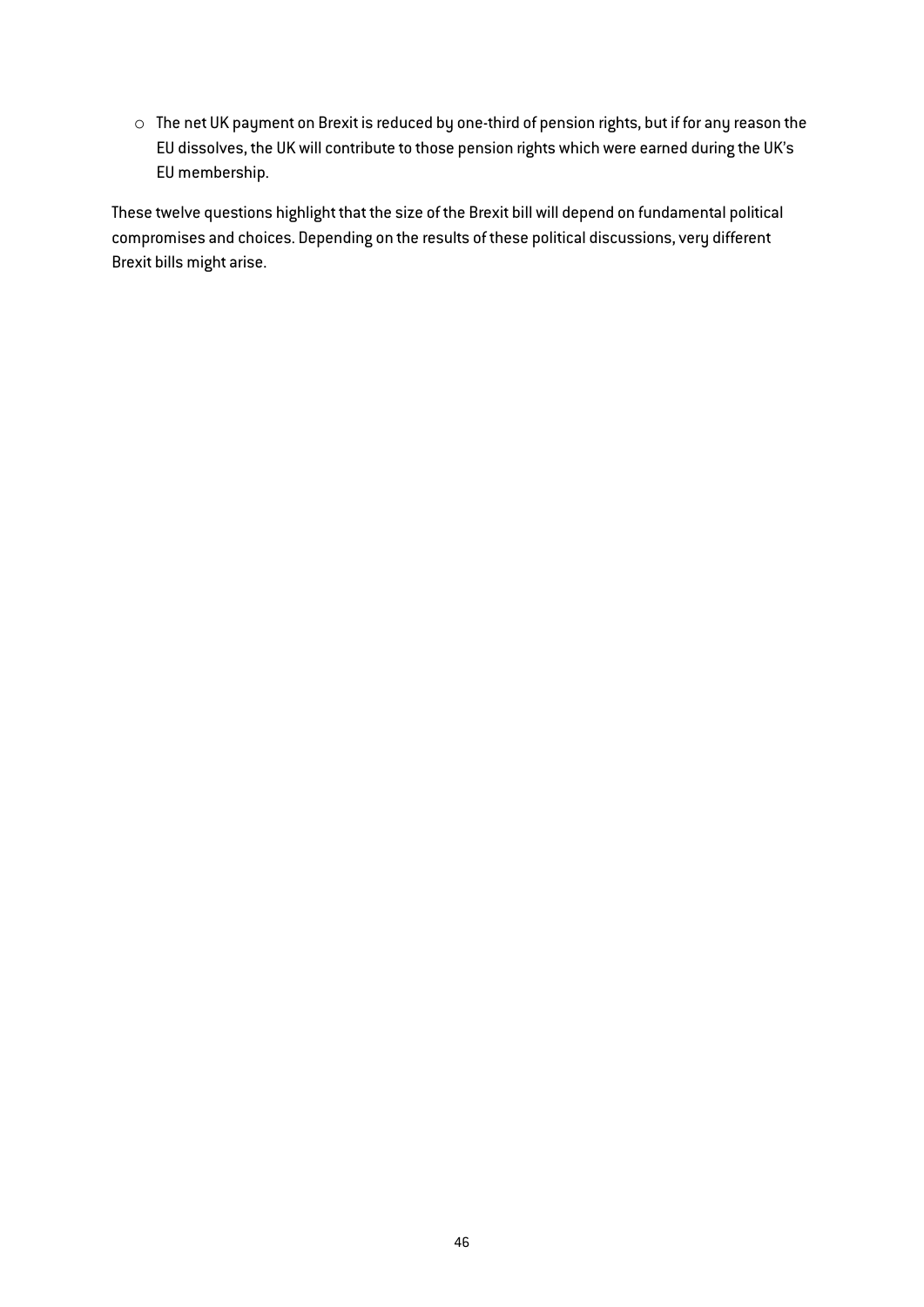o The net UK payment on Brexit is reduced by one-third of pension rights, but if for any reason the EU dissolves, the UK will contribute to those pension rights which were earned during the UK's EU membership.

These twelve questions highlight that the size of the Brexit bill will depend on fundamental political compromises and choices. Depending on the results of these political discussions, very different Brexit bills might arise.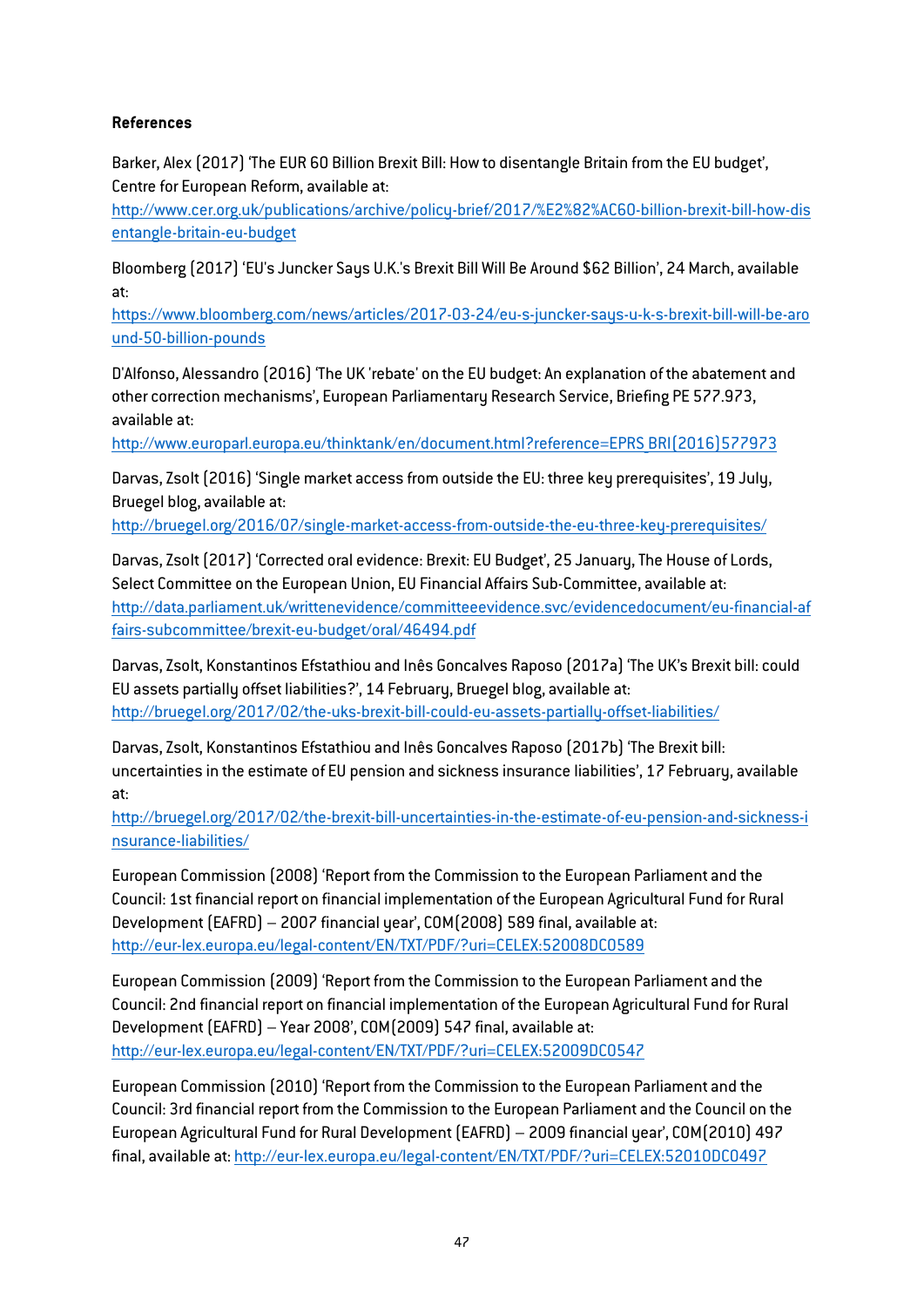## References

Barker, Alex (2017) 'The EUR 60 Billion Brexit Bill: How to disentangle Britain from the EU budget', Centre for European Reform, available at:

[http://www.cer.org.uk/publications/archive/policy-brief/2017/%E2%82%AC60-billion-brexit-bill-how-dis](http://www.cer.org.uk/publications/archive/policy-brief/2017/%E2%82%AC60-billion-brexit-bill-how-disentangle-britain-eu-budget) [entangle-britain-eu-budget](http://www.cer.org.uk/publications/archive/policy-brief/2017/%E2%82%AC60-billion-brexit-bill-how-disentangle-britain-eu-budget)

Bloomberg (2017) 'EU's Juncker Says U.K.'s Brexit Bill Will Be Around \$62 Billion', 24 March, available at:

https://www.bloomberg.com/news/articles/2017-03-24/eu-s-juncker-says-u-k-s-brexit-bill-will-be-aro und-50-billion-pounds

D'Alfonso, Alessandro (2016) 'The UK 'rebate' on the EU budget: An explanation of the abatement and other correction mechanisms', European Parliamentary Research Service, Briefing PE 577.973, available at:

[http://www.europarl.europa.eu/thinktank/en/document.html?reference=EPRS\\_BRI\(2016\)577973](http://www.europarl.europa.eu/thinktank/en/document.html?reference=EPRS_BRI(2016)577973)

Darvas, Zsolt (2016) 'Single market access from outside the EU: three key prerequisites', 19 July, Bruegel blog, available at:

<http://bruegel.org/2016/07/single-market-access-from-outside-the-eu-three-key-prerequisites/>

Darvas, Zsolt (2017) 'Corrected oral evidence: Brexit: EU Budget', 25 January, The House of Lords, Select Committee on the European Union, EU Financial Affairs Sub-Committee, available at: [http://data.parliament.uk/writtenevidence/committeeevidence.svc/evidencedocument/eu-financial-af](http://data.parliament.uk/writtenevidence/committeeevidence.svc/evidencedocument/eu-financial-affairs-subcommittee/brexit-eu-budget/oral/46494.pdf) [fairs-subcommittee/brexit-eu-budget/oral/46494.pdf](http://data.parliament.uk/writtenevidence/committeeevidence.svc/evidencedocument/eu-financial-affairs-subcommittee/brexit-eu-budget/oral/46494.pdf)

Darvas, Zsolt, Konstantinos Efstathiou and Inês Goncalves Raposo (2017a) 'The UK's Brexit bill: could EU assets partially offset liabilities?', 14 February, Bruegel blog, available at: <http://bruegel.org/2017/02/the-uks-brexit-bill-could-eu-assets-partially-offset-liabilities/>

Darvas, Zsolt, Konstantinos Efstathiou and Inês Goncalves Raposo (2017b) 'The Brexit bill: uncertainties in the estimate of EU pension and sickness insurance liabilities', 17 February, available at:

[http://bruegel.org/2017/02/the-brexit-bill-uncertainties-in-the-estimate-of-eu-pension-and-sickness-i](http://bruegel.org/2017/02/the-brexit-bill-uncertainties-in-the-estimate-of-eu-pension-and-sickness-insurance-liabilities/) [nsurance-liabilities/](http://bruegel.org/2017/02/the-brexit-bill-uncertainties-in-the-estimate-of-eu-pension-and-sickness-insurance-liabilities/)

European Commission (2008) 'Report from the Commission to the European Parliament and the Council: 1st financial report on financial implementation of the European Agricultural Fund for Rural Development (EAFRD) – 2007 financial year', COM(2008) 589 final, available at: <http://eur-lex.europa.eu/legal-content/EN/TXT/PDF/?uri=CELEX:52008DC0589>

European Commission (2009) 'Report from the Commission to the European Parliament and the Council: 2nd financial report on financial implementation of the European Agricultural Fund for Rural Development (EAFRD) – Year 2008', COM(2009) 547 final, available at: <http://eur-lex.europa.eu/legal-content/EN/TXT/PDF/?uri=CELEX:52009DC0547>

European Commission (2010) 'Report from the Commission to the European Parliament and the Council: 3rd financial report from the Commission to the European Parliament and the Council on the European Agricultural Fund for Rural Development (EAFRD) – 2009 financial year', COM(2010) 497 final, available at:<http://eur-lex.europa.eu/legal-content/EN/TXT/PDF/?uri=CELEX:52010DC0497>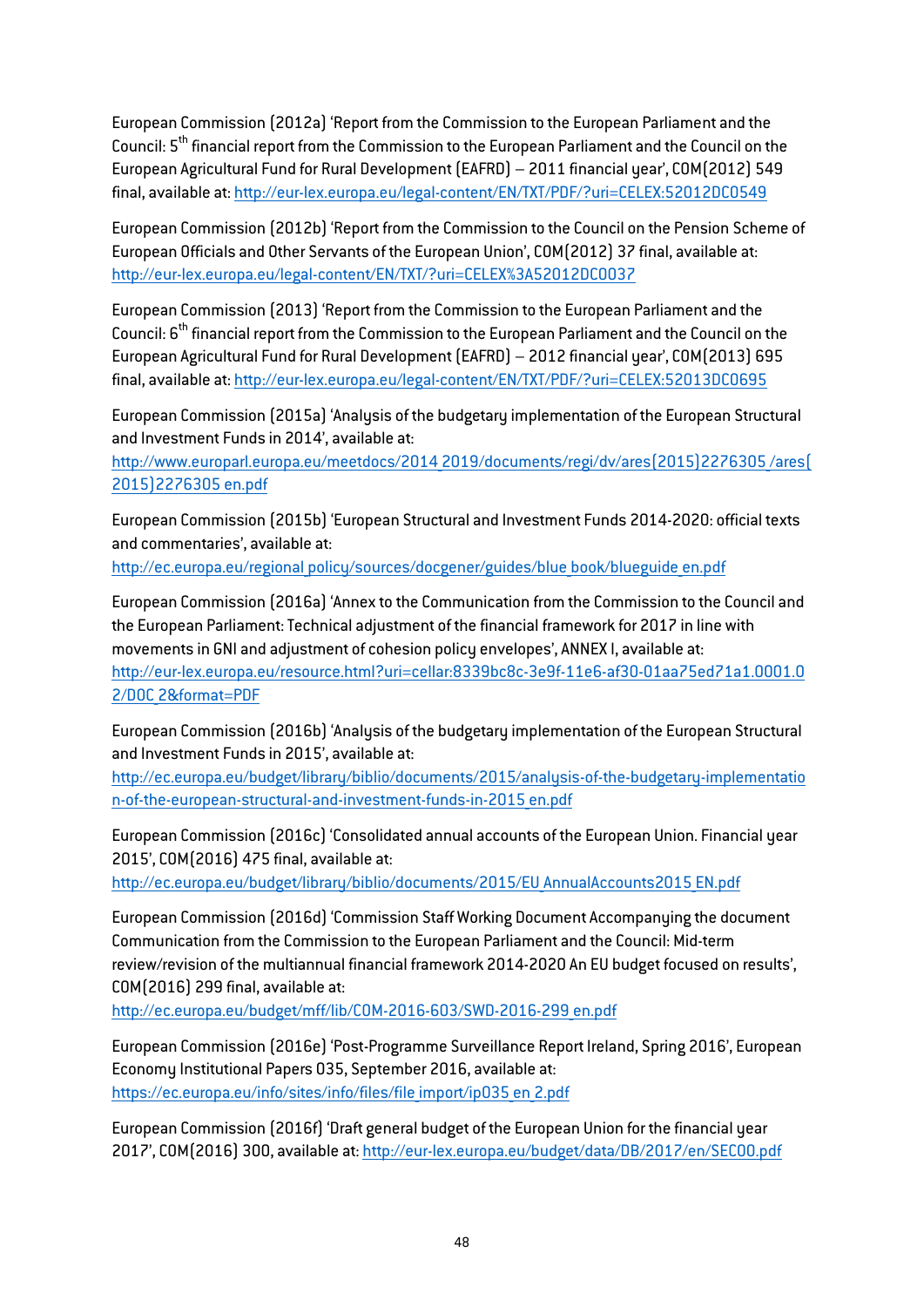European Commission (2012a) 'Report from the Commission to the European Parliament and the Council: 5<sup>th</sup> financial report from the Commission to the European Parliament and the Council on the European Agricultural Fund for Rural Development (EAFRD) – 2011 financial year', COM(2012) 549 final, available at:<http://eur-lex.europa.eu/legal-content/EN/TXT/PDF/?uri=CELEX:52012DC0549>

European Commission (2012b) 'Report from the Commission to the Council on the Pension Scheme of European Officials and Other Servants of the European Union', COM(2012) 37 final, available at: <http://eur-lex.europa.eu/legal-content/EN/TXT/?uri=CELEX%3A52012DC0037>

European Commission (2013) 'Report from the Commission to the European Parliament and the Council: 6<sup>th</sup> financial report from the Commission to the European Parliament and the Council on the European Agricultural Fund for Rural Development (EAFRD) – 2012 financial year', COM(2013) 695 final, available at:<http://eur-lex.europa.eu/legal-content/EN/TXT/PDF/?uri=CELEX:52013DC0695>

European Commission (2015a) 'Analysis of the budgetary implementation of the European Structural and Investment Funds in 2014', available at:

http://www.europarl.europa.eu/meetdocs/2014 2019/documents/regi/dv/ares(2015)2276305/ares( [2015\)2276305\\_en.pdf](http://www.europarl.europa.eu/meetdocs/2014_2019/documents/regi/dv/ares(2015)2276305_/ares(2015)2276305_en.pdf)

European Commission (2015b) 'European Structural and Investment Funds 2014-2020: official texts and commentaries', available at:

[http://ec.europa.eu/regional\\_policy/sources/docgener/guides/blue\\_book/blueguide\\_en.pdf](http://ec.europa.eu/regional_policy/sources/docgener/guides/blue_book/blueguide_en.pdf)

European Commission (2016a) 'Annex to the Communication from the Commission to the Council and the European Parliament: Technical adjustment of the financial framework for 2017 in line with movements in GNI and adjustment of cohesion policy envelopes', ANNEX I, available at: [http://eur-lex.europa.eu/resource.html?uri=cellar:8339bc8c-3e9f-11e6-af30-01aa75ed71a1.0001.0](http://eur-lex.europa.eu/resource.html?uri=cellar:8339bc8c-3e9f-11e6-af30-01aa75ed71a1.0001.02/DOC_2&format=PDF) [2/DOC\\_2&format=PDF](http://eur-lex.europa.eu/resource.html?uri=cellar:8339bc8c-3e9f-11e6-af30-01aa75ed71a1.0001.02/DOC_2&format=PDF)

European Commission (2016b) 'Analysis of the budgetary implementation of the European Structural and Investment Funds in 2015', available at:

[http://ec.europa.eu/budget/library/biblio/documents/2015/analysis-of-the-budgetary-implementatio](http://ec.europa.eu/budget/library/biblio/documents/2015/analysis-of-the-budgetary-implementation-of-the-european-structural-and-investment-funds-in-2015_en.pdf) [n-of-the-european-structural-and-investment-funds-in-2015\\_en.pdf](http://ec.europa.eu/budget/library/biblio/documents/2015/analysis-of-the-budgetary-implementation-of-the-european-structural-and-investment-funds-in-2015_en.pdf)

European Commission (2016c) 'Consolidated annual accounts of the European Union. Financial year 2015', COM(2016) 475 final, available at:

[http://ec.europa.eu/budget/library/biblio/documents/2015/EU\\_AnnualAccounts2015\\_EN.pdf](http://ec.europa.eu/budget/library/biblio/documents/2015/EU_AnnualAccounts2015_EN.pdf)

European Commission (2016d) 'Commission Staff Working Document Accompanying the document Communication from the Commission to the European Parliament and the Council: Mid-term review/revision of the multiannual financial framework 2014-2020 An EU budget focused on results', COM(2016) 299 final, available at:

[http://ec.europa.eu/budget/mff/lib/COM-2016-603/SWD-2016-299\\_en.pdf](http://ec.europa.eu/budget/mff/lib/COM-2016-603/SWD-2016-299_en.pdf)

European Commission (2016e) 'Post-Programme Surveillance Report Ireland, Spring 2016', European Economy Institutional Papers 035, September 2016, available at: https://ec.europa.eu/info/sites/info/files/file import/ip035 en 2.pdf

European Commission (2016f) 'Draft general budget of the European Union for the financial year 2017', COM(2016) 300, available at:<http://eur-lex.europa.eu/budget/data/DB/2017/en/SEC00.pdf>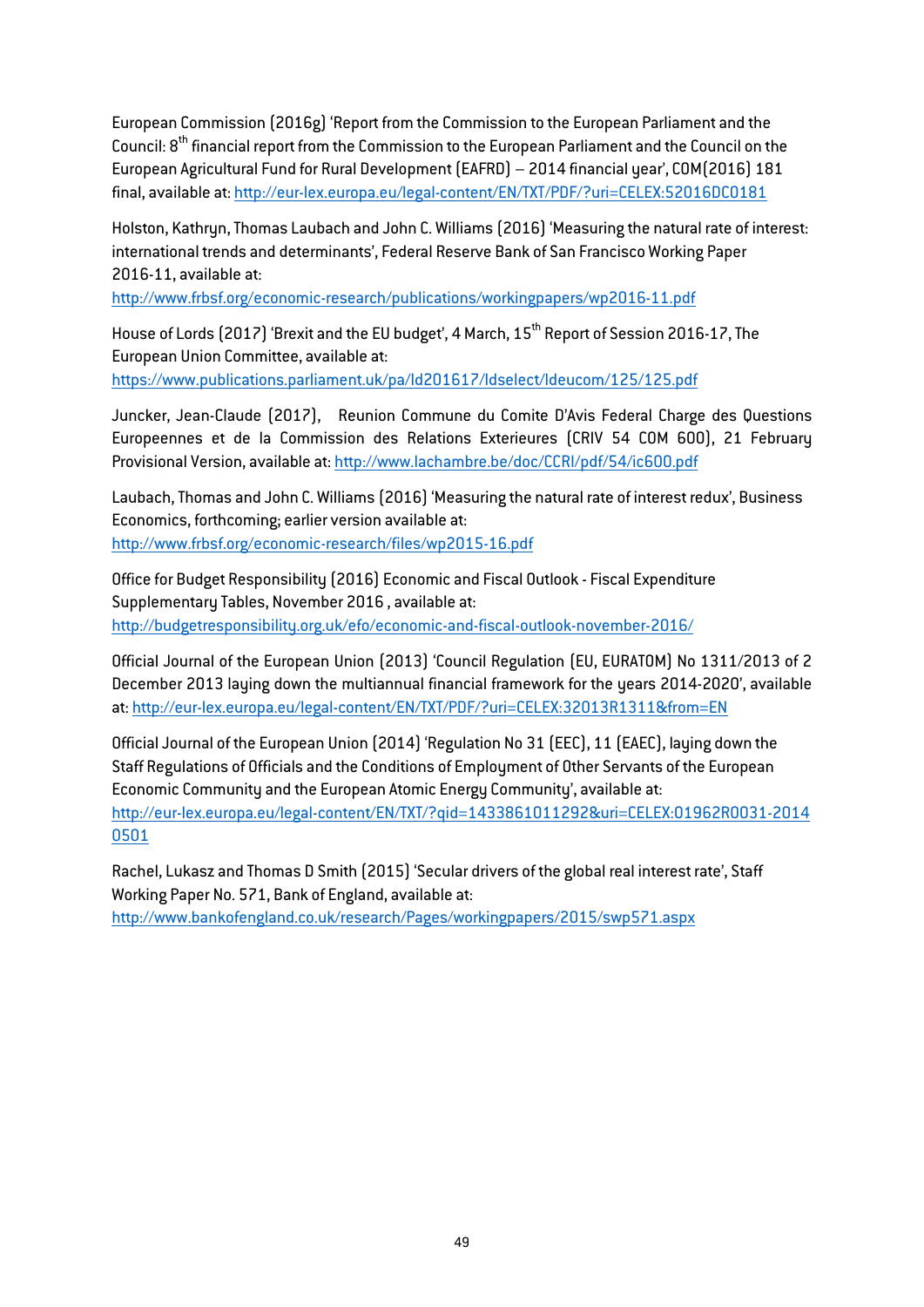European Commission (2016g) 'Report from the Commission to the European Parliament and the Council: 8<sup>th</sup> financial report from the Commission to the European Parliament and the Council on the European Agricultural Fund for Rural Development (EAFRD) – 2014 financial year', COM(2016) 181 final, available at:<http://eur-lex.europa.eu/legal-content/EN/TXT/PDF/?uri=CELEX:52016DC0181>

Holston, Kathryn, Thomas Laubach and John C. Williams (2016) 'Measuring the natural rate of interest: international trends and determinants', Federal Reserve Bank of San Francisco Working Paper 2016-11, available at:

<http://www.frbsf.org/economic-research/publications/workingpapers/wp2016-11.pdf>

House of Lords (2017) 'Brexit and the EU budget', 4 March, 15th Report of Session 2016-17, The European Union Committee, available at: https://www.publications.parliament.uk/pa/ld201617/ldselect/ldeucom/125/125.pdf

Juncker, Jean-Claude (2017), Reunion Commune du Comite D'Avis Federal Charge des Questions Europeennes et de la Commission des Relations Exterieures (CRIV 54 COM 600), 21 February Provisional Version, available at:<http://www.lachambre.be/doc/CCRI/pdf/54/ic600.pdf>

Laubach, Thomas and John C. Williams (2016) 'Measuring the natural rate of interest redux', Business Economics, forthcoming; earlier version available at: <http://www.frbsf.org/economic-research/files/wp2015-16.pdf>

Office for Budget Responsibility (2016) Economic and Fiscal Outlook - Fiscal Expenditure Supplementary Tables, November 2016 , available at: <http://budgetresponsibility.org.uk/efo/economic-and-fiscal-outlook-november-2016/>

Official Journal of the European Union (2013) 'Council Regulation (EU, EURATOM) No 1311/2013 of 2 December 2013 laying down the multiannual financial framework for the years 2014-2020', available at:<http://eur-lex.europa.eu/legal-content/EN/TXT/PDF/?uri=CELEX:32013R1311&from=EN>

Official Journal of the European Union (2014) 'Regulation No 31 (EEC), 11 (EAEC), laying down the Staff Regulations of Officials and the Conditions of Employment of Other Servants of the European Economic Community and the European Atomic Energy Community', available at: [http://eur-lex.europa.eu/legal-content/EN/TXT/?qid=1433861011292&uri=CELEX:01962R0031-2014](http://eur-lex.europa.eu/legal-content/EN/TXT/?qid=1433861011292&uri=CELEX:01962R0031-20140501) [0501](http://eur-lex.europa.eu/legal-content/EN/TXT/?qid=1433861011292&uri=CELEX:01962R0031-20140501)

Rachel, Lukasz and Thomas D Smith (2015) 'Secular drivers of the global real interest rate', Staff Working Paper No. 571, Bank of England, available at: <http://www.bankofengland.co.uk/research/Pages/workingpapers/2015/swp571.aspx>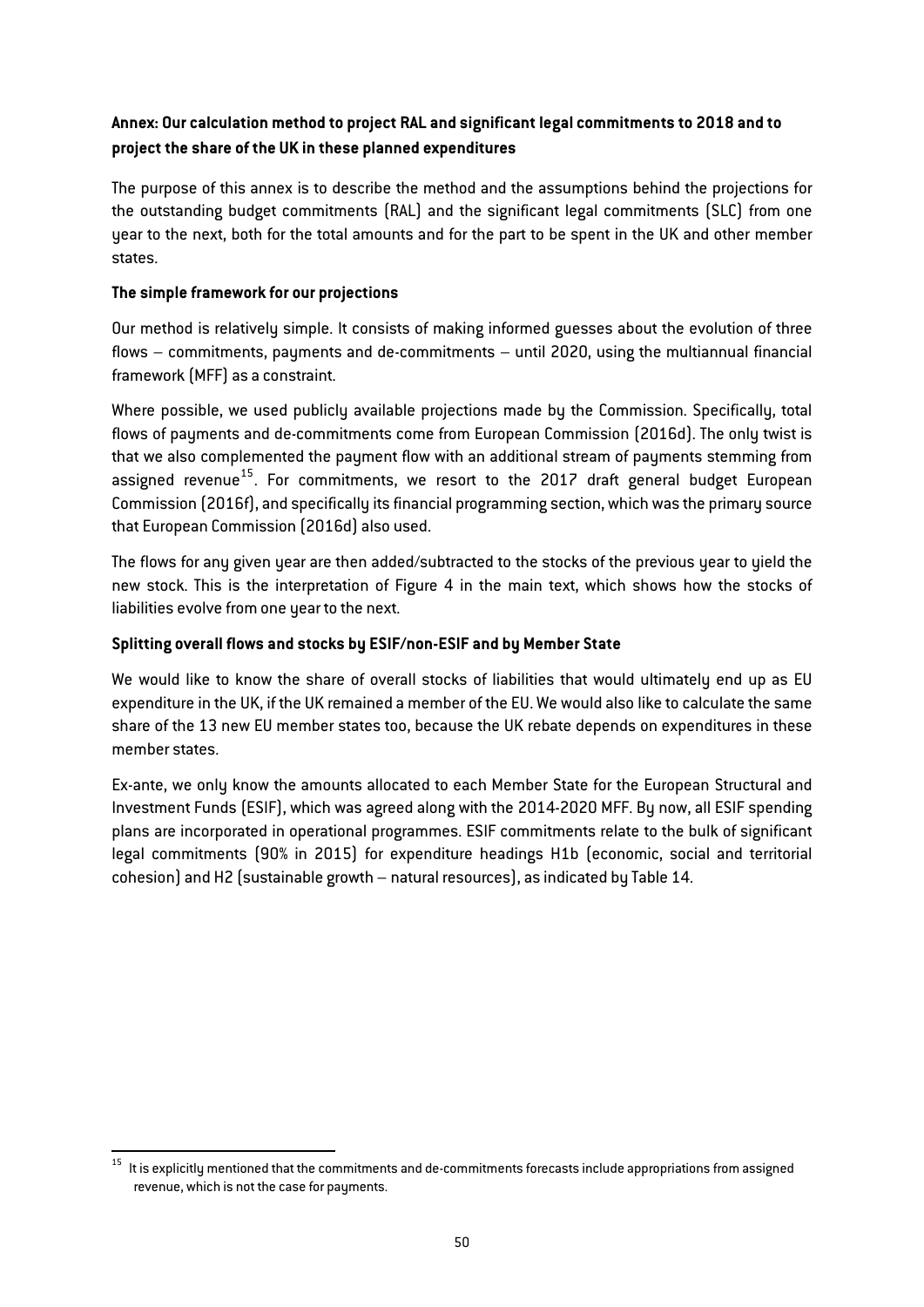# Annex: Our calculation method to project RAL and significant legal commitments to 2018 and to project the share of the UK in these planned expenditures

The purpose of this annex is to describe the method and the assumptions behind the projections for the outstanding budget commitments (RAL) and the significant legal commitments (SLC) from one year to the next, both for the total amounts and for the part to be spent in the UK and other member states.

## The simple framework for our projections

Our method is relatively simple. It consists of making informed guesses about the evolution of three flows – commitments, payments and de-commitments – until 2020, using the multiannual financial framework (MFF) as a constraint.

Where possible, we used publicly available projections made by the Commission. Specifically, total flows of payments and de-commitments come from European Commission (2016d). The only twist is that we also complemented the payment flow with an additional stream of payments stemming from assigned revenue<sup>15</sup>. For commitments, we resort to the 2017 draft general budget European Commission (2016f), and specifically its financial programming section, which was the primary source that European Commission (2016d) also used.

The flows for any given year are then added/subtracted to the stocks of the previous year to yield the new stock. This is the interpretation of Figure 4 in the main text, which shows how the stocks of liabilities evolve from one year to the next.

## Splitting overall flows and stocks by ESIF/non-ESIF and by Member State

We would like to know the share of overall stocks of liabilities that would ultimately end up as EU expenditure in the UK, if the UK remained a member of the EU. We would also like to calculate the same share of the 13 new EU member states too, because the UK rebate depends on expenditures in these member states.

Ex-ante, we only know the amounts allocated to each Member State for the European Structural and Investment Funds (ESIF), which was agreed along with the 2014-2020 MFF. By now, all ESIF spending plans are incorporated in operational programmes. ESIF commitments relate to the bulk of significant legal commitments (90% in 2015) for expenditure headings H1b (economic, social and territorial cohesion) and H2 (sustainable growth – natural resources), as indicated by [Table 14.](#page-51-0)

<sup>&</sup>lt;sup>15</sup> It is explicitlu mentioned that the commitments and de-commitments forecasts include appropriations from assigned revenue, which is not the case for payments.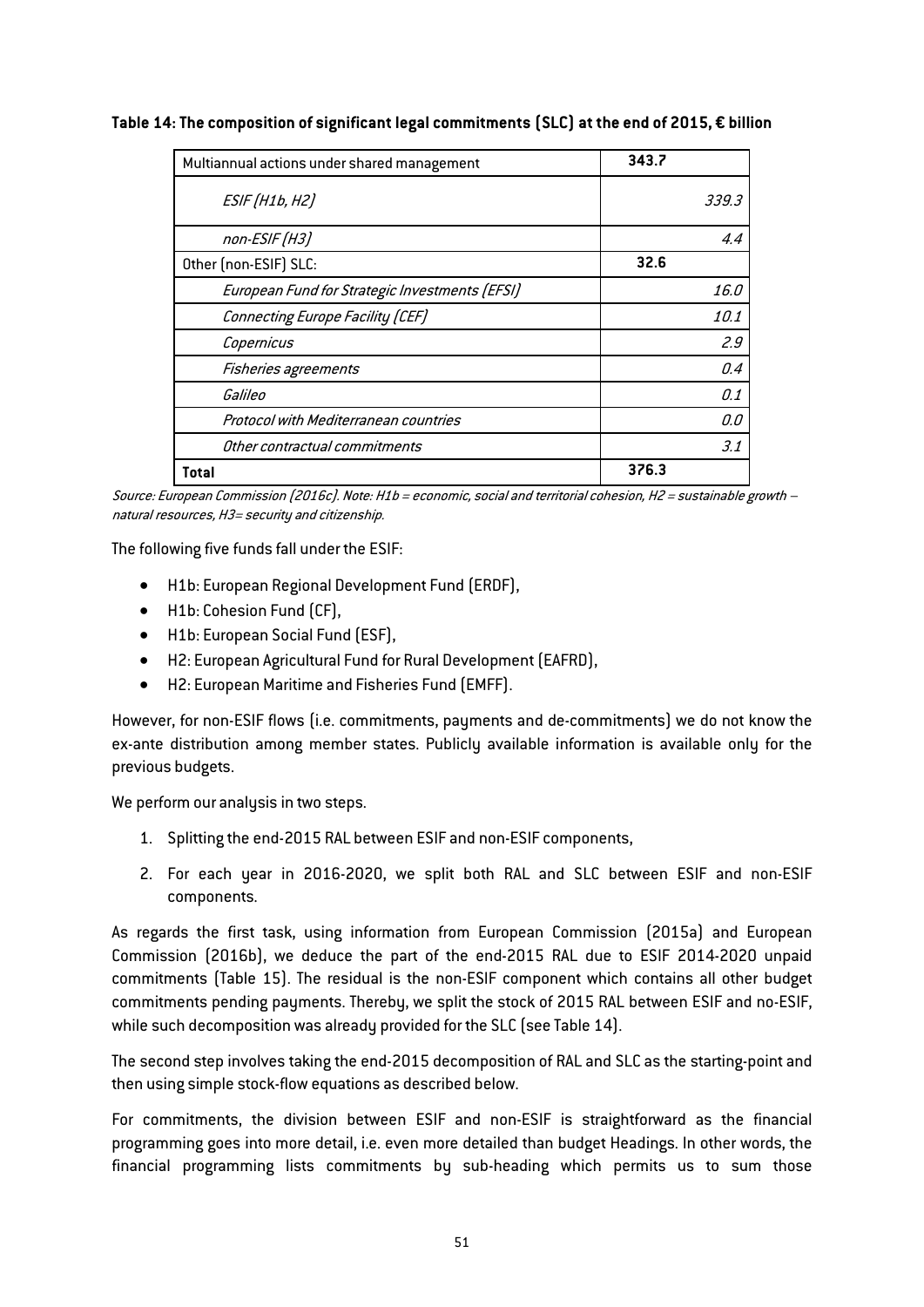| Multiannual actions under shared management    | 343.7 |
|------------------------------------------------|-------|
| <b>ESIF</b> (H1b, H2)                          | 339.3 |
| non-ESIF (H3)                                  | 4.4   |
| Other (non-ESIF) SLC:                          | 32.6  |
| European Fund for Strategic Investments (EFSI) | 16.0  |
| Connecting Europe Facility (CEF)               | 10.1  |
| Copernicus                                     | 2.9   |
| Fisheries agreements                           | 0.4   |
| Galileo                                        | 0.1   |
| Protocol with Mediterranean countries          | 0.0   |
| Other contractual commitments                  | 3.1   |
| Total                                          | 376.3 |

<span id="page-51-0"></span>Table 14: The composition of significant legal commitments (SLC) at the end of 2015, € billion

Source: European Commission (2016c). Note: H1b = economic, social and territorial cohesion, H2 = sustainable growth – natural resources, H3= security and citizenship.

The following five funds fall under the ESIF:

- H1b: European Regional Development Fund (ERDF),
- H1b: Cohesion Fund (CF),
- H1b: European Social Fund (ESF),
- H2: European Agricultural Fund for Rural Development (EAFRD),
- H2: European Maritime and Fisheries Fund (EMFF).

However, for non-ESIF flows (i.e. commitments, payments and de-commitments) we do not know the ex-ante distribution among member states. Publicly available information is available only for the previous budgets.

We perform our analysis in two steps.

- 1. Splitting the end-2015 RAL between ESIF and non-ESIF components,
- 2. For each year in 2016-2020, we split both RAL and SLC between ESIF and non-ESIF components.

As regards the first task, using information from European Commission (2015a) and European Commission (2016b), we deduce the part of the end-2015 RAL due to ESIF 2014-2020 unpaid commitments [\(Table 15\).](#page-55-0) The residual is the non-ESIF component which contains all other budget commitments pending payments. Thereby, we split the stock of 2015 RAL between ESIF and no-ESIF, while such decomposition was already provided for the SLC (see [Table 14\).](#page-51-0)

The second step involves taking the end-2015 decomposition of RAL and SLC as the starting-point and then using simple stock-flow equations as described below.

For commitments, the division between ESIF and non-ESIF is straightforward as the financial programming goes into more detail, i.e. even more detailed than budget Headings. In other words, the financial programming lists commitments by sub-heading which permits us to sum those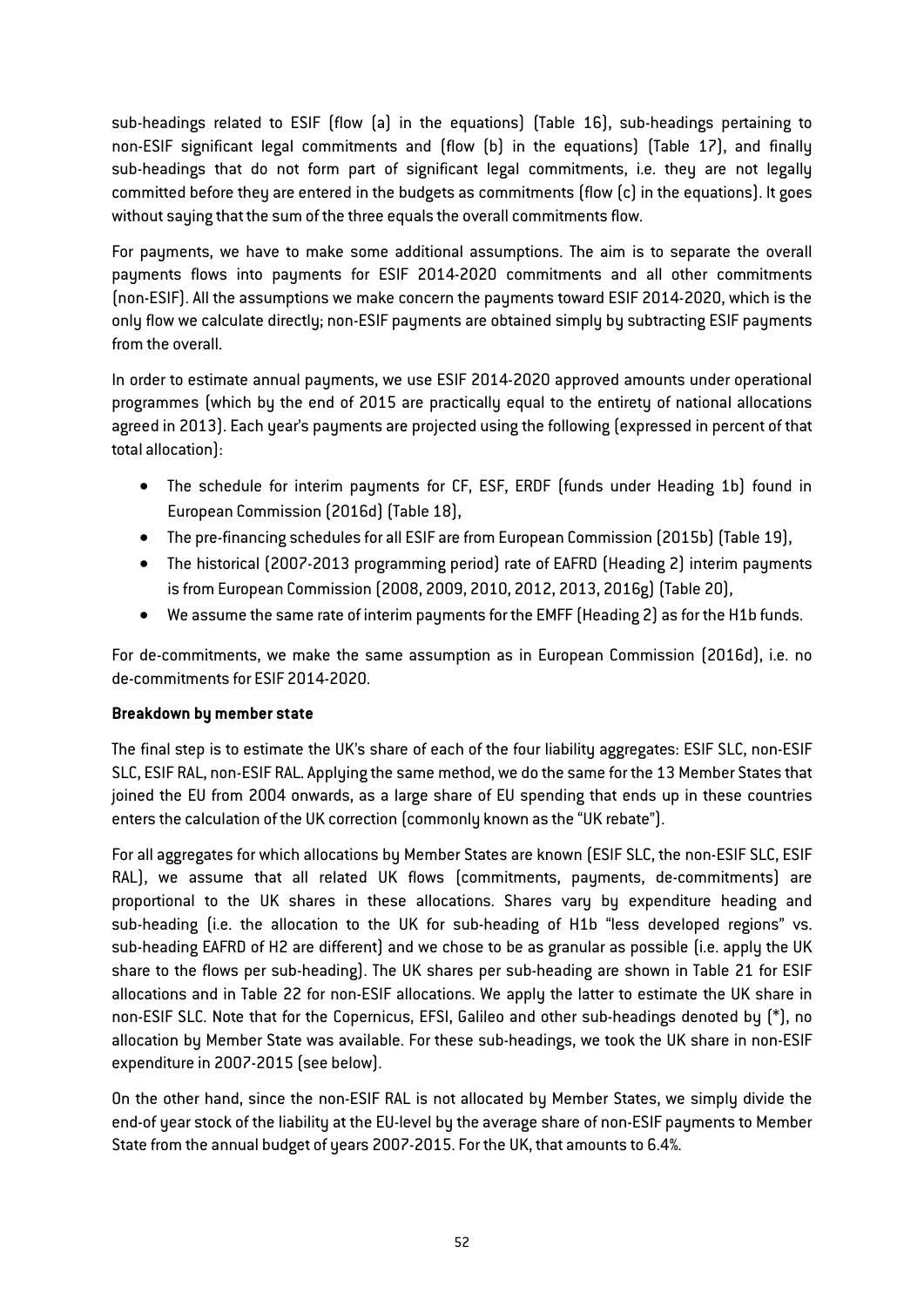sub-headings related to ESIF (flow (a) in the equations) ([Table 16\),](#page-55-1) sub-headings pertaining to non-ESIF significant legal commitments and (flow (b) in the equations) (Table 17), and finally sub-headings that do not form part of significant legal commitments, i.e. they are not legally committed before they are entered in the budgets as commitments (flow (c) in the equations). It goes without saying that the sum of the three equals the overall commitments flow.

For payments, we have to make some additional assumptions. The aim is to separate the overall payments flows into payments for ESIF 2014-2020 commitments and all other commitments (non-ESIF). All the assumptions we make concern the payments toward ESIF 2014-2020, which is the only flow we calculate directly; non-ESIF payments are obtained simply by subtracting ESIF payments from the overall.

In order to estimate annual payments, we use ESIF 2014-2020 approved amounts under operational programmes (which by the end of 2015 are practically equal to the entirety of national allocations agreed in 2013). Each year's payments are projected using the following (expressed in percent of that total allocation):

- The schedule for interim payments for CF, ESF, ERDF (funds under Heading 1b) found in European Commission (2016d) (Table 18),
- The pre-financing schedules for all ESIF are from European Commission (2015b) [\(Table 19\),](#page-56-0)
- The historical (2007-2013 programming period) rate of EAFRD (Heading 2) interim payments is from European Commission (2008, 2009, 2010, 2012, 2013, 2016g) [\(Table 20\),](#page-57-1)
- We assume the same rate of interim payments for the EMFF (Heading 2) as for the H1b funds.

For de-commitments, we make the same assumption as in European Commission (2016d), i.e. no de-commitments for ESIF 2014-2020.

## Breakdown by member state

The final step is to estimate the UK's share of each of the four liability aggregates: ESIF SLC, non-ESIF SLC, ESIF RAL, non-ESIF RAL. Applying the same method, we do the same for the 13 Member States that joined the EU from 2004 onwards, as a large share of EU spending that ends up in these countries enters the calculation of the UK correction (commonly known as the "UK rebate").

For all aggregates for which allocations by Member States are known (ESIF SLC, the non-ESIF SLC, ESIF RAL), we assume that all related UK flows (commitments, payments, de-commitments) are proportional to the UK shares in these allocations. Shares vary by expenditure heading and sub-heading (i.e. the allocation to the UK for sub-heading of H1b "less developed regions" vs. sub-heading EAFRD of H2 are different) and we chose to be as granular as possible (i.e. apply the UK share to the flows per sub-heading). The UK shares per sub-heading are shown in [Table 21](#page-57-2) for ESIF allocations and in [Table 22](#page-57-0) for non-ESIF allocations. We apply the latter to estimate the UK share in non-ESIF SLC. Note that for the Copernicus, EFSI, Galileo and other sub-headings denoted by (\*), no allocation by Member State was available. For these sub-headings, we took the UK share in non-ESIF expenditure in 2007-2015 (see below).

On the other hand, since the non-ESIF RAL is not allocated by Member States, we simply divide the end-of year stock of the liability at the EU-level by the average share of non-ESIF payments to Member State from the annual budget of years 2007-2015. For the UK, that amounts to 6.4%.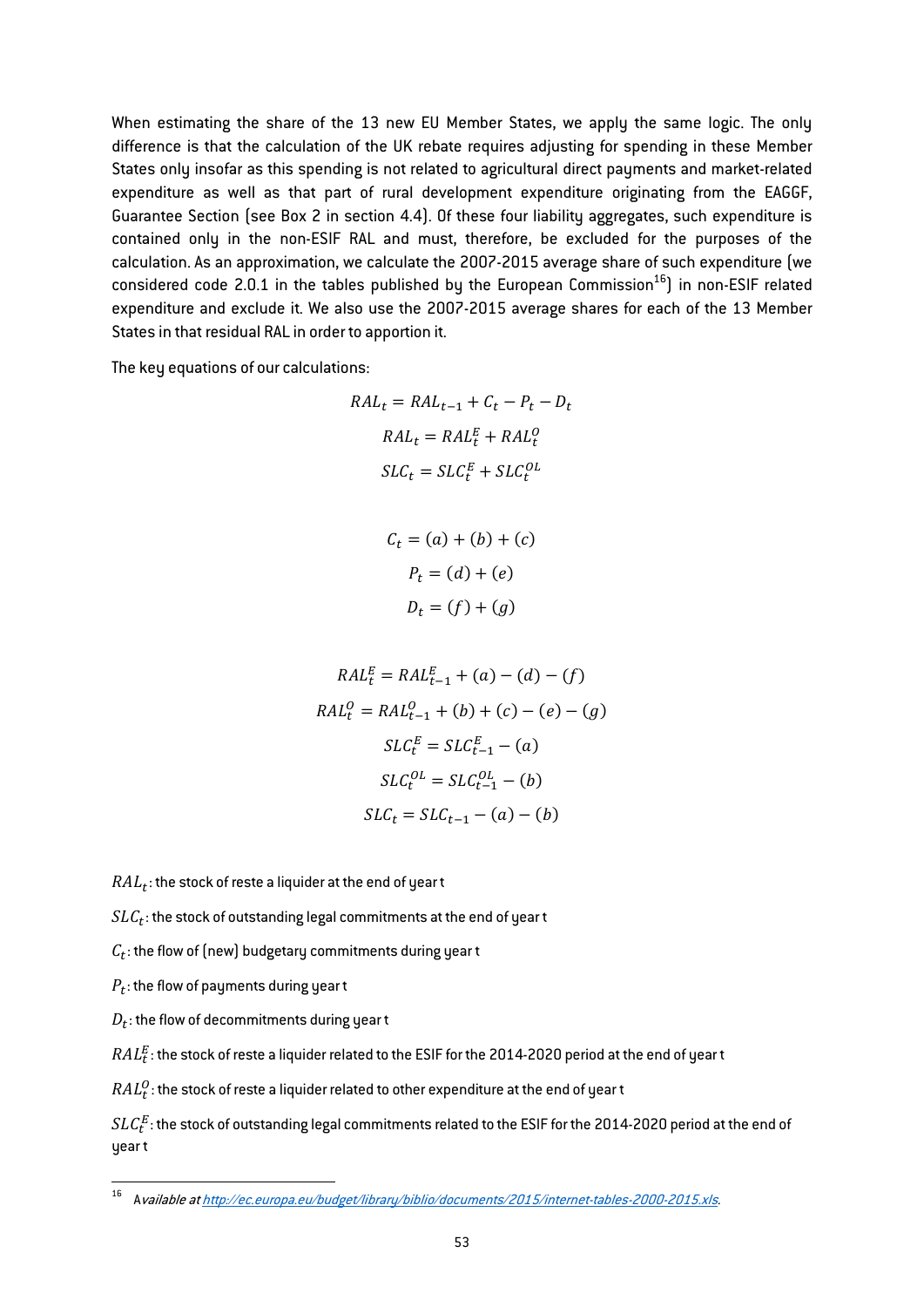When estimating the share of the 13 new EU Member States, we apply the same logic. The only difference is that the calculation of the UK rebate requires adjusting for spending in these Member States only insofar as this spending is not related to agricultural direct payments and market-related expenditure as well as that part of rural development expenditure originating from the EAGGF, Guarantee Section (see Box 2 in section 4.4). Of these four liability aggregates, such expenditure is contained only in the non-ESIF RAL and must, therefore, be excluded for the purposes of the calculation. As an approximation, we calculate the 2007-2015 average share of such expenditure (we considered code 2.0.1 in the tables published by the European Commission $^{16}$ ) in non-ESIF related expenditure and exclude it. We also use the 2007-2015 average shares for each of the 13 Member States in that residual RAL in order to apportion it.

The key equations of our calculations:

$$
RAL_t = RAL_{t-1} + C_t - P_t - D_t
$$

$$
RAL_t = RAL_t^E + RAL_t^O
$$

$$
SLC_t = SLC_t^E + SLC_t^{OL}
$$

$$
C_t = (a) + (b) + (c)
$$

$$
P_t = (d) + (e)
$$

$$
D_t = (f) + (g)
$$

$$
RAL_t^E = RAL_{t-1}^E + (a) - (d) - (f)
$$
  
\n
$$
RAL_t^O = RAL_{t-1}^O + (b) + (c) - (e) - (g)
$$
  
\n
$$
SLC_t^E = SLC_{t-1}^E - (a)
$$
  
\n
$$
SLC_t^{OL} = SLC_{t-1}^{OL} - (b)
$$
  
\n
$$
SLC_t = SLC_{t-1} - (a) - (b)
$$

 $RAL_t$ : the stock of reste a liquider at the end of year t

 $SLC<sub>t</sub>$ : the stock of outstanding legal commitments at the end of year t

 $C_t$ : the flow of (new) budgetary commitments during year t

 $P_t$ : the flow of payments during year t

 $D_t$ : the flow of decommitments during year t

 $\mathit{RAL}_t^E$ : the stock of reste a liquider related to the ESIF for the 2014-2020 period at the end of year t

 $\mathit{RAL}_t^O$  : the stock of reste a liquider related to other expenditure at the end of year t

 $SLC^E_t$  : the stock of outstanding legal commitments related to the ESIF for the 2014-2020 period at the end of year t

<sup>16</sup> <sup>A</sup>vailable at http://ec.europa.eu/budget/library/biblio/documents/2015/internet-tables-2000-2015.xls.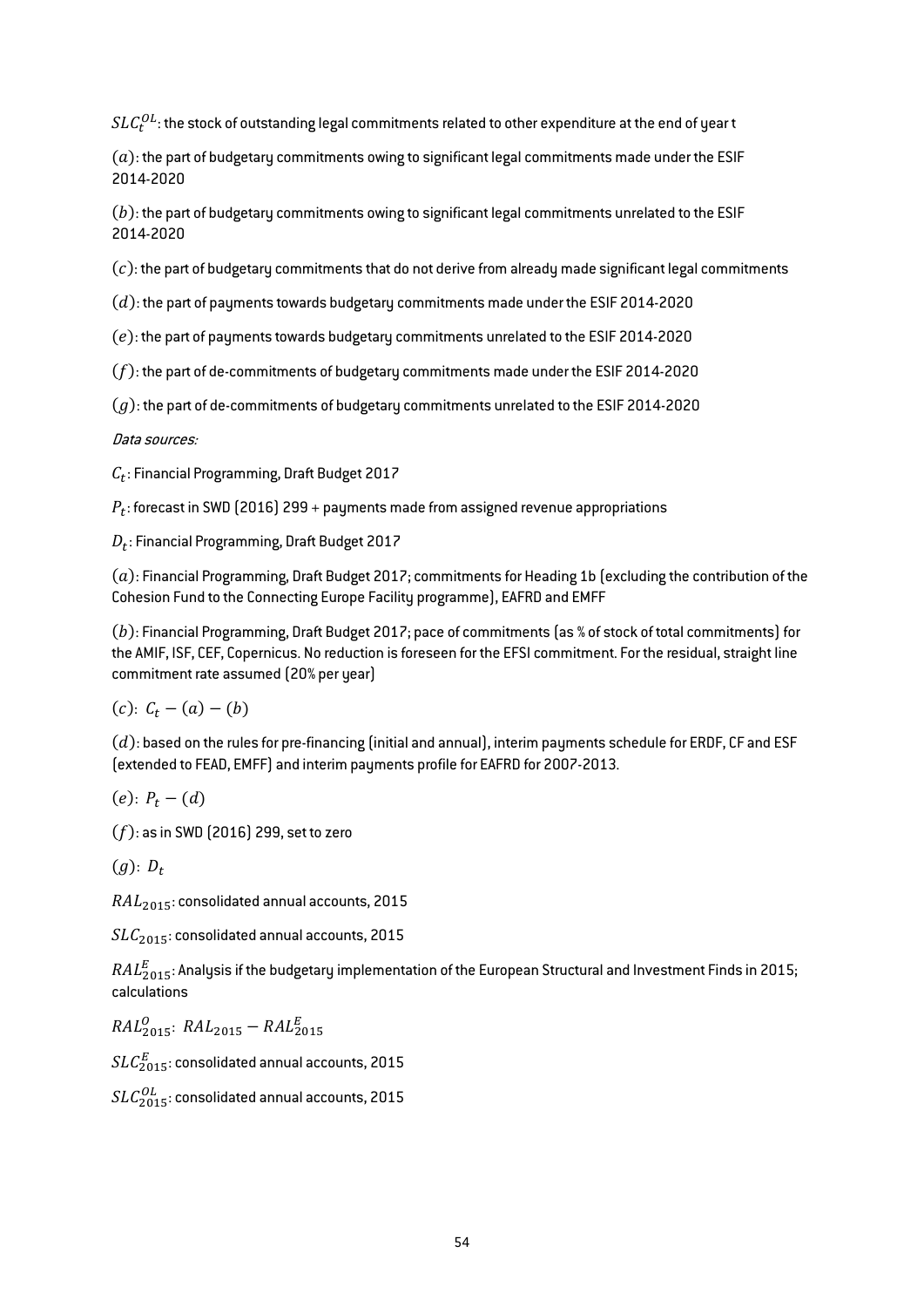$SLC_{{\boldsymbol{t}}}^{OL}$ : the stock of outstanding legal commitments related to other expenditure at the end of year t

 $(a)$ : the part of budgetary commitments owing to significant legal commitments made under the ESIF 2014-2020

 $(b)$ : the part of budgetary commitments owing to significant legal commitments unrelated to the ESIF 2014-2020

 $(c)$ : the part of budgetary commitments that do not derive from already made significant legal commitments

 $(d)$ : the part of payments towards budgetary commitments made under the ESIF 2014-2020

 $(e)$ : the part of payments towards budgetary commitments unrelated to the ESIF 2014-2020

 $(f)$ : the part of de-commitments of budgetary commitments made under the ESIF 2014-2020

 $(a)$ : the part of de-commitments of budgetary commitments unrelated to the ESIF 2014-2020

Data sources:

 $C_t$ : Financial Programming, Draft Budget 2017

 $P_t$ : forecast in SWD (2016) 299 + payments made from assigned revenue appropriations

 $D_t$ : Financial Programming, Draft Budget 2017

 $(a)$ : Financial Programming, Draft Budget 2017; commitments for Heading 1b (excluding the contribution of the Cohesion Fund to the Connecting Europe Facility programme), EAFRD and EMFF

 $(b)$ : Financial Programming, Draft Budget 2017; pace of commitments (as % of stock of total commitments) for the AMIF, ISF, CEF, Copernicus. No reduction is foreseen for the EFSI commitment. For the residual, straight line commitment rate assumed (20% per year)

 $(c): C_{t} - (a) - (b)$ 

 $(d)$ : based on the rules for pre-financing (initial and annual), interim payments schedule for ERDF, CF and ESF (extended to FEAD, EMFF) and interim payments profile for EAFRD for 2007-2013.

$$
(e)\colon P_t-(d)
$$

 $(f)$ : as in SWD (2016) 299, set to zero

 $(a): D_{t}$ 

 $RAL<sub>2015</sub>$ : consolidated annual accounts, 2015

 $SLC_{2015}$ : consolidated annual accounts, 2015

 $\mathit{RAL}_{2015}^E$ : Analysis if the budgetary implementation of the European Structural and Investment Finds in 2015; calculations

 $RAL_{2015}$ :  $RAL_{2015} - RAL_{2015}^E$ 

 $SLC^E_{\rm 2015}$ : consolidated annual accounts, 2015

 $SLC_{2015}^{OL}$ : consolidated annual accounts, 2015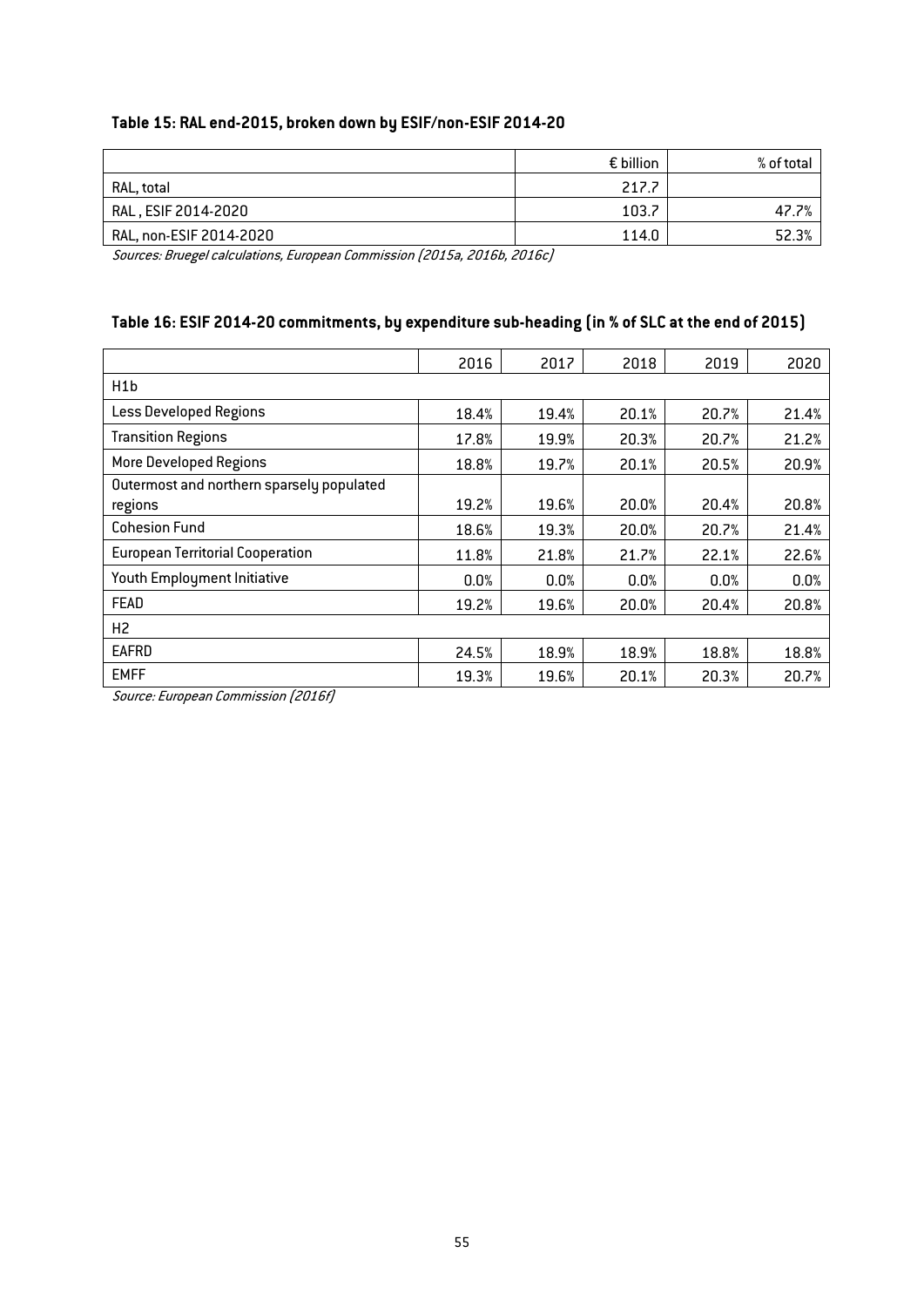# Table 15: RAL end-2015, broken down by ESIF/non-ESIF 2014-20

<span id="page-55-0"></span>

|                         | $\epsilon$ billion | % of total |
|-------------------------|--------------------|------------|
| RAL, total              | 217.7              |            |
| RAL, ESIF 2014-2020     | 103.7              | 47         |
| RAL, non-ESIF 2014-2020 | 114.0              | 52.3%      |

Sources: Bruegel calculations, European Commission (2015a, 2016b, 2016c)

# Table 16: ESIF 2014-20 commitments, by expenditure sub-heading (in % of SLC at the end of 2015)

<span id="page-55-1"></span>

|                                                      | 2016  | 2017  | 2018  | 2019  | 2020  |
|------------------------------------------------------|-------|-------|-------|-------|-------|
| H <sub>1</sub> b                                     |       |       |       |       |       |
| Less Developed Regions                               | 18.4% | 19.4% | 20.1% | 20.7% | 21.4% |
| <b>Transition Regions</b>                            | 17.8% | 19.9% | 20.3% | 20.7% | 21.2% |
| <b>More Developed Regions</b>                        | 18.8% | 19.7% | 20.1% | 20.5% | 20.9% |
| Outermost and northern sparsely populated<br>regions | 19.2% | 19.6% | 20.0% | 20.4% | 20.8% |
| <b>Cohesion Fund</b>                                 | 18.6% | 19.3% | 20.0% | 20.7% | 21.4% |
| <b>European Territorial Cooperation</b>              | 11.8% | 21.8% | 21.7% | 22.1% | 22.6% |
| Youth Employment Initiative                          | 0.0%  | 0.0%  | 0.0%  | 0.0%  | 0.0%  |
| FEAD                                                 | 19.2% | 19.6% | 20.0% | 20.4% | 20.8% |
| H <sub>2</sub>                                       |       |       |       |       |       |
| EAFRD                                                | 24.5% | 18.9% | 18.9% | 18.8% | 18.8% |
| <b>EMFF</b><br>$\sim$<br>.                           | 19.3% | 19.6% | 20.1% | 20.3% | 20.7% |

Source: European Commission (2016f)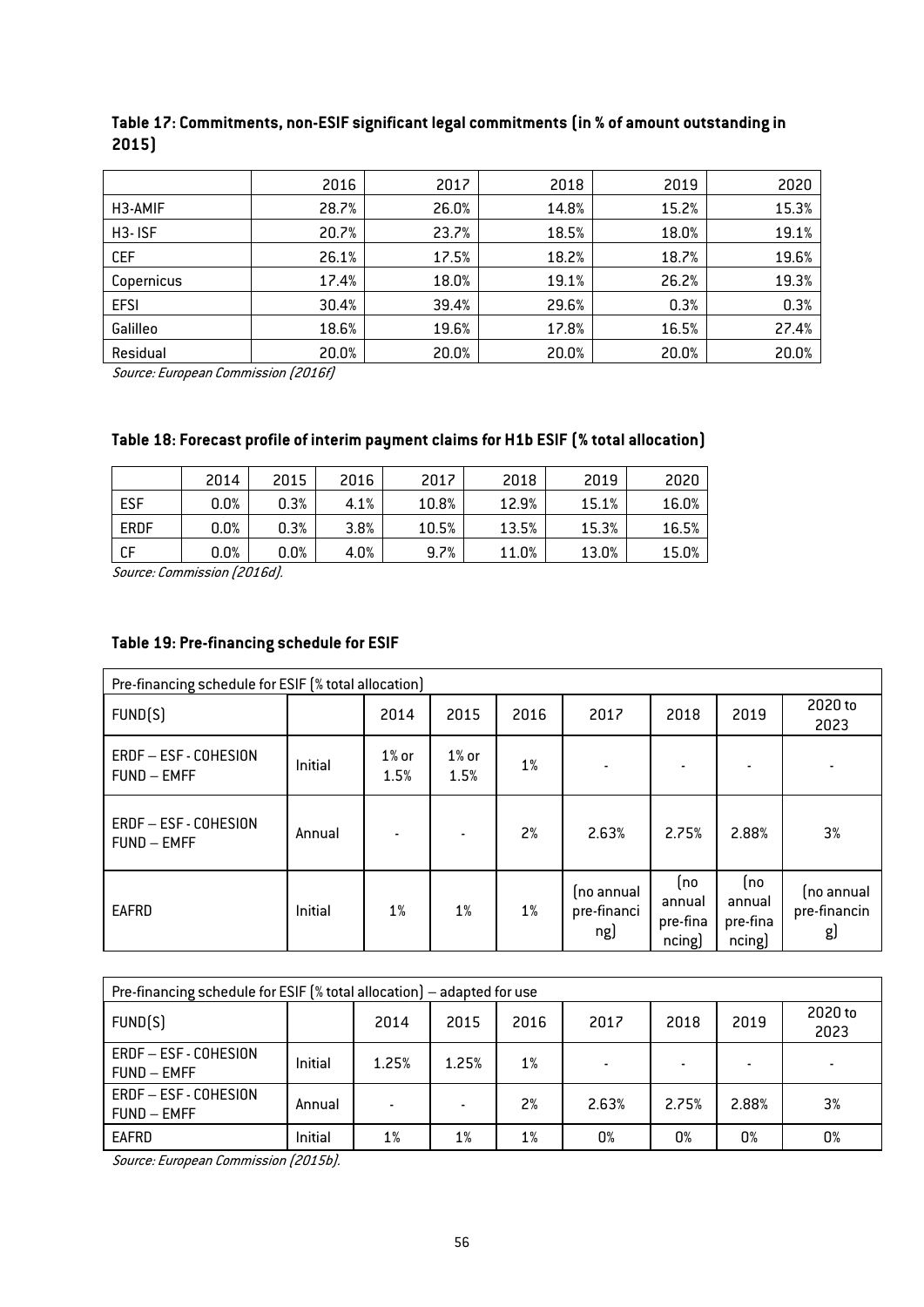|                      | 2016  | 2017  | 2018  | 2019  | 2020  |
|----------------------|-------|-------|-------|-------|-------|
| H <sub>3</sub> -AMIF | 28.7% | 26.0% | 14.8% | 15.2% | 15.3% |
| H <sub>3</sub> -ISF  | 20.7% | 23.7% | 18.5% | 18.0% | 19.1% |
| <b>CEF</b>           | 26.1% | 17.5% | 18.2% | 18.7% | 19.6% |
| Copernicus           | 17.4% | 18.0% | 19.1% | 26.2% | 19.3% |
| <b>EFSI</b>          | 30.4% | 39.4% | 29.6% | 0.3%  | 0.3%  |
| Galilleo             | 18.6% | 19.6% | 17.8% | 16.5% | 27.4% |
| Residual             | 20.0% | 20.0% | 20.0% | 20.0% | 20.0% |

## Table 17: Commitments, non-ESIF significant legal commitments (in % of amount outstanding in 2015)

Source: European Commission (2016f)

## Table 18: Forecast profile of interim payment claims for H1b ESIF (% total allocation)

|             | 2014 | 2015 | 2016 | 2017  | 2018  | 2019  | 2020  |
|-------------|------|------|------|-------|-------|-------|-------|
| <b>ESF</b>  | 0.0% | 0.3% | 4.1% | 10.8% | 12.9% | 15.1% | 16.0% |
| <b>ERDF</b> | 0.0% | 0.3% | 3.8% | 10.5% | 13.5% | 15.3% | 16.5% |
| СF          | 0.0% | 0.0% | 4.0% | 9.7%  | 11.0% | 13.0% | 15.0% |

Source: Commission (2016d).

## <span id="page-56-0"></span>Table 19: Pre-financing schedule for ESIF

| Pre-financing schedule for ESIF (% total allocation) |         |                  |                  |       |                                  |                                     |                                     |                                  |  |  |
|------------------------------------------------------|---------|------------------|------------------|-------|----------------------------------|-------------------------------------|-------------------------------------|----------------------------------|--|--|
| FUND(S)                                              |         | 2014             | 2015             | 2016  | 2017                             | 2018                                | 2019                                | 2020 to<br>2023                  |  |  |
| ERDF-ESF-COHESION<br><b>FUND - EMFF</b>              | Initial | $1\%$ or<br>1.5% | $1\%$ or<br>1.5% | $1\%$ | ۰                                |                                     |                                     |                                  |  |  |
| ERDF-ESF-COHESION<br><b>FUND - EMFF</b>              | Annual  |                  | ٠                | 2%    | 2.63%                            | 2.75%                               | 2.88%                               | 3%                               |  |  |
| EAFRD                                                | Initial | $1\%$            | 1%               | $1\%$ | (no annual<br>pre-financi<br>ng) | (no<br>annual<br>pre-fina<br>ncing) | (no<br>annual<br>pre-fina<br>ncing) | (no annual<br>pre-financin<br>gJ |  |  |

| Pre-financing schedule for ESIF $\lceil$ % total allocation) – adapted for use |         |       |       |       |       |       |       |                 |  |  |  |
|--------------------------------------------------------------------------------|---------|-------|-------|-------|-------|-------|-------|-----------------|--|--|--|
| FUND(S)                                                                        |         | 2014  | 2015  | 2016  | 2017  | 2018  | 2019  | 2020 to<br>2023 |  |  |  |
| ERDF - ESF - COHESION<br>FUND - EMFF                                           | Initial | 1.25% | 1.25% | $1\%$ | ۰     |       |       |                 |  |  |  |
| ERDF - ESF - COHESION<br>FUND – EMFF                                           | Annual  |       | ۰     | 2%    | 2.63% | 2.75% | 2.88% | 3%              |  |  |  |
| EAFRD                                                                          | Initial | $1\%$ | 1%    | $1\%$ | 0%    | 0%    | 0%    | 0%              |  |  |  |

Source: European Commission (2015b).